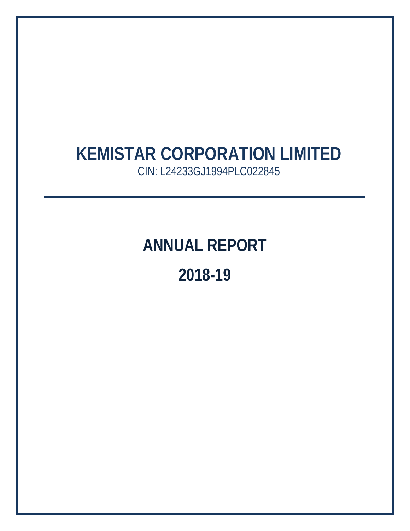# **KEMISTAR CORPORATION LIMITED**  CIN: L24233GJ1994PLC022845

# **ANNUAL REPORT**

**2018-19**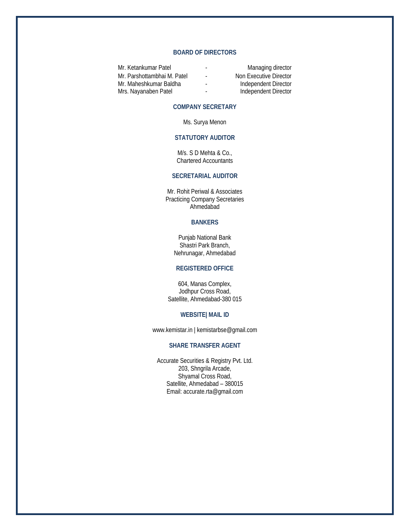#### **BOARD OF DIRECTORS**

| Mr. Ketankumar Patel        | -                        | Managing director      |
|-----------------------------|--------------------------|------------------------|
| Mr. Parshottambhai M. Patel | $\sim$                   | Non Executive Director |
| Mr. Maheshkumar Baldha      | $\overline{\phantom{a}}$ | Independent Director   |
| Mrs. Nayanaben Patel        | -                        | Independent Director   |

#### **COMPANY SECRETARY**

Ms. Surya Menon

# **STATUTORY AUDITOR**

M/s. S D Mehta & Co., Chartered Accountants

#### **SECRETARIAL AUDITOR**

Mr. Rohit Periwal & Associates Practicing Company Secretaries Ahmedabad

#### **BANKERS**

Punjab National Bank Shastri Park Branch, Nehrunagar, Ahmedabad

#### **REGISTERED OFFICE**

604, Manas Complex, Jodhpur Cross Road, Satellite, Ahmedabad-380 015

#### **WEBSITE| MAIL ID**

www.kemistar.in | kemistarbse@gmail.com

#### **SHARE TRANSFER AGENT**

Accurate Securities & Registry Pvt. Ltd. 203, Shngrila Arcade, Shyamal Cross Road, Satellite, Ahmedabad – 380015 Email: accurate.rta@gmail.com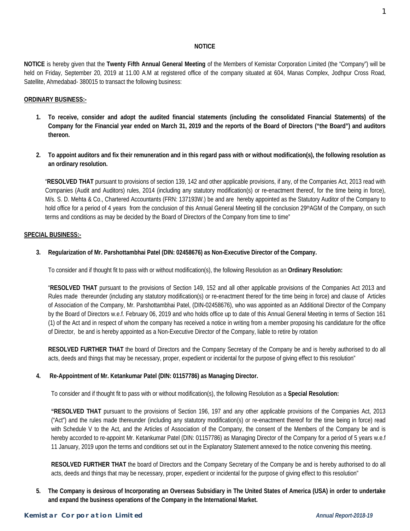#### **NOTICE**

**NOTICE** is hereby given that the **Twenty Fifth Annual General Meeting** of the Members of Kemistar Corporation Limited (the "Company") will be held on Friday, September 20, 2019 at 11.00 A.M at registered office of the company situated at 604, Manas Complex, Jodhpur Cross Road, Satellite, Ahmedabad- 380015 to transact the following business:

#### **ORDINARY BUSINESS:-**

- **1. To receive, consider and adopt the audited financial statements (including the consolidated Financial Statements) of the Company for the Financial year ended on March 31, 2019 and the reports of the Board of Directors ("the Board") and auditors thereon.**
- **2. To appoint auditors and fix their remuneration and in this regard pass with or without modification(s), the following resolution as an ordinary resolution.**

"**RESOLVED THAT** pursuant to provisions of section 139, 142 and other applicable provisions, if any, of the Companies Act, 2013 read with Companies (Audit and Auditors) rules, 2014 (including any statutory modification(s) or re-enactment thereof, for the time being in force), M/s. S. D. Mehta & Co., Chartered Accountants (FRN: 137193W.) be and are hereby appointed as the Statutory Auditor of the Company to hold office for a period of 4 years from the conclusion of this Annual General Meeting till the conclusion 29<sup>th</sup>AGM of the Company, on such terms and conditions as may be decided by the Board of Directors of the Company from time to time"

#### **SPECIAL BUSINESS:-**

**3. Regularization of Mr. Parshottambhai Patel (DIN: 02458676) as Non-Executive Director of the Company.** 

To consider and if thought fit to pass with or without modification(s), the following Resolution as an **Ordinary Resolution:** 

"**RESOLVED THAT** pursuant to the provisions of Section 149, 152 and all other applicable provisions of the Companies Act 2013 and Rules made thereunder (including any statutory modification(s) or re-enactment thereof for the time being in force) and clause of Articles of Association of the Company, Mr. Parshottambhai Patel, (DIN-02458676), who was appointed as an Additional Director of the Company by the Board of Directors w.e.f. February 06, 2019 and who holds office up to date of this Annual General Meeting in terms of Section 161 (1) of the Act and in respect of whom the company has received a notice in writing from a member proposing his candidature for the office of Director, be and is hereby appointed as a Non-Executive Director of the Company, liable to retire by rotation

**RESOLVED FURTHER THAT** the board of Directors and the Company Secretary of the Company be and is hereby authorised to do all acts, deeds and things that may be necessary, proper, expedient or incidental for the purpose of giving effect to this resolution"

#### **4. Re-Appointment of Mr. Ketankumar Patel (DIN: 01157786) as Managing Director.**

To consider and if thought fit to pass with or without modification(s), the following Resolution as a **Special Resolution:** 

**"RESOLVED THAT** pursuant to the provisions of Section 196, 197 and any other applicable provisions of the Companies Act, 2013 ("Act") and the rules made thereunder (including any statutory modification(s) or re-enactment thereof for the time being in force) read with Schedule V to the Act, and the Articles of Association of the Company, the consent of the Members of the Company be and is hereby accorded to re-appoint Mr. Ketankumar Patel (DIN: 01157786) as Managing Director of the Company for a period of 5 years w.e.f 11 January, 2019 upon the terms and conditions set out in the Explanatory Statement annexed to the notice convening this meeting.

**RESOLVED FURTHER THAT** the board of Directors and the Company Secretary of the Company be and is hereby authorised to do all acts, deeds and things that may be necessary, proper, expedient or incidental for the purpose of giving effect to this resolution"

**5. The Company is desirous of Incorporating an Overseas Subsidiary in The United States of America (USA) in order to undertake and expand the business operations of the Company in the International Market.**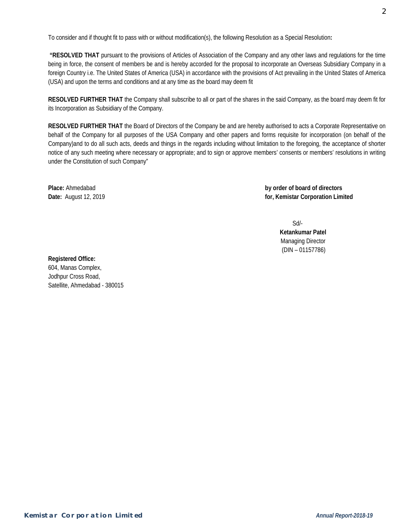To consider and if thought fit to pass with or without modification(s), the following Resolution as a Special Resolution**:** 

 **"RESOLVED THAT** pursuant to the provisions of Articles of Association of the Company and any other laws and regulations for the time being in force, the consent of members be and is hereby accorded for the proposal to incorporate an Overseas Subsidiary Company in a foreign Country i.e. The United States of America (USA) in accordance with the provisions of Act prevailing in the United States of America (USA) and upon the terms and conditions and at any time as the board may deem fit

**RESOLVED FURTHER THAT** the Company shall subscribe to all or part of the shares in the said Company, as the board may deem fit for its Incorporation as Subsidiary of the Company.

**RESOLVED FURTHER THAT** the Board of Directors of the Company be and are hereby authorised to acts a Corporate Representative on behalf of the Company for all purposes of the USA Company and other papers and forms requisite for incorporation (on behalf of the Company)and to do all such acts, deeds and things in the regards including without limitation to the foregoing, the acceptance of shorter notice of any such meeting where necessary or appropriate; and to sign or approve members' consents or members' resolutions in writing under the Constitution of such Company"

**Place:** Ahmedabad **by order of board of directors Date:** August 12, 2019 **for, Kemistar Corporation Limited** 

 $Sd$ - $\sim$ 

 **Ketankumar Patel** Managing Director (DIN – 01157786)

**Registered Office:**  604, Manas Complex, Jodhpur Cross Road, Satellite, Ahmedabad - 380015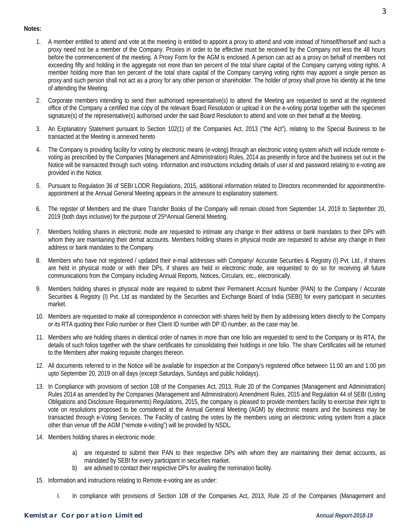#### **Notes:**

- 1. A member entitled to attend and vote at the meeting is entitled to appoint a proxy to attend and vote instead of himself/herself and such a proxy need not be a member of the Company. Proxies in order to be effective must be received by the Company not less the 48 hours before the commencement of the meeting. A Proxy Form for the AGM is enclosed. A person can act as a proxy on behalf of members not exceeding fifty and holding in the aggregate not more than ten percent of the total share capital of the Company carrying voting rights. A member holding more than ten percent of the total share capital of the Company carrying voting rights may appoint a single person as proxy and such person shall not act as a proxy for any other person or shareholder. The holder of proxy shall prove his identity at the time of attending the Meeting.
- 2. Corporate members intending to send their authorised representative(s) to attend the Meeting are requested to send at the registered office of the Company a certified true copy of the relevant Board Resolution or upload it on the e-voting portal together with the specimen signature(s) of the representative(s) authorised under the said Board Resolution to attend and vote on their behalf at the Meeting.
- 3. An Explanatory Statement pursuant to Section 102(1) of the Companies Act, 2013 ("the Act"), relating to the Special Business to be transacted at the Meeting is annexed hereto
- 4. The Company is providing facility for voting by electronic means (e-voting) through an electronic voting system which will include remote evoting as prescribed by the Companies (Management and Administration) Rules, 2014 as presently in force and the business set out in the Notice will be transacted through such voting. Information and instructions including details of user id and password relating to e-voting are provided in the Notice.
- 5. Pursuant to Regulation 36 of SEBI LODR Regulations, 2015, additional information related to Directors recommended for appointment/reappointment at the Annual General Meeting appears in the annexure to explanatory statement.
- 6. The register of Members and the share Transfer Books of the Company will remain closed from September 14, 2019 to September 20, 2019 (both days inclusive) for the purpose of 25<sup>th</sup>Annual General Meeting.
- 7. Members holding shares in electronic mode are requested to intimate any change in their address or bank mandates to their DPs with whom they are maintaining their demat accounts. Members holding shares in physical mode are requested to advise any change in their address or bank mandates to the Company.
- 8. Members who have not registered / updated their e-mail addresses with Company/ Accurate Securities & Registry (I) Pvt. Ltd., if shares are held in physical mode or with their DPs, if shares are held in electronic mode, are requested to do so for receiving all future communications from the Company including Annual Reports, Notices, Circulars, etc., electronically.
- 9. Members holding shares in physical mode are required to submit their Permanent Account Number (PAN) to the Company / Accurate Securities & Registry (I) Pvt. Ltd as mandated by the Securities and Exchange Board of India (SEBI) for every participant in securities market.
- 10. Members are requested to make all correspondence in connection with shares held by them by addressing letters directly to the Company or its RTA quoting their Folio number or their Client ID number with DP ID number, as the case may be.
- 11. Members who are holding shares in identical order of names in more than one folio are requested to send to the Company or its RTA, the details of such folios together with the share certificates for consolidating their holdings in one folio. The share Certificates will be returned to the Members after making requisite changes thereon.
- 12. All documents referred to in the Notice will be available for inspection at the Company's registered office between 11:00 am and 1:00 pm upto September 20, 2019 on all days (except Saturdays, Sundays and public holidays).
- 13. In Compliance with provisions of section 108 of the Companies Act, 2013, Rule 20 of the Companies (Management and Administration) Rules 2014 as amended by the Companies (Management and Administration) Amendment Rules, 2015 and Regulation 44 of SEBI (Listing Obligations and Disclosure Requirements) Regulations, 2015, the company is pleased to provide members facility to exercise their right to vote on resolutions proposed to be considered at the Annual General Meeting (AGM) by electronic means and the business may be transacted through e-Voting Services. The Facility of casting the votes by the members using an electronic voting system from a place other than venue off the AGM ("remote e-voting") will be provided by NSDL.
- 14. Members holding shares in electronic mode:
	- a) are requested to submit their PAN to their respective DPs with whom they are maintaining their demat accounts, as mandated by SEBI for every participant in securities market.
	- b) are advised to contact their respective DPs for availing the nomination facility.
- 15. Information and instructions relating to Remote e-voting are as under:
	- I. In compliance with provisions of Section 108 of the Companies Act, 2013, Rule 20 of the Companies (Management and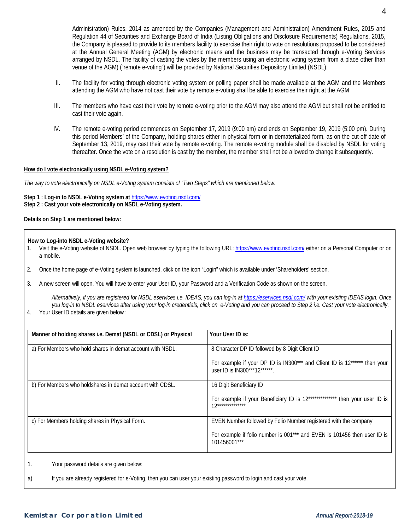- II. The facility for voting through electronic voting system or polling paper shall be made available at the AGM and the Members attending the AGM who have not cast their vote by remote e-voting shall be able to exercise their right at the AGM
- III. The members who have cast their vote by remote e-voting prior to the AGM may also attend the AGM but shall not be entitled to cast their vote again.
- IV. The remote e-voting period commences on September 17, 2019 (9:00 am) and ends on September 19, 2019 (5:00 pm). During this period Members' of the Company, holding shares either in physical form or in dematerialized form, as on the cut-off date of September 13, 2019, may cast their vote by remote e-voting. The remote e-voting module shall be disabled by NSDL for voting thereafter. Once the vote on a resolution is cast by the member, the member shall not be allowed to change it subsequently.

#### **How do I vote electronically using NSDL e-Voting system?**

*The way to vote electronically on NSDL e-Voting system consists of "Two Steps" which are mentioned below:* 

**Step 1 : Log-in to NSDL e-Voting system at** https://www.evoting.nsdl.com/ **Step 2 : Cast your vote electronically on NSDL e-Voting system.** 

#### **Details on Step 1 are mentioned below:**

#### **How to Log-into NSDL e-Voting website?**

- 1. Visit the e-Voting website of NSDL. Open web browser by typing the following URL: https://www.evoting.nsdl.com/ either on a Personal Computer or on a mobile.
- 2. Once the home page of e-Voting system is launched, click on the icon "Login" which is available under 'Shareholders' section.
- 3. A new screen will open. You will have to enter your User ID, your Password and a Verification Code as shown on the screen.

*Alternatively, if you are registered for NSDL eservices i.e. IDEAS, you can log-in at https://eservices.nsdl.com/ with your existing IDEAS login. Once you log-in to NSDL eservices after using your log-in credentials, click on e-Voting and you can proceed to Step 2 i.e. Cast your vote electronically.* 

4. Your User ID details are given below :

| Manner of holding shares i.e. Demat (NSDL or CDSL) or Physical | Your User ID is:                                                                                                             |
|----------------------------------------------------------------|------------------------------------------------------------------------------------------------------------------------------|
| a) For Members who hold shares in demat account with NSDL.     | 8 Character DP ID followed by 8 Digit Client ID<br>For example if your DP ID is IN300*** and Client ID is 12****** then your |
|                                                                | user ID is IN300***12******.                                                                                                 |
| b) For Members who holdshares in demat account with CDSL.      | 16 Digit Beneficiary ID                                                                                                      |
|                                                                | For example if your Beneficiary ID is 12************** then your user ID is<br>$12****************$                          |
| c) For Members holding shares in Physical Form.                | EVEN Number followed by Folio Number registered with the company                                                             |
|                                                                | For example if folio number is 001*** and EVEN is 101456 then user ID is<br>101456001***                                     |
| Your password details are given below:                         |                                                                                                                              |

- ssword details are given below.
- a) If you are already registered for e-Voting, then you can user your existing password to login and cast your vote.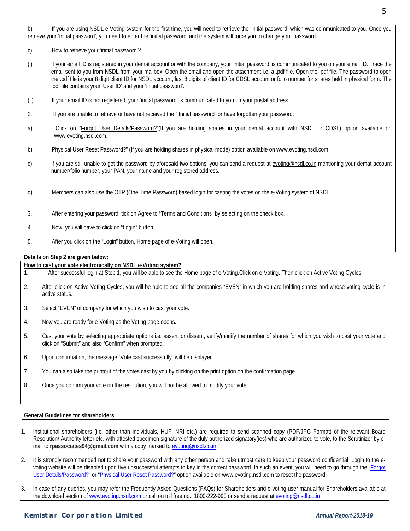b) If you are using NSDL e-Voting system for the first time, you will need to retrieve the 'initial password' which was communicated to you. Once you retrieve your 'initial password', you need to enter the 'initial password' and the system will force you to change your password.

- c) How to retrieve your 'initial password'?
- (i) If your email ID is registered in your demat account or with the company, your 'initial password' is communicated to you on your email ID. Trace the email sent to you from NSDL from your mailbox. Open the email and open the attachment i.e. a .pdf file. Open the .pdf file. The password to open the .pdf file is your 8 digit client ID for NSDL account, last 8 digits of client ID for CDSL account or folio number for shares held in physical form. The .pdf file contains your 'User ID' and your 'initial password'.
- (ii) If your email ID is not registered, your 'initial password' is communicated to you on your postal address.
- 2. If you are unable to retrieve or have not received the " Initial password" or have forgotten your password:
- a) Click on "Forgot User Details/Password?"(If you are holding shares in your demat account with NSDL or CDSL) option available on www.evoting.nsdl.com.
- b) Physical User Reset Password?" (If you are holding shares in physical mode) option available on www.evoting.nsdl.com.
- c) If you are still unable to get the password by aforesaid two options, you can send a request at evoting@nsdl.co.in mentioning your demat account number/folio number, your PAN, your name and your registered address.
- d) Members can also use the OTP (One Time Password) based login for casting the votes on the e-Voting system of NSDL.
- 3. After entering your password, tick on Agree to "Terms and Conditions" by selecting on the check box.
- 4. Now, you will have to click on "Login" button.
- 5. After you click on the "Login" button, Home page of e-Voting will open.

# **Details on Step 2 are given below:**

# **How to cast your vote electronically on NSDL e-Voting system?**

- 1. After successful login at Step 1, you will be able to see the Home page of e-Voting.Click on e-Voting. Then,click on Active Voting Cycles.
- 2. After click on Active Voting Cycles, you will be able to see all the companies "EVEN" in which you are holding shares and whose voting cycle is in active status.
- 3. Select "EVEN" of company for which you wish to cast your vote.

4. Now you are ready for e-Voting as the Voting page opens.

- 5. Cast your vote by selecting appropriate options i.e. assent or dissent, verify/modify the number of shares for which you wish to cast your vote and click on "Submit" and also "Confirm" when prompted.
- 6. Upon confirmation, the message "Vote cast successfully" will be displayed.
- 7. You can also take the printout of the votes cast by you by clicking on the print option on the confirmation page.
- 8. Once you confirm your vote on the resolution, you will not be allowed to modify your vote.

# **General Guidelines for shareholders**

- 1. Institutional shareholders (i.e. other than individuals, HUF, NRI etc.) are required to send scanned copy (PDF/JPG Format) of the relevant Board Resolution/ Authority letter etc. with attested specimen signature of the duly authorized signatory(ies) who are authorized to vote, to the Scrutinizer by email to **rpassociates94@gmail.com** with a copy marked to evoting@nsdl.co.in.
- 2. It is strongly recommended not to share your password with any other person and take utmost care to keep your password confidential. Login to the evoting website will be disabled upon five unsuccessful attempts to key in the correct password. In such an event, you will need to go through the "Forgot User Details/Password?" or "Physical User Reset Password?" option available on www.evoting.nsdl.com to reset the password.
- 3. In case of any queries, you may refer the Frequently Asked Questions (FAQs) for Shareholders and e-voting user manual for Shareholders available at the download section of www.evoting.nsdl.com or call on toll free no.: 1800-222-990 or send a request at evoting@nsdl.co.in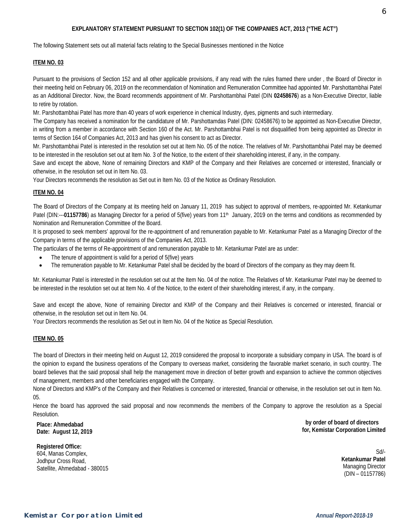#### **EXPLANATORY STATEMENT PURSUANT TO SECTION 102(1) OF THE COMPANIES ACT, 2013 ("THE ACT")**

The following Statement sets out all material facts relating to the Special Businesses mentioned in the Notice

#### **ITEM NO. 03**

Pursuant to the provisions of Section 152 and all other applicable provisions, if any read with the rules framed there under , the Board of Director in their meeting held on February 06, 2019 on the recommendation of Nomination and Remuneration Committee had appointed Mr. Parshottambhai Patel as an Additional Director. Now, the Board recommends appointment of Mr. Parshottambhai Patel (DIN **02458676**) as a Non-Executive Director, liable to retire by rotation.

Mr. Parshottambhai Patel has more than 40 years of work experience in chemical Industry, dyes, pigments and such intermediary.

The Company has received a nomination for the candidature of Mr. Parshottamdas Patel (DIN: 02458676) to be appointed as Non-Executive Director, in writing from a member in accordance with Section 160 of the Act. Mr. Parshottambhai Patel is not disqualified from being appointed as Director in terms of Section 164 of Companies Act, 2013 and has given his consent to act as Director.

Mr. Parshottambhai Patel is interested in the resolution set out at Item No. 05 of the notice. The relatives of Mr. Parshottambhai Patel may be deemed to be interested in the resolution set out at Item No. 3 of the Notice, to the extent of their shareholding interest, if any, in the company.

Save and except the above, None of remaining Directors and KMP of the Company and their Relatives are concerned or interested, financially or otherwise, in the resolution set out in Item No. 03.

Your Directors recommends the resolution as Set out in Item No. 03 of the Notice as Ordinary Resolution.

#### **ITEM NO. 04**

The Board of Directors of the Company at its meeting held on January 11, 2019 has subject to approval of members, re-appointed Mr. Ketankumar Patel (DIN:---01157786) as Managing Director for a period of 5(five) years from 11<sup>th</sup> January, 2019 on the terms and conditions as recommended by Nomination and Remuneration Committee of the Board.

It is proposed to seek members' approval for the re-appointment of and remuneration payable to Mr. Ketankumar Patel as a Managing Director of the Company in terms of the applicable provisions of the Companies Act, 2013.

The particulars of the terms of Re-appointment of and remuneration payable to Mr. Ketankumar Patel are as under:

- The tenure of appointment is valid for a period of 5(five) years
- The remuneration payable to Mr. Ketankumar Patel shall be decided by the board of Directors of the company as they may deem fit.

Mr. Ketankumar Patel is interested in the resolution set out at the Item No. 04 of the notice. The Relatives of Mr. Ketankumar Patel may be deemed to be interested in the resolution set out at Item No. 4 of the Notice, to the extent of their shareholding interest, if any, in the company.

Save and except the above, None of remaining Director and KMP of the Company and their Relatives is concerned or interested, financial or otherwise, in the resolution set out in Item No. 04.

Your Directors recommends the resolution as Set out in Item No. 04 of the Notice as Special Resolution.

#### **ITEM NO. 05**

The board of Directors in their meeting held on August 12, 2019 considered the proposal to incorporate a subsidiary company in USA. The board is of the opinion to expand the business operations of the Company to overseas market, considering the favorable market scenario, in such country. The board believes that the said proposal shall help the management move in direction of better growth and expansion to achieve the common objectives of management, members and other beneficiaries engaged with the Company.

None of Directors and KMP's of the Company and their Relatives is concerned or interested, financial or otherwise, in the resolution set out in Item No. 05.

Hence the board has approved the said proposal and now recommends the members of the Company to approve the resolution as a Special Resolution.

**Place: Ahmedabad Date: August 12, 2019** 

**Registered Office:**  604, Manas Complex, Jodhpur Cross Road, Satellite, Ahmedabad - 380015

 **by order of board of directors for, Kemistar Corporation Limited** 

> Sd/-  **Ketankumar Patel** Managing Director (DIN – 01157786)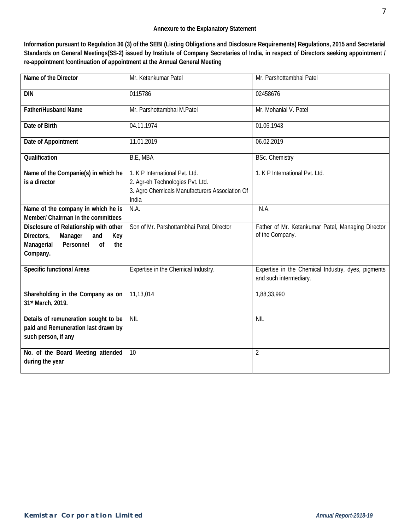**Information pursuant to Regulation 36 (3) of the SEBI (Listing Obligations and Disclosure Requirements) Regulations, 2015 and Secretarial Standards on General Meetings(SS-2) issued by Institute of Company Secretaries of India, in respect of Directors seeking appointment / re-appointment /continuation of appointment at the Annual General Meeting** 

| Name of the Director                                                                                                                                                   | Mr. Ketankumar Patel                                                                                                          | Mr. Parshottambhai Patel                                                     |
|------------------------------------------------------------------------------------------------------------------------------------------------------------------------|-------------------------------------------------------------------------------------------------------------------------------|------------------------------------------------------------------------------|
| <b>DIN</b>                                                                                                                                                             | 0115786                                                                                                                       | 02458676                                                                     |
| <b>Father/Husband Name</b>                                                                                                                                             | Mr. Parshottambhai M.Patel                                                                                                    | Mr. Mohanlal V. Patel                                                        |
| Date of Birth                                                                                                                                                          | 04.11.1974                                                                                                                    | 01.06.1943                                                                   |
| Date of Appointment                                                                                                                                                    | 11.01.2019                                                                                                                    | 06.02.2019                                                                   |
| Qualification                                                                                                                                                          | B.E, MBA                                                                                                                      | <b>BSc. Chemistry</b>                                                        |
| Name of the Companie(s) in which he<br>is a director                                                                                                                   | 1. K P International Pvt. Ltd.<br>2. Agr-eh Technologies Pvt. Ltd.<br>3. Agro Chemicals Manufacturers Association Of<br>India | 1. K P International Pvt. Ltd.                                               |
| Name of the company in which he is                                                                                                                                     | N.A.                                                                                                                          | N.A.                                                                         |
| Member/ Chairman in the committees<br>Disclosure of Relationship with other<br>Directors,<br>Manager<br>Key<br>and<br>Personnel<br>of<br>the<br>Managerial<br>Company. | Son of Mr. Parshottambhai Patel, Director                                                                                     | Father of Mr. Ketankumar Patel, Managing Director<br>of the Company.         |
| <b>Specific functional Areas</b>                                                                                                                                       | Expertise in the Chemical Industry.                                                                                           | Expertise in the Chemical Industry, dyes, pigments<br>and such intermediary. |
| Shareholding in the Company as on<br>31st March, 2019.                                                                                                                 | 11,13,014                                                                                                                     | 1,88,33,990                                                                  |
| Details of remuneration sought to be<br>paid and Remuneration last drawn by<br>such person, if any                                                                     | <b>NIL</b>                                                                                                                    | <b>NIL</b>                                                                   |
| No. of the Board Meeting attended<br>during the year                                                                                                                   | 10                                                                                                                            | $\overline{2}$                                                               |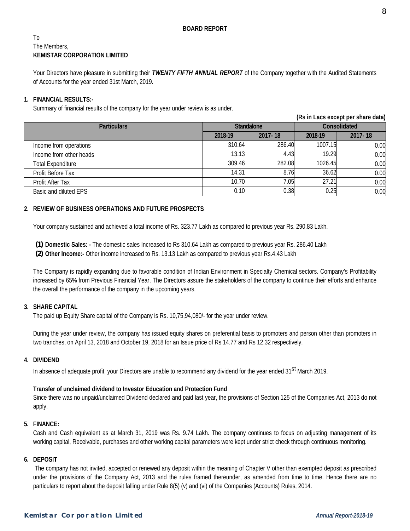#### To The Members, **KEMISTAR CORPORATION LIMITED**

Your Directors have pleasure in submitting their *TWENTY FIFTH ANNUAL REPORT* of the Company together with the Audited Statements of Accounts for the year ended 31st March, 2019.

#### **1. FINANCIAL RESULTS:-**

Summary of financial results of the company for the year under review is as under.

| INS III LAUS CAUCHI HEI SHAIC UAIA) |            |             |         |             |              |  |
|-------------------------------------|------------|-------------|---------|-------------|--------------|--|
| <b>Particulars</b>                  | Standalone |             |         |             | Consolidated |  |
|                                     | 2018-19    | $2017 - 18$ | 2018-19 | $2017 - 18$ |              |  |
| Income from operations              | 310.64     | 286.40      | 1007.15 | 0.00        |              |  |
| Income from other heads             | 13.13      | 4.43        | 19.29   | 0.00        |              |  |
| <b>Total Expenditure</b>            | 309.46     | 282.08      | 1026.45 | 0.00        |              |  |
| Profit Before Tax                   | 14.31      | 8.76        | 36.62   | 0.00        |              |  |
| Profit After Tax                    | 10.70      | 7.05        | 27.21   | 0.00        |              |  |
| Basic and diluted EPS               | 0.10       | 0.38        | 0.25    | 0.00        |              |  |

# **2. REVIEW OF BUSINESS OPERATIONS AND FUTURE PROSPECTS**

Your company sustained and achieved a total income of Rs. 323.77 Lakh as compared to previous year Rs. 290.83 Lakh.

- **(1) Domestic Sales:** The domestic sales Increased to Rs 310.64 Lakh as compared to previous year Rs. 286.40 Lakh
- **(2) Other Income:-** Other income increased to Rs. 13.13 Lakh as compared to previous year Rs.4.43 Lakh

The Company is rapidly expanding due to favorable condition of Indian Environment in Specialty Chemical sectors. Company's Profitability increased by 65% from Previous Financial Year. The Directors assure the stakeholders of the company to continue their efforts and enhance the overall the performance of the company in the upcoming years.

#### **3. SHARE CAPITAL**

The paid up Equity Share capital of the Company is Rs. 10,75,94,080/- for the year under review.

During the year under review, the company has issued equity shares on preferential basis to promoters and person other than promoters in two tranches, on April 13, 2018 and October 19, 2018 for an Issue price of Rs 14.77 and Rs 12.32 respectively.

#### **4. DIVIDEND**

In absence of adequate profit, your Directors are unable to recommend any dividend for the year ended 31<sup>st</sup> March 2019.

#### **Transfer of unclaimed dividend to Investor Education and Protection Fund**

Since there was no unpaid/unclaimed Dividend declared and paid last year, the provisions of Section 125 of the Companies Act, 2013 do not apply.

#### **5. FINANCE:**

Cash and Cash equivalent as at March 31, 2019 was Rs. 9.74 Lakh. The company continues to focus on adjusting management of its working capital, Receivable, purchases and other working capital parameters were kept under strict check through continuous monitoring.

#### **6. DEPOSIT**

The company has not invited, accepted or renewed any deposit within the meaning of Chapter V other than exempted deposit as prescribed under the provisions of the Company Act, 2013 and the rules framed thereunder, as amended from time to time. Hence there are no particulars to report about the deposit falling under Rule 8(5) (v) and (vi) of the Companies (Accounts) Rules, 2014.

 **(Rs in Lacs except per share data)**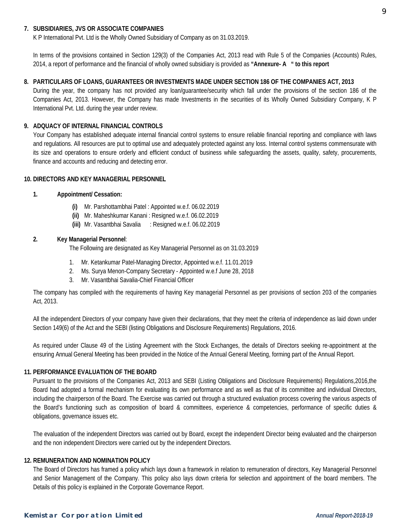#### **7. SUBSIDIARIES, JVS OR ASSOCIATE COMPANIES**

K P International Pvt. Ltd is the Wholly Owned Subsidiary of Company as on 31.03.2019.

In terms of the provisions contained in Section 129(3) of the Companies Act, 2013 read with Rule 5 of the Companies (Accounts) Rules, 2014, a report of performance and the financial of wholly owned subsidiary is provided as **"Annexure- A " to this report** 

#### **8. PARTICULARS OF LOANS, GUARANTEES OR INVESTMENTS MADE UNDER SECTION 186 OF THE COMPANIES ACT, 2013**

During the year, the company has not provided any loan/guarantee/security which fall under the provisions of the section 186 of the Companies Act, 2013. However, the Company has made Investments in the securities of its Wholly Owned Subsidiary Company, K P International Pvt. Ltd. during the year under review.

#### **9. ADQUACY OF INTERNAL FINANCIAL CONTROLS**

Your Company has established adequate internal financial control systems to ensure reliable financial reporting and compliance with laws and regulations. All resources are put to optimal use and adequately protected against any loss. Internal control systems commensurate with its size and operations to ensure orderly and efficient conduct of business while safeguarding the assets, quality, safety, procurements, finance and accounts and reducing and detecting error.

#### **10. DIRECTORS AND KEY MANAGERIAL PERSONNEL**

# **1. Appointment/ Cessation:**

- **(i)** Mr. Parshottambhai Patel : Appointed w.e.f. 06.02.2019
- **(ii)** Mr. Maheshkumar Kanani : Resigned w.e.f. 06.02.2019
- **(iii)** Mr. Vasantbhai Savalia : Resigned w.e.f. 06.02.2019

#### **2. Key Managerial Personnel**:

The Following are designated as Key Managerial Personnel as on 31.03.2019

- 1. Mr. Ketankumar Patel-Managing Director, Appointed w.e.f. 11.01.2019
- 2. Ms. Surya Menon-Company Secretary Appointed w.e.f June 28, 2018
- 3. Mr. Vasantbhai Savalia-Chief Financial Officer

The company has compiled with the requirements of having Key managerial Personnel as per provisions of section 203 of the companies Act, 2013.

All the independent Directors of your company have given their declarations, that they meet the criteria of independence as laid down under Section 149(6) of the Act and the SEBI (listing Obligations and Disclosure Requirements) Regulations, 2016.

As required under Clause 49 of the Listing Agreement with the Stock Exchanges, the details of Directors seeking re-appointment at the ensuring Annual General Meeting has been provided in the Notice of the Annual General Meeting, forming part of the Annual Report.

#### **11. PERFORMANCE EVALUATION OF THE BOARD**

Pursuant to the provisions of the Companies Act, 2013 and SEBI (Listing Obligations and Disclosure Requirements) Regulations,2016,the Board had adopted a formal mechanism for evaluating its own performance and as well as that of its committee and individual Directors, including the chairperson of the Board. The Exercise was carried out through a structured evaluation process covering the various aspects of the Board's functioning such as composition of board & committees, experience & competencies, performance of specific duties & obligations, governance issues etc.

The evaluation of the independent Directors was carried out by Board, except the independent Director being evaluated and the chairperson and the non independent Directors were carried out by the independent Directors.

#### **12. REMUNERATION AND NOMINATION POLICY**

The Board of Directors has framed a policy which lays down a framework in relation to remuneration of directors, Key Managerial Personnel and Senior Management of the Company. This policy also lays down criteria for selection and appointment of the board members. The Details of this policy is explained in the Corporate Governance Report.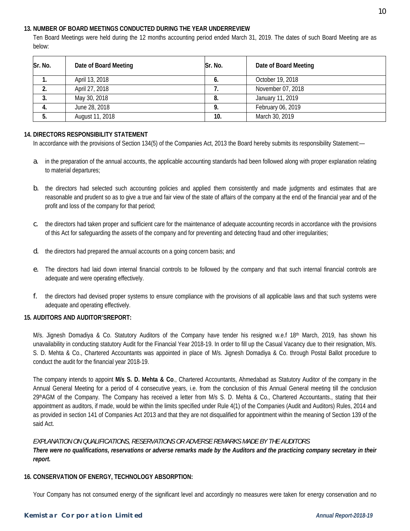#### **13. NUMBER OF BOARD MEETINGS CONDUCTED DURING THE YEAR UNDERREVIEW**

Ten Board Meetings were held during the 12 months accounting period ended March 31, 2019. The dates of such Board Meeting are as below:

| Sr. No. | Date of Board Meeting | Sr. No. | Date of Board Meeting |
|---------|-----------------------|---------|-----------------------|
| .,      | April 13, 2018        | 6.      | October 19, 2018      |
|         | April 27, 2018        |         | November 07, 2018     |
| 3.      | May 30, 2018          | -8.     | January 11, 2019      |
| -4.     | June 28, 2018         |         | February 06, 2019     |
|         | August 11, 2018       | 10.     | March 30, 2019        |

#### **14. DIRECTORS RESPONSIBILITY STATEMENT**

In accordance with the provisions of Section 134(5) of the Companies Act, 2013 the Board hereby submits its responsibility Statement:—

- a. in the preparation of the annual accounts, the applicable accounting standards had been followed along with proper explanation relating to material departures;
- b. the directors had selected such accounting policies and applied them consistently and made judgments and estimates that are reasonable and prudent so as to give a true and fair view of the state of affairs of the company at the end of the financial year and of the profit and loss of the company for that period;
- c. the directors had taken proper and sufficient care for the maintenance of adequate accounting records in accordance with the provisions of this Act for safeguarding the assets of the company and for preventing and detecting fraud and other irregularities;
- d. the directors had prepared the annual accounts on a going concern basis; and
- e. The directors had laid down internal financial controls to be followed by the company and that such internal financial controls are adequate and were operating effectively.
- f. the directors had devised proper systems to ensure compliance with the provisions of all applicable laws and that such systems were adequate and operating effectively.

#### **15. AUDITORS AND AUDITOR'SREPORT:**

M/s. Jignesh Domadiya & Co. Statutory Auditors of the Company have tender his resigned w.e.f 18<sup>th</sup> March, 2019, has shown his unavailability in conducting statutory Audit for the Financial Year 2018-19. In order to fill up the Casual Vacancy due to their resignation, M/s. S. D. Mehta & Co., Chartered Accountants was appointed in place of M/s. Jignesh Domadiya & Co. through Postal Ballot procedure to conduct the audit for the financial year 2018-19.

The company intends to appoint **M/s S. D. Mehta & Co**., Chartered Accountants, Ahmedabad as Statutory Auditor of the company in the Annual General Meeting for a period of 4 consecutive years, i.e. from the conclusion of this Annual General meeting till the conclusion 29thAGM of the Company. The Company has received a letter from M/s S. D. Mehta & Co., Chartered Accountants., stating that their appointment as auditors, if made, would be within the limits specified under Rule 4(1) of the Companies (Audit and Auditors) Rules, 2014 and as provided in section 141 of Companies Act 2013 and that they are not disqualified for appointment within the meaning of Section 139 of the said Act.

#### *EXPLANATION ON QUALIFICATIONS, RESERVATIONS OR ADVERSE REMARKS MADE BY THE AUDITORS*

*There were no qualifications, reservations or adverse remarks made by the Auditors and the practicing company secretary in their report.* 

#### **16. CONSERVATION OF ENERGY, TECHNOLOGY ABSORPTION:**

Your Company has not consumed energy of the significant level and accordingly no measures were taken for energy conservation and no

#### **Kemistar Corporation Limited**  *Annual Report-2018-19 Annual Report-2018-19*

10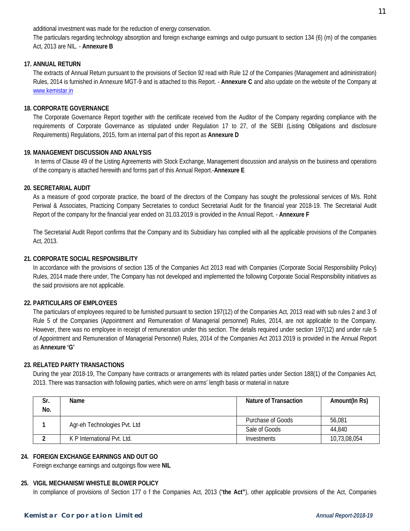additional investment was made for the reduction of energy conservation.

The particulars regarding technology absorption and foreign exchange earnings and outgo pursuant to section 134 (6) (m) of the companies Act, 2013 are NIL. - **Annexure B** 

#### **17. ANNUAL RETURN**

The extracts of Annual Return pursuant to the provisions of Section 92 read with Rule 12 of the Companies (Management and administration) Rules, 2014 is furnished in Annexure MGT-9 and is attached to this Report. - **Annexure C** and also update on the website of the Company at www.kemistar.in

#### **18. CORPORATE GOVERNANCE**

The Corporate Governance Report together with the certificate received from the Auditor of the Company regarding compliance with the requirements of Corporate Governance as stipulated under Regulation 17 to 27, of the SEBI (Listing Obligations and disclosure Requirements) Regulations, 2015, form an internal part of this report as **Annexure D**

#### **19. MANAGEMENT DISCUSSION AND ANALYSIS**

In terms of Clause 49 of the Listing Agreements with Stock Exchange, Management discussion and analysis on the business and operations of the company is attached herewith and forms part of this Annual Report.-**Annexure E** 

#### **20. SECRETARIAL AUDIT**

As a measure of good corporate practice, the board of the directors of the Company has sought the professional services of M/s. Rohit Periwal & Associates, Practicing Company Secretaries to conduct Secretarial Audit for the financial year 2018-19. The Secretarial Audit Report of the company for the financial year ended on 31.03.2019 is provided in the Annual Report. - **Annexure F** 

The Secretarial Audit Report confirms that the Company and its Subsidiary has complied with all the applicable provisions of the Companies Act, 2013.

#### **21. CORPORATE SOCIAL RESPONSIBILITY**

In accordance with the provisions of section 135 of the Companies Act 2013 read with Companies (Corporate Social Responsibility Policy) Rules, 2014 made there under, The Company has not developed and implemented the following Corporate Social Responsibility initiatives as the said provisions are not applicable.

#### **22. PARTICULARS OF EMPLOYEES**

The particulars of employees required to be furnished pursuant to section 197(12) of the Companies Act, 2013 read with sub rules 2 and 3 of Rule 5 of the Companies (Appointment and Remuneration of Managerial personnel) Rules, 2014, are not applicable to the Company. However, there was no employee in receipt of remuneration under this section. The details required under section 197(12) and under rule 5 of Appointment and Remuneration of Managerial Personnel) Rules, 2014 of the Companies Act 2013 2019 is provided in the Annual Report as **Annexure 'G'**

#### **23. RELATED PARTY TRANSACTIONS**

During the year 2018-19, The Company have contracts or arrangements with its related parties under Section 188(1) of the Companies Act, 2013. There was transaction with following parties, which were on arms' length basis or material in nature

| Sr.<br>No. | Name                         | Nature of Transaction | Amount(In Rs) |
|------------|------------------------------|-----------------------|---------------|
|            | Agr-eh Technologies Pvt. Ltd | Purchase of Goods     | 56,081        |
|            |                              | Sale of Goods         | 44.840        |
|            | K P International Pvt. Ltd.  | Investments           | 10,73,08,054  |

#### **24. FOREIGN EXCHANGE EARNINGS AND OUT GO**

Foreign exchange earnings and outgoings flow were **NIL** 

#### **25. VIGIL MECHANISM/ WHISTLE BLOWER POLICY**

In compliance of provisions of Section 177 o f the Companies Act, 2013 ("**the Act"**), other applicable provisions of the Act, Companies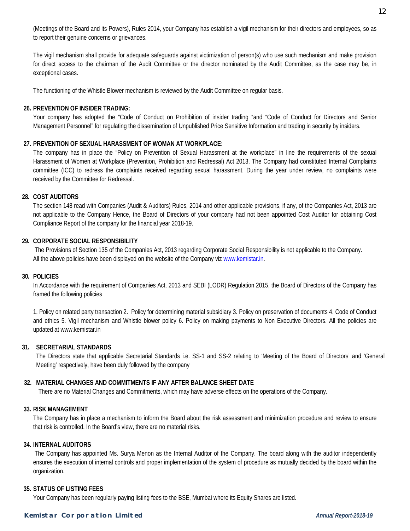The vigil mechanism shall provide for adequate safeguards against victimization of person(s) who use such mechanism and make provision for direct access to the chairman of the Audit Committee or the director nominated by the Audit Committee, as the case may be, in exceptional cases.

The functioning of the Whistle Blower mechanism is reviewed by the Audit Committee on regular basis.

# **26. PREVENTION OF INSIDER TRADING:**

Your company has adopted the "Code of Conduct on Prohibition of insider trading "and "Code of Conduct for Directors and Senior Management Personnel" for regulating the dissemination of Unpublished Price Sensitive Information and trading in security by insiders.

# **27. PREVENTION OF SEXUAL HARASSMENT OF WOMAN AT WORKPLACE:**

The company has in place the "Policy on Prevention of Sexual Harassment at the workplace" in line the requirements of the sexual Harassment of Women at Workplace (Prevention, Prohibition and Redressal) Act 2013. The Company had constituted Internal Complaints committee (ICC) to redress the complaints received regarding sexual harassment. During the year under review, no complaints were received by the Committee for Redressal.

# **28. COST AUDITORS**

The section 148 read with Companies (Audit & Auditors) Rules, 2014 and other applicable provisions, if any, of the Companies Act, 2013 are not applicable to the Company Hence, the Board of Directors of your company had not been appointed Cost Auditor for obtaining Cost Compliance Report of the company for the financial year 2018-19.

# **29. CORPORATE SOCIAL RESPONSIBILITY**

 The Provisions of Section 135 of the Companies Act, 2013 regarding Corporate Social Responsibility is not applicable to the Company. All the above policies have been displayed on the website of the Company viz www.kemistar.in.

# **30. POLICIES**

In Accordance with the requirement of Companies Act, 2013 and SEBI (LODR) Regulation 2015, the Board of Directors of the Company has framed the following policies

1. Policy on related party transaction 2. Policy for determining material subsidiary 3. Policy on preservation of documents 4. Code of Conduct and ethics 5. Vigil mechanism and Whistle blower policy 6. Policy on making payments to Non Executive Directors. All the policies are updated at www.kemistar.in

# **31. SECRETARIAL STANDARDS**

The Directors state that applicable Secretarial Standards i.e. SS-1 and SS-2 relating to 'Meeting of the Board of Directors' and 'General Meeting' respectively, have been duly followed by the company

# **32. MATERIAL CHANGES AND COMMITMENTS IF ANY AFTER BALANCE SHEET DATE**

There are no Material Changes and Commitments, which may have adverse effects on the operations of the Company.

# **33. RISK MANAGEMENT**

The Company has in place a mechanism to inform the Board about the risk assessment and minimization procedure and review to ensure that risk is controlled. In the Board's view, there are no material risks.

# **34. INTERNAL AUDITORS**

The Company has appointed Ms. Surya Menon as the Internal Auditor of the Company. The board along with the auditor independently ensures the execution of internal controls and proper implementation of the system of procedure as mutually decided by the board within the organization.

# **35. STATUS OF LISTING FEES**

Your Company has been regularly paying listing fees to the BSE, Mumbai where its Equity Shares are listed.

# **Kemistar Corporation Limited**  *Annual Report-2018-19 Annual Report-2018-19*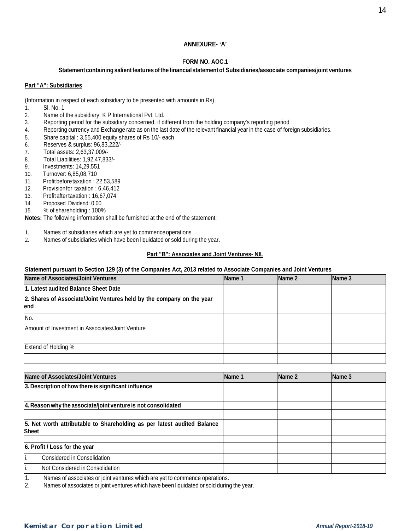#### **ANNEXURE- 'A'**

#### **FORM NO. AOC.1**

#### **Statement containing salient features of the financial statement of Subsidiaries/associate companies/joint ventures**

#### **Part "A": Subsidiaries**

(Information in respect of each subsidiary to be presented with amounts in Rs)

- 1. Sl. No. 1
- 2. Name of the subsidiary: K P International Pvt. Ltd.
- 3. Reporting period for the subsidiary concerned, if different from the holding company's reporting period
- 4. Reporting currency and Exchange rate as on the last date of the relevant financial year in the case of foreign subsidiaries.
- 5. Share capital : 3,55,400 equity shares of Rs 10/- each
- 6. Reserves & surplus: 96,83,222/-
- 7. Total assets: 2,63,37,009/-
- 8. Total Liabilities: 1,92,47,833/-
- 9. Investments: 14,29,551
- 10. Turnover: 6,85,08,710
- 11. Profit before taxation : 22,53,589
- 12. Provision for taxation : 6,46,412
- 13. Profit after taxation : 16,67,074
- 14. Proposed Dividend: 0.00
- 15. % of shareholding : 100%

**Notes:** The following information shall be furnished at the end of the statement:

- 1. Names of subsidiaries which are yet to commence operations
- 2. Names of subsidiaries which have been liquidated or sold during the year.

#### **Part "B": Associates and Joint Ventures- NIL**

#### **Statement pursuant to Section 129 (3) of the Companies Act, 2013 related to Associate Companies and Joint Ventures**

| Name of Associates/Joint Ventures                                            | Name 1 | Name 2 | Name 3 |
|------------------------------------------------------------------------------|--------|--------|--------|
| 1. Latest audited Balance Sheet Date                                         |        |        |        |
| 2. Shares of Associate/Joint Ventures held by the company on the year<br>end |        |        |        |
| No.                                                                          |        |        |        |
| Amount of Investment in Associates/Joint Venture                             |        |        |        |
| Extend of Holding %                                                          |        |        |        |
|                                                                              |        |        |        |

| Name of Associates/Joint Ventures                                       | Name 1 | Name 2 | Name 3 |
|-------------------------------------------------------------------------|--------|--------|--------|
| 3. Description of how there is significant influence                    |        |        |        |
|                                                                         |        |        |        |
| 4. Reason why the associate/joint venture is not consolidated           |        |        |        |
|                                                                         |        |        |        |
| 5. Net worth attributable to Shareholding as per latest audited Balance |        |        |        |
| Sheet                                                                   |        |        |        |
|                                                                         |        |        |        |
| 6. Profit / Loss for the year                                           |        |        |        |
| Considered in Consolidation                                             |        |        |        |
| Not Considered in Consolidation                                         |        |        |        |

1. Names of associates or joint ventures which are yet to commence operations.

2. Names of associates or joint ventures which have been liquidated or sold during the year.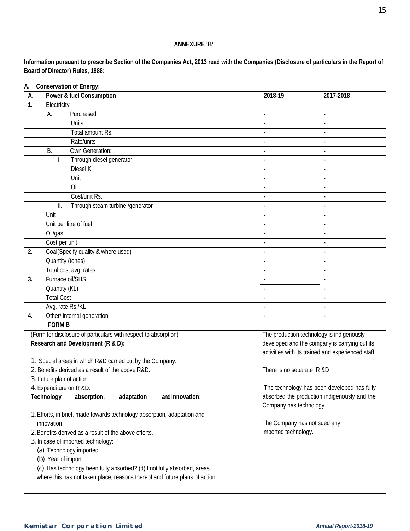#### **ANNEXURE 'B'**

**Information pursuant to prescribe Section of the Companies Act, 2013 read with the Companies (Disclosure of particulars in the Report of Board of Director) Rules, 1988:** 

# **A. Conservation of Energy:**

| А.                                                                       | Power & fuel Consumption                                                   | 2018-19                                            | 2017-2018                                   |
|--------------------------------------------------------------------------|----------------------------------------------------------------------------|----------------------------------------------------|---------------------------------------------|
| 1.                                                                       | Electricity                                                                |                                                    |                                             |
|                                                                          | Purchased<br>А.                                                            |                                                    |                                             |
|                                                                          | Units                                                                      | $\overline{\phantom{a}}$                           | $\blacksquare$                              |
|                                                                          | Total amount Rs.                                                           | $\blacksquare$                                     | $\overline{\phantom{a}}$                    |
|                                                                          | Rate/units                                                                 | $\blacksquare$                                     | ÷,                                          |
|                                                                          | Own Generation:<br><b>B.</b>                                               | ÷,                                                 | ÷,                                          |
|                                                                          | Through diesel generator<br>İ.                                             | l,                                                 |                                             |
|                                                                          | Diesel KI                                                                  | $\blacksquare$                                     |                                             |
|                                                                          | Unit                                                                       | $\blacksquare$                                     | $\overline{\phantom{a}}$                    |
|                                                                          | Oil                                                                        | $\blacksquare$                                     | ٠                                           |
|                                                                          | Cost/unit Rs.                                                              | ä,                                                 | $\qquad \qquad \blacksquare$                |
|                                                                          | Through steam turbine /generator<br>ii.                                    | ä,                                                 | $\blacksquare$                              |
|                                                                          | Unit                                                                       | $\overline{\phantom{a}}$                           | $\blacksquare$                              |
|                                                                          | Unit per litre of fuel                                                     | $\tilde{\phantom{a}}$                              | $\blacksquare$                              |
|                                                                          | Oil/gas                                                                    | $\overline{\phantom{a}}$                           | $\overline{\phantom{a}}$                    |
|                                                                          | Cost per unit                                                              | $\blacksquare$                                     |                                             |
| 2.                                                                       | Coal(Specify quality & where used)                                         | $\blacksquare$                                     | ä,                                          |
|                                                                          | Quantity (tones)                                                           | $\blacksquare$                                     | $\overline{\phantom{a}}$                    |
|                                                                          | Total cost avg. rates                                                      | ä,                                                 | $\blacksquare$                              |
| 3.                                                                       | Furnace oil/SHS                                                            | $\blacksquare$                                     | $\blacksquare$                              |
|                                                                          | Quantity (KL)                                                              | $\tilde{\phantom{a}}$                              | $\blacksquare$                              |
|                                                                          | <b>Total Cost</b>                                                          |                                                    |                                             |
|                                                                          | Avg. rate Rs./KL                                                           | $\sim$                                             | $\overline{\phantom{a}}$                    |
| 4.                                                                       | Other/ internal generation                                                 | ä,                                                 |                                             |
|                                                                          | <b>FORM B</b>                                                              |                                                    |                                             |
|                                                                          | (Form for disclosure of particulars with respect to absorption)            | The production technology is indigenously          |                                             |
|                                                                          | Research and Development (R & D):                                          | developed and the company is carrying out its      |                                             |
|                                                                          |                                                                            | activities with its trained and experienced staff. |                                             |
|                                                                          | 1. Special areas in which R&D carried out by the Company.                  |                                                    |                                             |
|                                                                          | 2. Benefits derived as a result of the above R&D.                          | There is no separate R &D                          |                                             |
|                                                                          | 3. Future plan of action.                                                  |                                                    |                                             |
|                                                                          | 4. Expenditure on R &D.                                                    |                                                    | The technology has been developed has fully |
|                                                                          | and innovation:<br>Technology<br>absorption,<br>adaptation                 | absorbed the production indigenously and the       |                                             |
|                                                                          |                                                                            | Company has technology.                            |                                             |
|                                                                          | 1. Efforts, in brief, made towards technology absorption, adaptation and   |                                                    |                                             |
|                                                                          | innovation.                                                                | The Company has not sued any                       |                                             |
| 2. Benefits derived as a result of the above efforts.                    |                                                                            | imported technology.                               |                                             |
| 3. In case of imported technology:                                       |                                                                            |                                                    |                                             |
| (a) Technology imported                                                  |                                                                            |                                                    |                                             |
| (b) Year of import                                                       |                                                                            |                                                    |                                             |
| (c) Has technology been fully absorbed? (d) If not fully absorbed, areas |                                                                            |                                                    |                                             |
|                                                                          | where this has not taken place, reasons thereof and future plans of action |                                                    |                                             |
|                                                                          |                                                                            |                                                    |                                             |
|                                                                          |                                                                            |                                                    |                                             |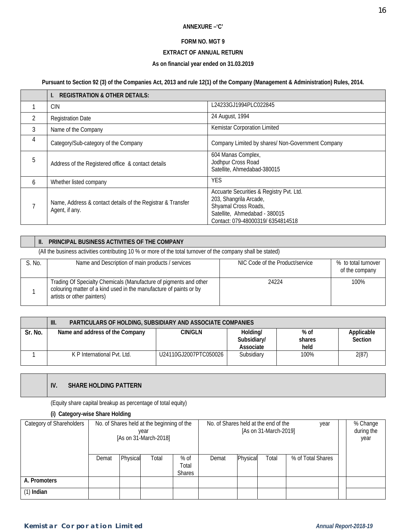#### **ANNEXURE –'C'**

#### **FORM NO. MGT 9**

#### **EXTRACT OF ANNUAL RETURN**

#### **As on financial year ended on 31.03.2019**

#### **Pursuant to Section 92 (3) of the Companies Act, 2013 and rule 12(1) of the Company (Management & Administration) Rules, 2014.**

|               | <b>REGISTRATION &amp; OTHER DETAILS:</b>                                      |                                                                                                                                                                 |
|---------------|-------------------------------------------------------------------------------|-----------------------------------------------------------------------------------------------------------------------------------------------------------------|
|               | <b>CIN</b>                                                                    | L24233GJ1994PLC022845                                                                                                                                           |
| $\mathcal{P}$ | <b>Registration Date</b>                                                      | 24 August, 1994                                                                                                                                                 |
| 3             | Name of the Company                                                           | Kemistar Corporation Limited                                                                                                                                    |
| 4             | Category/Sub-category of the Company                                          | Company Limited by shares/ Non-Government Company                                                                                                               |
| 5             | Address of the Registered office & contact details                            | 604 Manas Complex,<br>Jodhpur Cross Road<br>Satellite, Ahmedabad-380015                                                                                         |
| 6             | Whether listed company                                                        | <b>YES</b>                                                                                                                                                      |
|               | Name, Address & contact details of the Registrar & Transfer<br>Agent, if any. | Accuarte Securities & Registry Pvt. Ltd.<br>203, Shangrila Arcade,<br>Shyamal Cross Roads,<br>Satellite, Ahmedabad - 380015<br>Contact: 079-48000319/6354814518 |

| H. | <b>PRINCIPAL BUSINESS ACTIVITIES OF THE COMPANY</b>                                                                                                                   |       |      |  |  |
|----|-----------------------------------------------------------------------------------------------------------------------------------------------------------------------|-------|------|--|--|
|    | (All the business activities contributing 10 % or more of the total turnover of the company shall be stated)                                                          |       |      |  |  |
|    | S. No.<br>Name and Description of main products / services<br>NIC Code of the Product/service<br>% to total turnover<br>of the company                                |       |      |  |  |
|    | Trading Of Specialty Chemicals (Manufacture of pigments and other<br>colouring matter of a kind used in the manufacture of paints or by<br>artists or other painters) | 24224 | 100% |  |  |

|         | III.<br>PARTICULARS OF HOLDING, SUBSIDIARY AND ASSOCIATE COMPANIES |                       |                                      |                        |                       |  |  |  |  |  |  |  |  |
|---------|--------------------------------------------------------------------|-----------------------|--------------------------------------|------------------------|-----------------------|--|--|--|--|--|--|--|--|
| Sr. No. | Name and address of the Company                                    | CIN/GLN               | Holding/<br>Subsidiary/<br>Associate | % of<br>shares<br>held | Applicable<br>Section |  |  |  |  |  |  |  |  |
|         | K P International Pvt. Ltd.                                        | U24110GJ2007PTC050026 | Subsidiary                           | 100%                   | 2(87)                 |  |  |  |  |  |  |  |  |

| $\parallel$ IV. | <b>SHARE HOLDING PATTERN</b> |  |
|-----------------|------------------------------|--|
|                 |                              |  |

(Equity share capital breakup as percentage of total equity)

#### **(i) Category-wise Share Holding**

| Category of Shareholders |       |          | No. of Shares held at the beginning of the<br>year<br>[As on 31-March-2018] |                                | No. of Shares held at the end of the |          | [As on 31-March-2019] | year              | % Change<br>during the<br>year |
|--------------------------|-------|----------|-----------------------------------------------------------------------------|--------------------------------|--------------------------------------|----------|-----------------------|-------------------|--------------------------------|
|                          | Demat | Physical | Total                                                                       | % of<br>Total<br><b>Shares</b> | Demat                                | Physical | Total                 | % of Total Shares |                                |
| A. Promoters             |       |          |                                                                             |                                |                                      |          |                       |                   |                                |
| $(1)$ Indian             |       |          |                                                                             |                                |                                      |          |                       |                   |                                |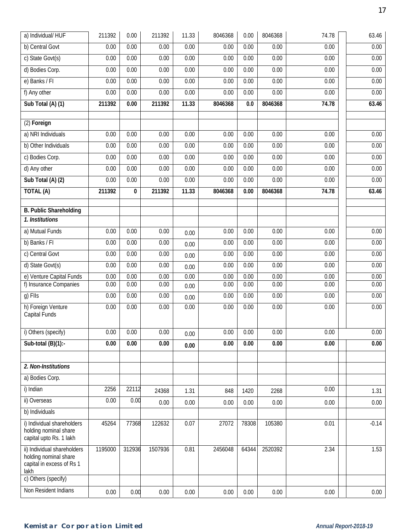| a) Individual/HUF                                                                         | 211392  | 0.00   | 211392  | 11.33 | 8046368 | 0.00  | 8046368 | 74.78 | 63.46   |
|-------------------------------------------------------------------------------------------|---------|--------|---------|-------|---------|-------|---------|-------|---------|
| b) Central Govt                                                                           | 0.00    | 0.00   | 0.00    | 0.00  | 0.00    | 0.00  | 0.00    | 0.00  | 0.00    |
| c) State Govt(s)                                                                          | 0.00    | 0.00   | 0.00    | 0.00  | 0.00    | 0.00  | 0.00    | 0.00  | 0.00    |
| d) Bodies Corp.                                                                           | 0.00    | 0.00   | 0.00    | 0.00  | 0.00    | 0.00  | 0.00    | 0.00  | 0.00    |
| e) Banks / FI                                                                             | 0.00    | 0.00   | 0.00    | 0.00  | 0.00    | 0.00  | 0.00    | 0.00  | 0.00    |
| f) Any other                                                                              | 0.00    | 0.00   | 0.00    | 0.00  | 0.00    | 0.00  | 0.00    | 0.00  | 0.00    |
| Sub Total (A) (1)                                                                         | 211392  | 0.00   | 211392  | 11.33 | 8046368 | 0.0   | 8046368 | 74.78 | 63.46   |
| (2) Foreign                                                                               |         |        |         |       |         |       |         |       |         |
| a) NRI Individuals                                                                        | 0.00    | 0.00   | 0.00    | 0.00  | 0.00    | 0.00  | 0.00    | 0.00  | 0.00    |
| b) Other Individuals                                                                      | 0.00    | 0.00   | 0.00    | 0.00  | 0.00    | 0.00  | 0.00    | 0.00  | 0.00    |
| c) Bodies Corp.                                                                           | 0.00    | 0.00   | 0.00    | 0.00  | 0.00    | 0.00  | 0.00    | 0.00  | 0.00    |
| d) Any other                                                                              | 0.00    | 0.00   | 0.00    | 0.00  | 0.00    | 0.00  | 0.00    | 0.00  | 0.00    |
| Sub Total (A) (2)                                                                         | 0.00    | 0.00   | 0.00    | 0.00  | 0.00    | 0.00  | 0.00    | 0.00  | 0.00    |
| TOTAL (A)                                                                                 | 211392  | 0      | 211392  | 11.33 | 8046368 | 0.00  | 8046368 | 74.78 | 63.46   |
| <b>B. Public Shareholding</b>                                                             |         |        |         |       |         |       |         |       |         |
| 1. Institutions                                                                           |         |        |         |       |         |       |         |       |         |
| a) Mutual Funds                                                                           | 0.00    | 0.00   | 0.00    | 0.00  | 0.00    | 0.00  | 0.00    | 0.00  | 0.00    |
| b) Banks / FI                                                                             | 0.00    | 0.00   | 0.00    | 0.00  | 0.00    | 0.00  | 0.00    | 0.00  | 0.00    |
| c) Central Govt                                                                           | 0.00    | 0.00   | 0.00    | 0.00  | 0.00    | 0.00  | 0.00    | 0.00  | 0.00    |
| d) State Govt(s)                                                                          | 0.00    | 0.00   | 0.00    | 0.00  | 0.00    | 0.00  | 0.00    | 0.00  | 0.00    |
| e) Venture Capital Funds                                                                  | 0.00    | 0.00   | 0.00    | 0.00  | 0.00    | 0.00  | 0.00    | 0.00  | 0.00    |
| f) Insurance Companies                                                                    | 0.00    | 0.00   | 0.00    | 0.00  | 0.00    | 0.00  | 0.00    | 0.00  | 0.00    |
| g) FIIs                                                                                   | 0.00    | 0.00   | 0.00    | 0.00  | 0.00    | 0.00  | 0.00    | 0.00  | 0.00    |
| h) Foreign Venture<br>Capital Funds                                                       | 0.00    | 0.00   | 0.00    | 0.00  | 0.00    | 0.00  | 0.00    | 0.00  | 0.00    |
| i) Others (specify)                                                                       | 0.00    | 0.00   | 0.00    | 0.00  | 0.00    | 0.00  | 0.00    | 0.00  | 0.00    |
| Sub-total (B)(1):-                                                                        | 0.00    | 0.00   | 0.00    | 0.00  | 0.00    | 0.00  | 0.00    | 0.00  | 0.00    |
| 2. Non-Institutions                                                                       |         |        |         |       |         |       |         |       |         |
| a) Bodies Corp.                                                                           |         |        |         |       |         |       |         |       |         |
| i) Indian                                                                                 | 2256    | 22112  | 24368   | 1.31  | 848     | 1420  | 2268    | 0.00  | 1.31    |
| ii) Overseas                                                                              | 0.00    | 0.00   | 0.00    | 0.00  | 0.00    | 0.00  | 0.00    | 0.00  | 0.00    |
| b) Individuals                                                                            |         |        |         |       |         |       |         |       |         |
| i) Individual shareholders<br>holding nominal share<br>capital upto Rs. 1 lakh            | 45264   | 77368  | 122632  | 0.07  | 27072   | 78308 | 105380  | 0.01  | $-0.14$ |
| ii) Individual shareholders<br>holding nominal share<br>capital in excess of Rs 1<br>lakh | 1195000 | 312936 | 1507936 | 0.81  | 2456048 | 64344 | 2520392 | 2.34  | 1.53    |
| c) Others (specify)                                                                       |         |        |         |       |         |       |         |       |         |
| Non Resident Indians                                                                      | 0.00    | 0.00   | 0.00    | 0.00  | 0.00    | 0.00  | 0.00    | 0.00  | 0.00    |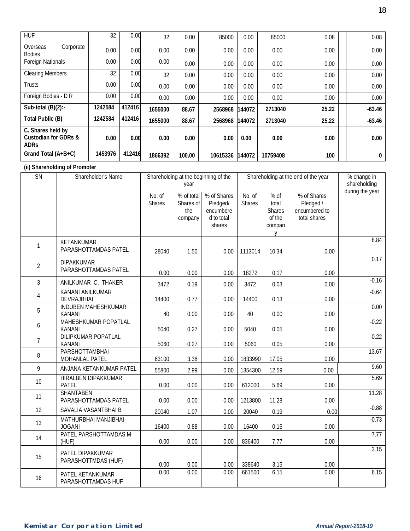| <b>HUF</b>                                                          | 32      | 0.00   | 32      | 0.00   | 85000    | 0.00   | 85000    | 0.08  | 0.08     |
|---------------------------------------------------------------------|---------|--------|---------|--------|----------|--------|----------|-------|----------|
| Overseas<br>Corporate<br><b>Bodies</b>                              | 0.00    | 0.00   | 0.00    | 0.00   | 0.00     | 0.00   | 0.00     | 0.00  | 0.00     |
| <b>Foreign Nationals</b>                                            | 0.00    | 0.00   | 0.00    | 0.00   | 0.00     | 0.00   | 0.00     | 0.00  | 0.00     |
| <b>Clearing Members</b>                                             | 32      | 0.00   | 32      | 0.00   | 0.00     | 0.00   | 0.00     | 0.00  | 0.00     |
| <b>Trusts</b>                                                       | 0.00    | 0.00   | 0.00    | 0.00   | 0.00     | 0.00   | 0.00     | 0.00  | 0.00     |
| Foreign Bodies - D R                                                | 0.00    | 0.00   | 0.00    | 0.00   | 0.00     | 0.00   | 0.00     | 0.00  | 0.00     |
| Sub-total (B)(2):-                                                  | 1242584 | 412416 | 1655000 | 88.67  | 2568968  | 144072 | 2713040  | 25.22 | $-63.46$ |
| Total Public (B)                                                    | 1242584 | 412416 | 1655000 | 88.67  | 2568968  | 144072 | 2713040  | 25.22 | $-63.46$ |
| C. Shares held by<br><b>Custodian for GDRs &amp;</b><br><b>ADRS</b> | 0.00    | 0.00   | 0.00    | 0.00   | 0.00     | 0.00   | 0.00     | 0.00  | 0.00     |
| Grand Total $(A+B+C)$                                               | 1453976 | 412416 | 1866392 | 100.00 | 10615336 | 144072 | 10759408 | 100   | 0        |

# **(ii) Shareholding of Promoter**

| SN             | Shareholder's Name                          |                         | year                                      | Shareholding at the beginning of the                         |                         |                                                           | Shareholding at the end of the year                       | % change in<br>shareholding<br>during the year |
|----------------|---------------------------------------------|-------------------------|-------------------------------------------|--------------------------------------------------------------|-------------------------|-----------------------------------------------------------|-----------------------------------------------------------|------------------------------------------------|
|                |                                             | No. of<br><b>Shares</b> | % of total<br>Shares of<br>the<br>company | % of Shares<br>Pledged/<br>encumbere<br>d to total<br>shares | No. of<br><b>Shares</b> | $%$ of<br>total<br><b>Shares</b><br>of the<br>compan<br>V | % of Shares<br>Pledged /<br>encumbered to<br>total shares |                                                |
| $\mathbf{1}$   | KETANKUMAR<br>PARASHOTTAMDAS PATEL          | 28040                   | 1.50                                      | 0.00                                                         | 1113014                 | 10.34                                                     | 0.00                                                      | 8.84                                           |
| $\overline{2}$ | <b>DIPAKKUMAR</b><br>PARASHOTTAMDAS PATEL   | 0.00                    | 0.00                                      | 0.00                                                         | 18272                   | 0.17                                                      | 0.00                                                      | 0.17                                           |
| $\overline{3}$ | ANILKUMAR C. THAKER                         | 3472                    | 0.19                                      | 0.00                                                         | 3472                    | 0.03                                                      | 0.00                                                      | $-0.16$                                        |
| $\overline{4}$ | KANANI ANILKUMAR<br>DEVRAJBHAI              | 14400                   | 0.77                                      | 0.00                                                         | 14400                   | 0.13                                                      | 0.00                                                      | $-0.64$                                        |
| 5              | <b>INDUBEN MAHESHKUMAR</b><br><b>KANANI</b> | 40                      | 0.00                                      | 0.00                                                         | 40                      | 0.00                                                      | 0.00                                                      | 0.00                                           |
| 6              | MAHESHKUMAR POPATLAL<br>KANANI              | 5040                    | 0.27                                      | 0.00                                                         | 5040                    | 0.05                                                      | 0.00                                                      | $-0.22$                                        |
| $\overline{7}$ | <b>DILIPKUMAR POPATLAL</b><br>KANANI        | 5060                    | 0.27                                      | 0.00                                                         | 5060                    | 0.05                                                      | 0.00                                                      | $-0.22$                                        |
| 8              | <b>PARSHOTTAMBHAI</b><br>MOHANLAL PATEL     | 63100                   | 3.38                                      | 0.00                                                         | 1833990                 | 17.05                                                     | 0.00                                                      | 13.67                                          |
| 9              | ANJANA KETANKUMAR PATEL                     | 55800                   | 2.99                                      | 0.00                                                         | 1354300                 | 12.59                                                     | 0.00                                                      | 9.60                                           |
| 10             | HIRALBEN DIPAKKUMAR<br>PATEL                | 0.00                    | 0.00                                      | 0.00                                                         | 612000                  | 5.69                                                      | 0.00                                                      | 5.69                                           |
| 11             | <b>SHANTABEN</b><br>PARASHOTTAMDAS PATEL    | 0.00                    | 0.00                                      | 0.00                                                         | 1213800                 | 11.28                                                     | 0.00                                                      | 11.28                                          |
| 12             | SAVALIA VASANTBHAI B                        | 20040                   | 1.07                                      | 0.00                                                         | 20040                   | 0.19                                                      | 0.00                                                      | $-0.88$                                        |
| 13             | MATHURBHAI MANJIBHAI<br><b>JOGANI</b>       | 16400                   | 0.88                                      | 0.00                                                         | 16400                   | 0.15                                                      | 0.00                                                      | $-0.73$                                        |
| 14             | PATEL PARSHOTTAMDAS M<br>(HUF)              | 0.00                    | 0.00                                      | 0.00                                                         | 836400                  | 7.77                                                      | 0.00                                                      | 7.77                                           |
| 15             | PATEL DIPAKKUMAR<br>PARASHOTTMDAS (HUF)     | 0.00                    | 0.00                                      | 0.00                                                         | 338640                  | 3.15                                                      | 0.00                                                      | 3.15                                           |
| 16             | PATEL KETANKUMAR<br>PARASHOTTAMDAS HUF      | 0.00                    | 0.00                                      | 0.00                                                         | 661500                  | 6.15                                                      | 0.00                                                      | 6.15                                           |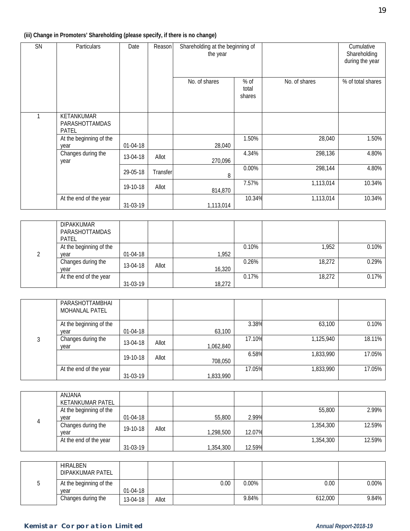# **(iii) Change in Promoters' Shareholding (please specify, if there is no change)**

| SN | <b>Particulars</b>                           | Date           | Reason   | Shareholding at the beginning of<br>the year |                           |               | Cumulative<br>Shareholding<br>during the year |
|----|----------------------------------------------|----------------|----------|----------------------------------------------|---------------------------|---------------|-----------------------------------------------|
|    |                                              |                |          | No. of shares                                | $%$ of<br>total<br>shares | No. of shares | % of total shares                             |
|    | KETANKUMAR<br>PARASHOTTAMDAS<br><b>PATEL</b> |                |          |                                              |                           |               |                                               |
|    | At the beginning of the<br>year              | $01 - 04 - 18$ |          | 28,040                                       | 1.50%                     | 28,040        | 1.50%                                         |
|    | Changes during the<br>year                   | 13-04-18       | Allot    | 270,096                                      | 4.34%                     | 298,136       | 4.80%                                         |
|    |                                              | 29-05-18       | Transfer | 8                                            | 0.00%                     | 298,144       | 4.80%                                         |
|    |                                              | 19-10-18       | Allot    | 814,870                                      | 7.57%                     | 1,113,014     | 10.34%                                        |
|    | At the end of the year                       | 31-03-19       |          | 1,113,014                                    | 10.34%                    | 1,113,014     | 10.34%                                        |

| <b>DIPAKKUMAR</b><br>PARASHOTTAMDAS<br><b>PATEL</b> |            |       |        |       |        |       |
|-----------------------------------------------------|------------|-------|--------|-------|--------|-------|
| At the beginning of the                             |            |       |        | 0.10% | 1,952  | 0.10% |
| vear                                                | 01-04-18   |       | ,952   |       |        |       |
| Changes during the                                  | 13-04-18   | Allot |        | 0.26% | 18,272 | 0.29% |
| year                                                |            |       | 16,320 |       |        |       |
| At the end of the year                              |            |       |        | 0.17% | 18,272 | 0.17% |
|                                                     | $31-03-19$ |       | 18,272 |       |        |       |

| PARASHOTTAMBHAI<br><b>MOHANLAL PATEL</b> |          |       |            |        |           |        |
|------------------------------------------|----------|-------|------------|--------|-----------|--------|
| At the beginning of the                  |          |       |            | 3.38%  | 63,100    | 0.10%  |
| year                                     | 01-04-18 |       | 63,100     |        |           |        |
| Changes during the                       | 13-04-18 | Allot |            | 17.10% | 1,125,940 | 18.11% |
| year                                     |          |       | .062,840 ا |        |           |        |
|                                          | 19-10-18 | Allot |            | 6.58%  | 1,833,990 | 17.05% |
|                                          |          |       | 708,050    |        |           |        |
| At the end of the year                   |          |       |            | 17.05% | 1,833,990 | 17.05% |
|                                          | 31-03-19 |       | ,833,990   |        |           |        |

| ANJANA<br>KETANKUMAR PATEL |          |       |          |        |           |        |
|----------------------------|----------|-------|----------|--------|-----------|--------|
| At the beginning of the    |          |       |          |        | 55,800    | 2.99%  |
| year                       | 01-04-18 |       | 55,800   | 2.99%  |           |        |
| Changes during the         | 19-10-18 | Allot |          |        | 1,354,300 | 12.59% |
| vear                       |          |       | ,298,500 | 12.07% |           |        |
| At the end of the year     |          |       |          |        | 1,354,300 | 12.59% |
|                            | 31-03-19 |       | ,354,300 | 12.59% |           |        |

| HIRALBEN<br>DIPAKKUMAR PATEL |                |       |      |          |         |          |
|------------------------------|----------------|-------|------|----------|---------|----------|
| At the beginning of the      |                |       | 0.00 | $0.00\%$ | 0.00    | $0.00\%$ |
| year                         | $01 - 04 - 18$ |       |      |          |         |          |
| Changes during the           | 13-04-18       | Allot |      | 9.84%    | 612,000 | 9.84%    |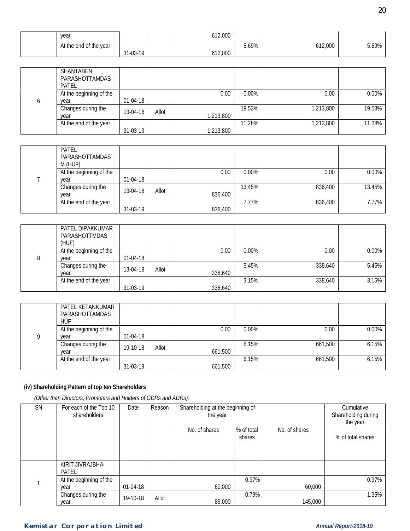| year                   |                                  | 612,000 |       |         |       |
|------------------------|----------------------------------|---------|-------|---------|-------|
| At the end of the year |                                  |         | 5.69% | 612,000 | 5.69% |
|                        | 02.10<br>$\mathbf{A}$<br>31-U3-1 | 612,000 |       |         |       |

| SHANTABEN<br>PARASHOTTAMDAS<br><b>PATEL</b> |                |       |          |          |           |        |
|---------------------------------------------|----------------|-------|----------|----------|-----------|--------|
| At the beginning of the                     |                |       | 0.00     | $0.00\%$ | 0.00      | 0.00%  |
| vear                                        | $01 - 04 - 18$ |       |          |          |           |        |
| Changes during the                          | 13-04-18       | Allot |          | 19.53%   | 1,213,800 | 19.53% |
| vear                                        |                |       | ,213,800 |          |           |        |
| At the end of the year                      |                |       |          | 11.28%   | 1,213,800 | 11.28% |
|                                             | 31-03-19       |       | ,213,800 |          |           |        |

| PATEL<br>PARASHOTTAMDAS<br>M (HUF) |          |       |         |          |         |        |
|------------------------------------|----------|-------|---------|----------|---------|--------|
| At the beginning of the            |          |       | 0.00    | $0.00\%$ | 0.00    | 0.00%  |
| vear                               | 01-04-18 |       |         |          |         |        |
| Changes during the                 | 13-04-18 | Allot |         | 13.45%   | 836,400 | 13.45% |
| vear                               |          |       | 836,400 |          |         |        |
| At the end of the year             |          |       |         | 7.77%    | 836,400 | 7.77%  |
|                                    | 31-03-19 |       | 836,400 |          |         |        |

|   | PATEL DIPAKKUMAR<br>PARASHOTTMDAS<br>(HUF) |            |       |         |          |         |       |
|---|--------------------------------------------|------------|-------|---------|----------|---------|-------|
|   | At the beginning of the                    |            |       | 0.00    | $0.00\%$ | 0.00    | 0.00% |
| 8 | vear                                       | 01-04-18   |       |         |          |         |       |
|   | Changes during the                         | 13-04-18   | Allot |         | 5.45%    | 338,640 | 5.45% |
|   | vear                                       |            |       | 338,640 |          |         |       |
|   | At the end of the year                     |            |       |         | 3.15%    | 338,640 | 3.15% |
|   |                                            | $31-03-19$ |       | 338,640 |          |         |       |

| PATEL KETANKUMAR<br>PARASHOTTAMDAS<br><b>HUF</b> |                |       |         |          |         |       |
|--------------------------------------------------|----------------|-------|---------|----------|---------|-------|
| At the beginning of the                          |                |       | 0.00    | $0.00\%$ | 0.00    | 0.00% |
| vear                                             | $01 - 04 - 18$ |       |         |          |         |       |
| Changes during the                               | 19-10-18       | Allot |         | 6.15%    | 661,500 | 6.15% |
| vear                                             |                |       | 661,500 |          |         |       |
| At the end of the year                           |                |       |         | 6.15%    | 661,500 | 6.15% |
|                                                  | $31-03-19$     |       | 661,500 |          |         |       |

# **(iv) Shareholding Pattern of top ten Shareholders**

 *(Other than Directors, Promoters and Holders of GDRs and ADRs):* 

| <b>SN</b> | For each of the Top 10<br>shareholders | Date     | Reason | Shareholding at the beginning of<br>the year |                      |               | Cumulative<br>Shareholding during<br>the year |
|-----------|----------------------------------------|----------|--------|----------------------------------------------|----------------------|---------------|-----------------------------------------------|
|           |                                        |          |        | No. of shares                                | % of total<br>shares | No. of shares | % of total shares                             |
|           | KIRIT JIVRAJBHAI<br>PATEL              |          |        |                                              |                      |               |                                               |
|           | At the beginning of the                |          |        |                                              | 0.97%                |               | 0.97%                                         |
|           | year                                   | 01-04-18 |        | 60,000                                       |                      | 60,000        |                                               |
|           | Changes during the                     | 19-10-18 | Allot  |                                              | 0.79%                |               | 1.35%                                         |
|           | vear                                   |          |        | 85,000                                       |                      | 145,000       |                                               |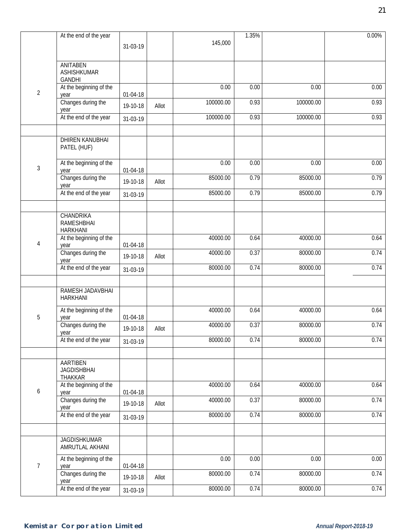|                | At the end of the year                            |                |       |           | 1.35% |           | 0.00% |
|----------------|---------------------------------------------------|----------------|-------|-----------|-------|-----------|-------|
|                |                                                   | 31-03-19       |       | 145,000   |       |           |       |
|                | <b>ANITABEN</b><br>ASHISHKUMAR                    |                |       |           |       |           |       |
|                | <b>GANDHI</b><br>At the beginning of the          |                |       | 0.00      | 0.00  | 0.00      | 0.00  |
| $\overline{2}$ | year                                              | 01-04-18       |       |           |       |           |       |
|                | Changes during the<br>year                        | 19-10-18       | Allot | 100000.00 | 0.93  | 100000.00 | 0.93  |
|                | At the end of the year                            | 31-03-19       |       | 100000.00 | 0.93  | 100000.00 | 0.93  |
|                | DHIREN KANUBHAI<br>PATEL (HUF)                    |                |       |           |       |           |       |
| 3              | At the beginning of the<br>year                   | 01-04-18       |       | 0.00      | 0.00  | 0.00      | 0.00  |
|                | Changes during the<br>year                        | 19-10-18       | Allot | 85000.00  | 0.79  | 85000.00  | 0.79  |
|                | At the end of the year                            | 31-03-19       |       | 85000.00  | 0.79  | 85000.00  | 0.79  |
|                |                                                   |                |       |           |       |           |       |
|                | CHANDRIKA<br><b>RAMESHBHAI</b><br><b>HARKHANI</b> |                |       |           |       |           |       |
| 4              | At the beginning of the<br>year                   | 01-04-18       |       | 40000.00  | 0.64  | 40000.00  | 0.64  |
|                | Changes during the<br>year                        | 19-10-18       | Allot | 40000.00  | 0.37  | 80000.00  | 0.74  |
|                | At the end of the year                            | 31-03-19       |       | 80000.00  | 0.74  | 80000.00  | 0.74  |
|                |                                                   |                |       |           |       |           |       |
|                | RAMESH JADAVBHAI<br><b>HARKHANI</b>               |                |       |           |       |           |       |
| 5              | At the beginning of the<br>year                   | 01-04-18       |       | 40000.00  | 0.64  | 40000.00  | 0.64  |
|                | Changes during the<br>year                        | 19-10-18       | Allot | 40000.00  | 0.37  | 80000.00  | 0.74  |
|                | At the end of the year                            | 31-03-19       |       | 80000.00  | 0.74  | 80000.00  | 0.74  |
|                | AARTIBEN                                          |                |       |           |       |           |       |
|                | <b>JAGDISHBHAI</b><br>THAKKAR                     |                |       |           |       |           |       |
| 6              | At the beginning of the<br>year                   | $01 - 04 - 18$ |       | 40000.00  | 0.64  | 40000.00  | 0.64  |
|                | Changes during the<br>year                        | 19-10-18       | Allot | 40000.00  | 0.37  | 80000.00  | 0.74  |
|                | At the end of the year                            | 31-03-19       |       | 80000.00  | 0.74  | 80000.00  | 0.74  |
|                |                                                   |                |       |           |       |           |       |
|                | <b>JAGDISHKUMAR</b><br>AMRUTLAL AKHANI            |                |       |           |       |           |       |
| $\overline{7}$ | At the beginning of the<br>year                   | 01-04-18       |       | 0.00      | 0.00  | 0.00      | 0.00  |
|                | Changes during the<br>year                        | 19-10-18       | Allot | 80000.00  | 0.74  | 80000.00  | 0.74  |
|                | At the end of the year                            | 31-03-19       |       | 80000.00  | 0.74  | 80000.00  | 0.74  |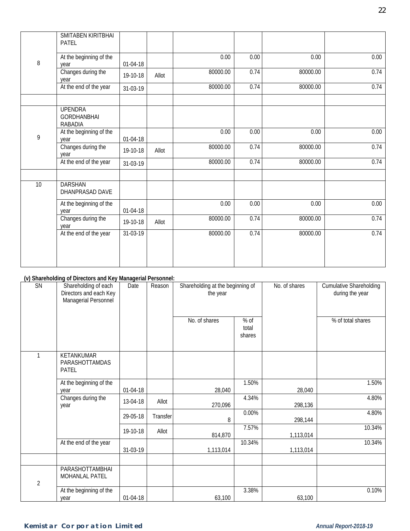|    | SMITABEN KIRITBHAI<br>PATEL                     |                |       |          |      |          |      |
|----|-------------------------------------------------|----------------|-------|----------|------|----------|------|
| 8  | At the beginning of the<br>year                 | 01-04-18       |       | 0.00     | 0.00 | 0.00     | 0.00 |
|    | Changes during the<br>year                      | 19-10-18       | Allot | 80000.00 | 0.74 | 80000.00 | 0.74 |
|    | At the end of the year                          | 31-03-19       |       | 80000.00 | 0.74 | 80000.00 | 0.74 |
|    | <b>UPENDRA</b><br><b>GORDHANBHAI</b><br>RABADIA |                |       |          |      |          |      |
| 9  | At the beginning of the<br>year                 | 01-04-18       |       | 0.00     | 0.00 | 0.00     | 0.00 |
|    | Changes during the<br>year                      | 19-10-18       | Allot | 80000.00 | 0.74 | 80000.00 | 0.74 |
|    | At the end of the year                          | 31-03-19       |       | 80000.00 | 0.74 | 80000.00 | 0.74 |
| 10 | <b>DARSHAN</b><br>DHANPRASAD DAVE               |                |       |          |      |          |      |
|    | At the beginning of the<br>year                 | $01 - 04 - 18$ |       | 0.00     | 0.00 | 0.00     | 0.00 |
|    | Changes during the<br>year                      | 19-10-18       | Allot | 80000.00 | 0.74 | 80000.00 | 0.74 |
|    | At the end of the year                          | $31 - 03 - 19$ |       | 80000.00 | 0.74 | 80000.00 | 0.74 |
|    |                                                 |                |       |          |      |          |      |

#### **(v) Shareholding of Directors and Key Managerial Personnel:**

| SN             | Shareholding of each<br>Directors and each Key<br>Managerial Personnel | Date     | Reason   | Shareholding at the beginning of<br>the year |                           | No. of shares | <b>Cumulative Shareholding</b><br>during the year |
|----------------|------------------------------------------------------------------------|----------|----------|----------------------------------------------|---------------------------|---------------|---------------------------------------------------|
|                |                                                                        |          |          | No. of shares                                | $%$ of<br>total<br>shares |               | % of total shares                                 |
| $\mathbf{1}$   | KETANKUMAR<br>PARASHOTTAMDAS<br>PATEL                                  |          |          |                                              |                           |               |                                                   |
|                | At the beginning of the<br>year                                        | 01-04-18 |          | 28,040                                       | 1.50%                     | 28,040        | 1.50%                                             |
|                | Changes during the<br>year                                             | 13-04-18 | Allot    | 270,096                                      | 4.34%                     | 298,136       | 4.80%                                             |
|                |                                                                        | 29-05-18 | Transfer | 8                                            | 0.00%                     | 298,144       | 4.80%                                             |
|                |                                                                        | 19-10-18 | Allot    | 814,870                                      | 7.57%                     | 1,113,014     | 10.34%                                            |
|                | At the end of the year                                                 | 31-03-19 |          | 1,113,014                                    | 10.34%                    | 1,113,014     | 10.34%                                            |
|                |                                                                        |          |          |                                              |                           |               |                                                   |
| $\overline{2}$ | PARASHOTTAMBHAI<br>MOHANLAL PATEL                                      |          |          |                                              |                           |               |                                                   |
|                | At the beginning of the<br>year                                        | 01-04-18 |          | 63,100                                       | 3.38%                     | 63,100        | 0.10%                                             |

# **Kemistar Corporation Limited** *Annual Report-2018-19*

22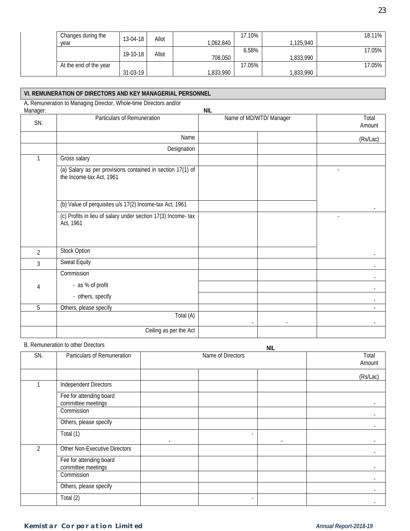| Changes during the     | 13-04-18       | Allot |           | 17.10% |           | 18.11% |
|------------------------|----------------|-------|-----------|--------|-----------|--------|
| vear                   |                |       | 1,062,840 |        | .125.940  |        |
|                        |                | Allot |           | 6.58%  |           | 17.05% |
|                        | 19-10-18       |       | 708,050   |        | 1,833,990 |        |
| At the end of the year |                |       |           | 17.05% |           | 17.05% |
|                        | $31 - 03 - 19$ |       | 1,833,990 |        | ,833,990  |        |

# **VI. REMUNERATION OF DIRECTORS AND KEY MANAGERIAL PERSONNEL**

A**.** Remuneration to Managing Director, Whole-time Directors and/or

|                                                                                        | NIL                                |                 |
|----------------------------------------------------------------------------------------|------------------------------------|-----------------|
| Particulars of Remuneration                                                            | Name of MD/WTD/ Manager            | Total<br>Amount |
| Name                                                                                   |                                    | (Rs/Lac)        |
| Designation                                                                            |                                    |                 |
| Gross salary                                                                           |                                    |                 |
| (a) Salary as per provisions contained in section 17(1) of<br>the Income-tax Act, 1961 |                                    |                 |
| (b) Value of perquisites u/s 17(2) Income-tax Act, 1961                                |                                    |                 |
| (c) Profits in lieu of salary under section 17(3) Income- tax<br>Act, 1961             |                                    |                 |
| Stock Option                                                                           |                                    |                 |
| <b>Sweat Equity</b>                                                                    |                                    |                 |
| Commission                                                                             |                                    |                 |
| - as % of profit                                                                       |                                    |                 |
| - others, specify                                                                      |                                    |                 |
| Others, please specify                                                                 |                                    |                 |
|                                                                                        | $\sim$<br>$\overline{\phantom{a}}$ |                 |
| Ceiling as per the Act                                                                 |                                    |                 |
|                                                                                        | Total (A)                          |                 |

|                | B. Remuneration to other Directors            | <b>NIL</b>               |                 |
|----------------|-----------------------------------------------|--------------------------|-----------------|
| SN.            | Particulars of Remuneration                   | Name of Directors        | Total<br>Amount |
|                |                                               |                          | (Rs/Lac)        |
|                | <b>Independent Directors</b>                  |                          |                 |
|                | Fee for attending board<br>committee meetings |                          |                 |
|                | Commission                                    |                          |                 |
|                | Others, please specify                        |                          |                 |
|                | Total (1)                                     | $\overline{\phantom{a}}$ |                 |
| $\overline{2}$ | <b>Other Non-Executive Directors</b>          |                          |                 |
|                | Fee for attending board<br>committee meetings |                          |                 |
|                | Commission                                    |                          |                 |
|                | Others, please specify                        |                          |                 |
|                | Total (2)                                     | $\overline{\phantom{a}}$ |                 |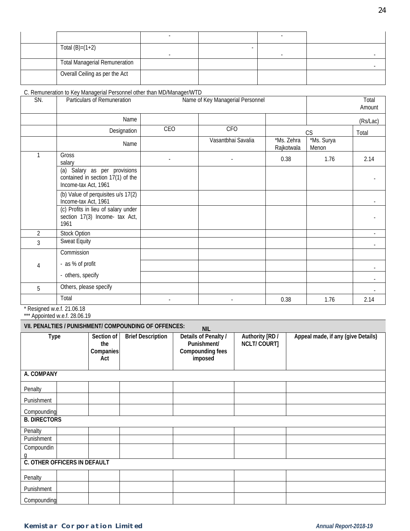| Total $(B)=(1+2)$                    |  |  |
|--------------------------------------|--|--|
| <b>Total Managerial Remuneration</b> |  |  |
| Overall Ceiling as per the Act       |  |  |

C. Remuneration to Key Managerial Personnel other than MD/Manager/WTD

| SN.            | Particulars of Remuneration                                                               | Name of Key Managerial Personnel |                          | Total<br>Amount          |                     |          |
|----------------|-------------------------------------------------------------------------------------------|----------------------------------|--------------------------|--------------------------|---------------------|----------|
|                | Name                                                                                      |                                  |                          |                          |                     | (Rs/Lac) |
|                | Designation                                                                               | CEO                              | <b>CFO</b>               |                          | CS                  | Total    |
|                | Name                                                                                      |                                  | Vasantbhai Savalia       | *Ms. Zehra<br>Rajkotwala | *Ms. Surya<br>Menon |          |
| $\mathbf{1}$   | Gross<br>salary                                                                           |                                  | $\blacksquare$           | 0.38                     | 1.76                | 2.14     |
|                | (a) Salary as per provisions<br>contained in section 17(1) of the<br>Income-tax Act, 1961 |                                  |                          |                          |                     |          |
|                | (b) Value of perquisites u/s 17(2)<br>Income-tax Act, 1961                                |                                  |                          |                          |                     |          |
|                | (c) Profits in lieu of salary under<br>section 17(3) Income- tax Act,<br>1961             |                                  |                          |                          |                     |          |
| $\overline{2}$ | <b>Stock Option</b>                                                                       |                                  |                          |                          |                     |          |
| 3              | <b>Sweat Equity</b>                                                                       |                                  |                          |                          |                     |          |
|                | Commission                                                                                |                                  |                          |                          |                     |          |
| 4              | - as % of profit                                                                          |                                  |                          |                          |                     |          |
|                | - others, specify                                                                         |                                  |                          |                          |                     |          |
| 5              | Others, please specify                                                                    |                                  |                          |                          |                     |          |
| $+$ $ +$ $ +$  | Total<br>6.01.01.10                                                                       | $\sim$                           | $\overline{\phantom{a}}$ | 0.38                     | 1.76                | 2.14     |

\* Resigned w.e.f. 21.06.18

\*\*\* Appointed w.e.f. 28.06.19

| VII. PENALTIES / PUNISHMENT/ COMPOUNDING OF OFFENCES:<br><b>NIL</b> |                                       |                          |                                                                    |                                       |                                    |
|---------------------------------------------------------------------|---------------------------------------|--------------------------|--------------------------------------------------------------------|---------------------------------------|------------------------------------|
| <b>Type</b>                                                         | Section of<br>the<br>Companies<br>Act | <b>Brief Description</b> | Details of Penalty /<br>Punishment/<br>Compounding fees<br>imposed | Authority [RD /<br><b>NCLT/COURT]</b> | Appeal made, if any (give Details) |
| A. COMPANY                                                          |                                       |                          |                                                                    |                                       |                                    |
| Penalty                                                             |                                       |                          |                                                                    |                                       |                                    |
| Punishment                                                          |                                       |                          |                                                                    |                                       |                                    |
| Compounding                                                         |                                       |                          |                                                                    |                                       |                                    |
| <b>B. DIRECTORS</b>                                                 |                                       |                          |                                                                    |                                       |                                    |
| Penalty                                                             |                                       |                          |                                                                    |                                       |                                    |
| Punishment                                                          |                                       |                          |                                                                    |                                       |                                    |
| Compoundin                                                          |                                       |                          |                                                                    |                                       |                                    |
| C. OTHER OFFICERS IN DEFAULT                                        |                                       |                          |                                                                    |                                       |                                    |
| Penalty                                                             |                                       |                          |                                                                    |                                       |                                    |
| Punishment                                                          |                                       |                          |                                                                    |                                       |                                    |
| Compounding                                                         |                                       |                          |                                                                    |                                       |                                    |

24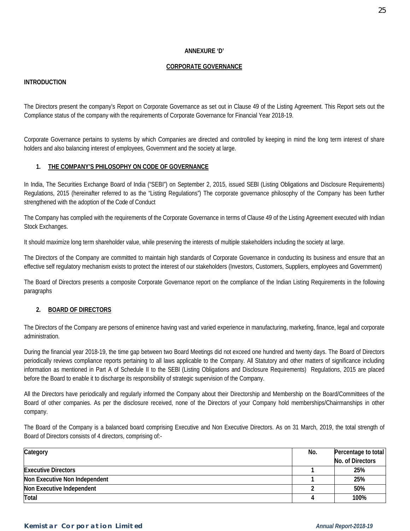#### **ANNEXURE 'D'**

#### **CORPORATE GOVERNANCE**

#### **INTRODUCTION**

The Directors present the company's Report on Corporate Governance as set out in Clause 49 of the Listing Agreement. This Report sets out the Compliance status of the company with the requirements of Corporate Governance for Financial Year 2018-19.

Corporate Governance pertains to systems by which Companies are directed and controlled by keeping in mind the long term interest of share holders and also balancing interest of employees, Government and the society at large.

#### **1. THE COMPANY'S PHILOSOPHY ON CODE OF GOVERNANCE**

In India, The Securities Exchange Board of India ("SEBI") on September 2, 2015, issued SEBI (Listing Obligations and Disclosure Requirements) Regulations, 2015 (hereinafter referred to as the "Listing Regulations") The corporate governance philosophy of the Company has been further strengthened with the adoption of the Code of Conduct

The Company has complied with the requirements of the Corporate Governance in terms of Clause 49 of the Listing Agreement executed with Indian Stock Exchanges.

It should maximize long term shareholder value, while preserving the interests of multiple stakeholders including the society at large.

The Directors of the Company are committed to maintain high standards of Corporate Governance in conducting its business and ensure that an effective self regulatory mechanism exists to protect the interest of our stakeholders (Investors, Customers, Suppliers, employees and Government)

The Board of Directors presents a composite Corporate Governance report on the compliance of the Indian Listing Requirements in the following paragraphs

#### **2. BOARD OF DIRECTORS**

The Directors of the Company are persons of eminence having vast and varied experience in manufacturing, marketing, finance, legal and corporate administration.

During the financial year 2018-19, the time gap between two Board Meetings did not exceed one hundred and twenty days. The Board of Directors periodically reviews compliance reports pertaining to all laws applicable to the Company. All Statutory and other matters of significance including information as mentioned in Part A of Schedule II to the SEBI (Listing Obligations and Disclosure Requirements) Regulations, 2015 are placed before the Board to enable it to discharge its responsibility of strategic supervision of the Company.

All the Directors have periodically and regularly informed the Company about their Directorship and Membership on the Board/Committees of the Board of other companies. As per the disclosure received, none of the Directors of your Company hold memberships/Chairmanships in other company.

The Board of the Company is a balanced board comprising Executive and Non Executive Directors. As on 31 March, 2019, the total strength of Board of Directors consists of 4 directors, comprising of:-

| Category                      | No. | Percentage to total |
|-------------------------------|-----|---------------------|
|                               |     | No. of Directors    |
| <b>Executive Directors</b>    |     | 25%                 |
| Non Executive Non Independent |     | 25%                 |
| Non Executive Independent     |     | 50%                 |
| Total                         |     | 100%                |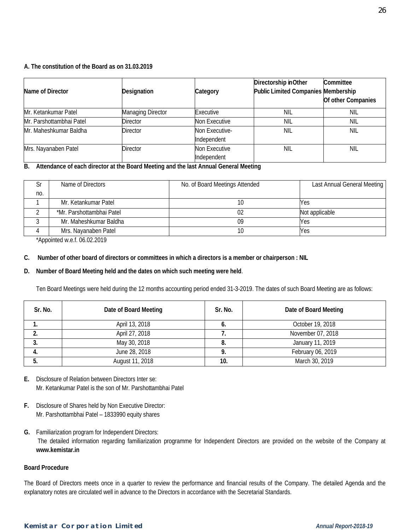#### **A. The constitution of the Board as on 31.03.2019**

| Name of Director         | Designation       | Category                      | Directorship inOther<br>Public Limited Companies Membership | Committee<br>Of other Companies |
|--------------------------|-------------------|-------------------------------|-------------------------------------------------------------|---------------------------------|
| Mr. Ketankumar Patel     | Managing Director | Executive                     | NIL                                                         | NIL                             |
| Mr. Parshottambhai Patel | Director          | Non Executive                 | <b>NIL</b>                                                  | <b>NIL</b>                      |
| Mr. Maheshkumar Baldha   | <b>Director</b>   | Non Executive-<br>Independent | NIL                                                         | <b>NIL</b>                      |
| Mrs. Nayanaben Patel     | Director          | Non Executive<br>Independent  | <b>NIL</b>                                                  | NIL                             |

#### **B. Attendance of each director at the Board Meeting and the last Annual General Meeting**

|     | Name of Directors         | No. of Board Meetings Attended | Last Annual General Meeting |
|-----|---------------------------|--------------------------------|-----------------------------|
| no. |                           |                                |                             |
|     | Mr. Ketankumar Patel      |                                | Yes                         |
|     | *Mr. Parshottambhai Patel |                                | Not applicable              |
|     | Mr. Maheshkumar Baldha    | 09                             | Yes                         |
|     | Mrs. Nayanaben Patel      |                                | Yes                         |

\*Appointed w.e.f. 06.02.2019

#### **C. Number of other board of directors or committees in which a directors is a member or chairperson : NIL**

#### **D. Number of Board Meeting held and the dates on which such meeting were held**.

Ten Board Meetings were held during the 12 months accounting period ended 31-3-2019. The dates of such Board Meeting are as follows:

| Sr. No. | Date of Board Meeting | Sr. No. | Date of Board Meeting |
|---------|-----------------------|---------|-----------------------|
| . .     | April 13, 2018        |         | October 19, 2018      |
| z.      | April 27, 2018        |         | November 07, 2018     |
| J.      | May 30, 2018          | u.      | January 11, 2019      |
|         | June 28, 2018         |         | February 06, 2019     |
|         | August 11, 2018       | 10.     | March 30, 2019        |

- **E.** Disclosure of Relation between Directors Inter se: Mr. Ketankumar Patel is the son of Mr. Parshottambhai Patel
- **F.** Disclosure of Shares held by Non Executive Director: Mr. Parshottambhai Patel – 1833990 equity shares
- **G.** Familiarization program for Independent Directors: The detailed information regarding familiarization programme for Independent Directors are provided on the website of the Company at **www.kemistar.in**

#### **Board Procedure**

The Board of Directors meets once in a quarter to review the performance and financial results of the Company. The detailed Agenda and the explanatory notes are circulated well in advance to the Directors in accordance with the Secretarial Standards.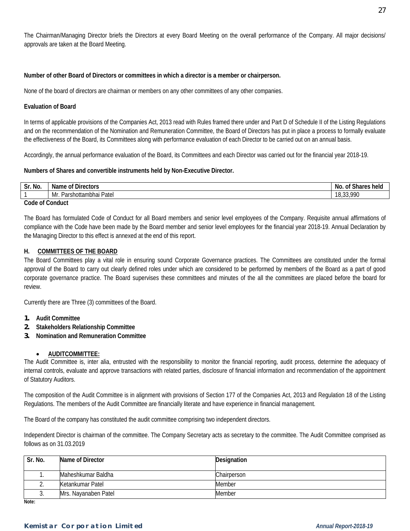The Chairman/Managing Director briefs the Directors at every Board Meeting on the overall performance of the Company. All major decisions/ approvals are taken at the Board Meeting.

#### **Number of other Board of Directors or committees in which a director is a member or chairperson.**

None of the board of directors are chairman or members on any other committees of any other companies.

#### **Evaluation of Board**

In terms of applicable provisions of the Companies Act, 2013 read with Rules framed there under and Part D of Schedule II of the Listing Regulations and on the recommendation of the Nomination and Remuneration Committee, the Board of Directors has put in place a process to formally evaluate the effectiveness of the Board, its Committees along with performance evaluation of each Director to be carried out on an annual basis.

Accordingly, the annual performance evaluation of the Board, its Committees and each Director was carried out for the financial year 2018-19.

#### **Numbers of Shares and convertible instruments held by Non-Executive Director.**

| $c_{r}$<br>Sr. No.      | Directors<br>Name<br>0ľ                                                     | $\sim$<br><b>Shares</b><br>NO.<br>held<br>0Ī |
|-------------------------|-----------------------------------------------------------------------------|----------------------------------------------|
|                         | Pater<br>Mr<br>าottamb<br>، ص<br>1.30 <sub>5</sub><br>∩h∩tt<br>הוור.<br>`aı | $\sim$<br>$\sim$ 0.0<br>yyı                  |
| $\sim$ $\sim$<br>$\sim$ |                                                                             |                                              |

#### **Code of Conduct**

The Board has formulated Code of Conduct for all Board members and senior level employees of the Company. Requisite annual affirmations of compliance with the Code have been made by the Board member and senior level employees for the financial year 2018-19. Annual Declaration by the Managing Director to this effect is annexed at the end of this report.

#### **H. COMMITTEES OF THE BOARD**

The Board Committees play a vital role in ensuring sound Corporate Governance practices. The Committees are constituted under the formal approval of the Board to carry out clearly defined roles under which are considered to be performed by members of the Board as a part of good corporate governance practice. The Board supervises these committees and minutes of the all the committees are placed before the board for review.

Currently there are Three (3) committees of the Board.

- **1. Audit Committee**
- **2. Stakeholders Relationship Committee**
- **3. Nomination and Remuneration Committee**

#### • **AUDITCOMMITTEE:**

The Audit Committee is, inter alia, entrusted with the responsibility to monitor the financial reporting, audit process, determine the adequacy of internal controls, evaluate and approve transactions with related parties, disclosure of financial information and recommendation of the appointment of Statutory Auditors.

The composition of the Audit Committee is in alignment with provisions of Section 177 of the Companies Act, 2013 and Regulation 18 of the Listing Regulations. The members of the Audit Committee are financially literate and have experience in financial management.

The Board of the company has constituted the audit committee comprising two independent directors.

Independent Director is chairman of the committee. The Company Secretary acts as secretary to the committee. The Audit Committee comprised as follows as on 31.03.2019

| Sr. No. | Name of Director     | Designation |
|---------|----------------------|-------------|
|         | Maheshkumar Baldha   | Chairperson |
|         | Ketankumar Patel     | Member      |
| J.      | Mrs. Nayanaben Patel | Member      |

**Note:**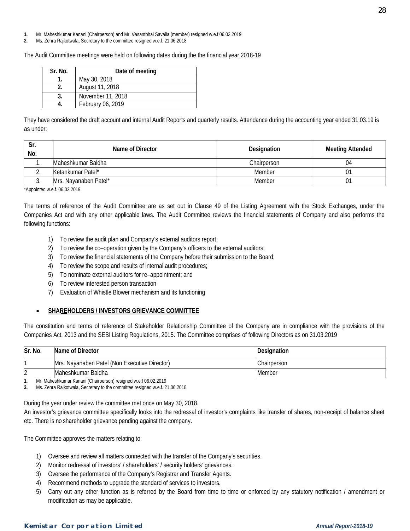- **1.** Mr. Maheshkumar Kanani (Chairperson) and Mr. Vasantbhai Savalia (member) resigned w.e.f 06.02.2019
- **2.** Ms. Zehra Rajkotwala, Secretary to the committee resigned w.e.f. 21.06.2018

The Audit Committee meetings were held on following dates during the the financial year 2018-19

| Sr. No. | Date of meeting   |
|---------|-------------------|
|         | May 30, 2018      |
|         | August 11, 2018   |
|         | November 11, 2018 |
|         | February 06, 2019 |

They have considered the draft account and internal Audit Reports and quarterly results. Attendance during the accounting year ended 31.03.19 is as under:

| Sr.<br>No. | Name of Director                          | Designation | <b>Meeting Attended</b> |
|------------|-------------------------------------------|-------------|-------------------------|
|            | Maheshkumar Baldha                        | Chairperson | J4                      |
|            | Ketankumar Patel*                         | Member      |                         |
| J.         | Mrs. Nayanaben Patel*                     | Member      |                         |
| .          | $\sim$ $\sim$ $\sim$ $\sim$ $\sim$ $\sim$ |             |                         |

\*Appointed w.e.f. 06.02.2019

The terms of reference of the Audit Committee are as set out in Clause 49 of the Listing Agreement with the Stock Exchanges, under the Companies Act and with any other applicable laws. The Audit Committee reviews the financial statements of Company and also performs the following functions:

- 1) To review the audit plan and Company's external auditors report;
- 2) To review the co–operation given by the Company's officers to the external auditors;
- 3) To review the financial statements of the Company before their submission to the Board;
- 4) To review the scope and results of internal audit procedures;
- 5) To nominate external auditors for re–appointment; and
- 6) To review interested person transaction
- 7) Evaluation of Whistle Blower mechanism and its functioning

#### • **SHAREHOLDERS / INVESTORS GRIEVANCE COMMITTEE**

The constitution and terms of reference of Stakeholder Relationship Committee of the Company are in compliance with the provisions of the Companies Act, 2013 and the SEBI Listing Regulations, 2015. The Committee comprises of following Directors as on 31.03.2019

| Sr. No. | Name of Director                              | Designation |
|---------|-----------------------------------------------|-------------|
|         | Mrs. Nayanaben Patel (Non Executive Director) | Chairperson |
|         | Maheshkumar Baldha                            | Member      |

**1.** Mr. Maheshkumar Kanani (Chairperson) resigned w.e.f 06.02.2019

**2.** Ms. Zehra Rajkotwala, Secretary to the committee resigned w.e.f. 21.06.2018

During the year under review the committee met once on May 30, 2018.

An investor's grievance committee specifically looks into the redressal of investor's complaints like transfer of shares, non-receipt of balance sheet etc. There is no shareholder grievance pending against the company.

The Committee approves the matters relating to:

- 1) Oversee and review all matters connected with the transfer of the Company's securities.
- 2) Monitor redressal of investors' / shareholders' / security holders' grievances.
- 3) Oversee the performance of the Company's Registrar and Transfer Agents.
- 4) Recommend methods to upgrade the standard of services to investors.
- 5) Carry out any other function as is referred by the Board from time to time or enforced by any statutory notification / amendment or modification as may be applicable.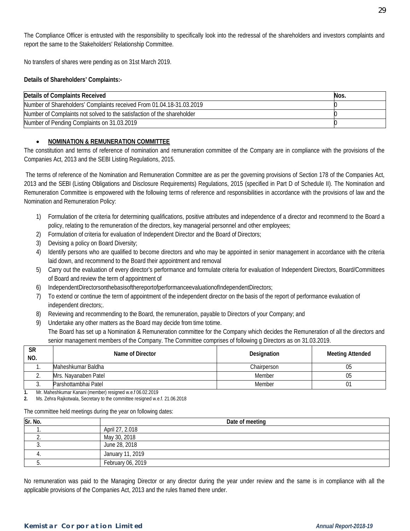The Compliance Officer is entrusted with the responsibility to specifically look into the redressal of the shareholders and investors complaints and report the same to the Stakeholders' Relationship Committee.

No transfers of shares were pending as on 31st March 2019.

**Details of Shareholders' Complaints:-** 

| Details of Complaints Received<br>Nos.                                 |  |
|------------------------------------------------------------------------|--|
| Number of Shareholders' Complaints received From 01.04.18-31.03.2019   |  |
| Number of Complaints not solved to the satisfaction of the shareholder |  |
| Number of Pending Complaints on 31.03.2019                             |  |

#### • **NOMINATION & REMUNERATION COMMITTEE**

The constitution and terms of reference of nomination and remuneration committee of the Company are in compliance with the provisions of the Companies Act, 2013 and the SEBI Listing Regulations, 2015.

The terms of reference of the Nomination and Remuneration Committee are as per the governing provisions of Section 178 of the Companies Act, 2013 and the SEBI (Listing Obligations and Disclosure Requirements) Regulations, 2015 (specified in Part D of Schedule II). The Nomination and Remuneration Committee is empowered with the following terms of reference and responsibilities in accordance with the provisions of law and the Nomination and Remuneration Policy:

- 1) Formulation of the criteria for determining qualifications, positive attributes and independence of a director and recommend to the Board a policy, relating to the remuneration of the directors, key managerial personnel and other employees;
- 2) Formulation of criteria for evaluation of Independent Director and the Board of Directors;
- 3) Devising a policy on Board Diversity;
- 4) Identify persons who are qualified to become directors and who may be appointed in senior management in accordance with the criteria laid down, and recommend to the Board their appointment and removal
- 5) Carry out the evaluation of every director's performance and formulate criteria for evaluation of Independent Directors, Board/Committees of Board and review the term of appointment of
- 6) IndependentDirectorsonthebasisofthereportofperformanceevaluationofIndependentDirectors;
- 7) To extend or continue the term of appointment of the independent director on the basis of the report of performance evaluation of independent directors;.
- 8) Reviewing and recommending to the Board, the remuneration, payable to Directors of your Company; and
- 9) Undertake any other matters as the Board may decide from time totime.
- The Board has set up a Nomination & Remuneration committee for the Company which decides the Remuneration of all the directors and senior management members of the Company. The Committee comprises of following g Directors as on 31.03.2019.

| <b>SR</b><br>NO. | Name of Director     | Designation | <b>Meeting Attended</b> |
|------------------|----------------------|-------------|-------------------------|
|                  | Maheshkumar Baldha   | Chairperson | 05                      |
|                  | Mrs. Nayanaben Patel | Member      | 05                      |
|                  | Parshottambhai Patel | Member      | ∪∣                      |

**1.** Mr. Maheshkumar Kanani (member) resigned w.e.f 06.02.2019

**2.** Ms. Zehra Rajkotwala, Secretary to the committee resigned w.e.f. 21.06.2018

The committee held meetings during the year on following dates:

| Sr. No. | Date of meeting   |
|---------|-------------------|
|         | April 27, 2.018   |
|         | May 30, 2018      |
|         | June 28, 2018     |
|         | January 11, 2019  |
|         | February 06, 2019 |

No remuneration was paid to the Managing Director or any director during the year under review and the same is in compliance with all the applicable provisions of the Companies Act, 2013 and the rules framed there under.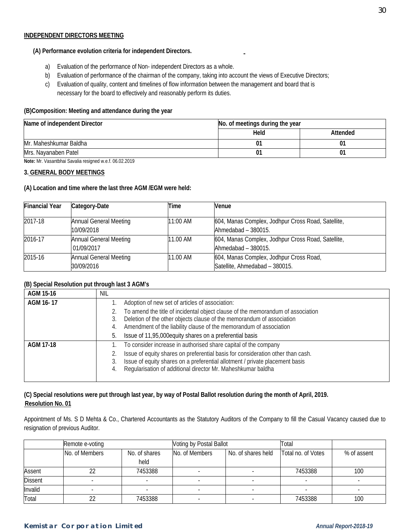#### **INDEPENDENT DIRECTORS MEETING**

#### **(A) Performance evolution criteria for independent Directors.**

- a) Evaluation of the performance of Non- independent Directors as a whole.
- b) Evaluation of performance of the chairman of the company, taking into account the views of Executive Directors;
- c) Evaluation of quality, content and timelines of flow information between the management and board that is
- necessary for the board to effectively and reasonably perform its duties.

#### **(B)Composition: Meeting and attendance during the year**

| Name of independent Director | No. of meetings during the year |          |  |  |
|------------------------------|---------------------------------|----------|--|--|
|                              | Held                            | Attended |  |  |
| Mr. Maheshkumar Baldha       | 01                              |          |  |  |
| Mrs. Nayanaben Patel         | 01                              |          |  |  |

**Note:** Mr. Vasantbhai Savalia resigned w.e.f. 06.02.2019

#### **3. GENERAL BODY MEETINGS**

#### **(A) Location and time where the last three AGM /EGM were held:**

| <b>Financial Year</b> | Category-Date                               | Time     | <b>Venue</b>                                                              |
|-----------------------|---------------------------------------------|----------|---------------------------------------------------------------------------|
| 2017-18               | <b>Annual General Meeting</b><br>10/09/2018 | 11:00 AM | 604, Manas Complex, Jodhpur Cross Road, Satellite,<br>Ahmedabad - 380015. |
| 2016-17               | <b>Annual General Meeting</b><br>01/09/2017 | 11.00 AM | 604, Manas Complex, Jodhpur Cross Road, Satellite,<br>Ahmedabad - 380015. |
| 2015-16               | <b>Annual General Meeting</b><br>30/09/2016 | 11.00 AM | 604, Manas Complex, Jodhpur Cross Road,<br>Satellite, Ahmedabad - 380015. |

#### **(B) Special Resolution put through last 3 AGM's**

| AGM 15-16 | NIL                                                                                                                                                                                                                                   |
|-----------|---------------------------------------------------------------------------------------------------------------------------------------------------------------------------------------------------------------------------------------|
| AGM 16-17 | Adoption of new set of articles of association:                                                                                                                                                                                       |
|           | To amend the title of incidental object clause of the memorandum of association<br>Deletion of the other objects clause of the memorandum of association<br>Amendment of the liability clause of the memorandum of association<br>4.  |
|           | Issue of 11,95,000 equity shares on a preferential basis<br>5.                                                                                                                                                                        |
| AGM 17-18 | To consider increase in authorised share capital of the company                                                                                                                                                                       |
|           | Issue of equity shares on preferential basis for consideration other than cash.<br>Issue of equity shares on a preferential allotment / private placement basis<br>Regularisation of additional director Mr. Maheshkumar baldha<br>4. |

# **(C) Special resolutions were put through last year, by way of Postal Ballot resolution during the month of April, 2019. Resolution No. 01**

Appointment of Ms. S D Mehta & Co., Chartered Accountants as the Statutory Auditors of the Company to fill the Casual Vacancy caused due to resignation of previous Auditor.

|                | Remote e-voting |                       | <b>Voting by Postal Ballot</b> |                    | Total              |             |
|----------------|-----------------|-----------------------|--------------------------------|--------------------|--------------------|-------------|
|                | No. of Members  | No. of shares<br>held | No. of Members                 | No. of shares held | Total no. of Votes | % of assent |
| Assent         |                 | 7453388               |                                |                    | 7453388            | 100         |
| <b>Dissent</b> |                 |                       |                                |                    |                    |             |
| Invalid        |                 |                       |                                |                    |                    |             |
| Total          | 22              | 7453388               |                                |                    | 7453388            | 100         |

#### **Kemistar Corporation Limited**  *Annual Report-2018-19 Annual Report-2018-19*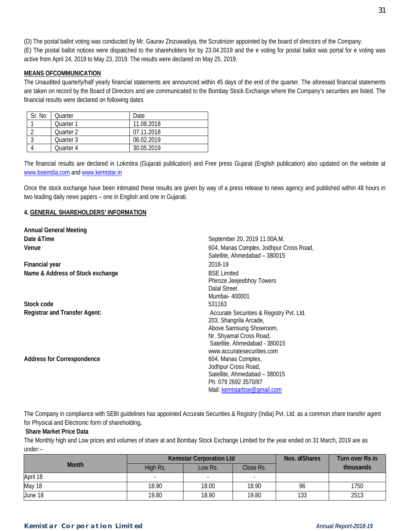(D) The postal ballot voting was conducted by Mr. Gaurav Zinzuwadiya, the Scrutinizer appointed by the board of directors of the Company.

(E) The postal ballot notices were dispatched to the shareholders for by 23.04.2019 and the e voting for postal ballot was portal for e voting was active from April 24, 2019 to May 23, 2019. The results were declared on May 25, 2019.

#### **MEANS OFCOMMUNICATION**

The Unaudited quarterly/half yearly financial statements are announced within 45 days of the end of the quarter. The aforesaid financial statements are taken on record by the Board of Directors and are communicated to the Bombay Stock Exchange where the Company's securities are listed. The financial results were declared on following dates

| Sr. No | Ouarter   | Date       |
|--------|-----------|------------|
|        | Ouarter 1 | 11.08.2018 |
|        | Ouarter 2 | 07.11.2018 |
|        | Ouarter 3 | 06.02.2019 |
|        | Ouarter 4 | 30.05.2019 |

The financial results are declared in Lokmitra (Gujarati publication) and Free press Gujarat (English publication) also updated on the website at www.bseindia.com and www.kemistar.in

Once the stock exchange have been intimated these results are given by way of a press release to news agency and published within 48 hours in two leading daily news papers – one in English and one in Gujarati.

#### **4. GENERAL SHAREHOLDERS' INFORMATION**

| September 20, 2019 11.00A.M.                                                                                                                                                            |  |  |
|-----------------------------------------------------------------------------------------------------------------------------------------------------------------------------------------|--|--|
| 604, Manas Complex, Jodhpur Cross Road,<br>Satellite, Ahmedabad - 380015                                                                                                                |  |  |
| 2018-19                                                                                                                                                                                 |  |  |
| <b>BSE Limited</b><br>Phiroze Jeejeebhoy Towers<br><b>Dalal Street</b><br>Mumbai-400001                                                                                                 |  |  |
| 531163                                                                                                                                                                                  |  |  |
| Accurate Securities & Registry Pvt. Ltd.<br>203, Shangrila Arcade,<br>Above Samsung Showroom,<br>Nr. Shyamal Cross Road,<br>Satellite, Ahmedabad - 380015<br>www.accuratesecurities.com |  |  |
| 604, Manas Complex,<br>Jodhpur Cross Road,<br>Satellite, Ahmedabad - 380015<br>Ph: 079 2692 3570/87<br>Mail: kemistarbse@gmail.com                                                      |  |  |
|                                                                                                                                                                                         |  |  |

The Company in compliance with SEBI guidelines has appointed Accurate Securities & Registry (India) Pvt. Ltd. as a common share transfer agent for Physical and Electronic form of shareholding**.** 

#### **Share Market Price Data**

The Monthly high and Low prices and volumes of share at and Bombay Stock Exchange Limited for the year ended on 31 March, 2019 are as under:–

|              |          | <b>Kemistar Corporation Ltd</b> | Nos. of Shares | Turn over Rs in |           |
|--------------|----------|---------------------------------|----------------|-----------------|-----------|
| <b>Month</b> | High Rs. | Low Rs.                         | Close Rs.      |                 | thousands |
| April 18     |          | $\overline{\phantom{0}}$        |                |                 |           |
| May 18       | 18.90    | 18.00                           | 18.90          | 96              | 1750      |
| June 18      | 19.80    | 18.90                           | 19.80          | 133             | 2513      |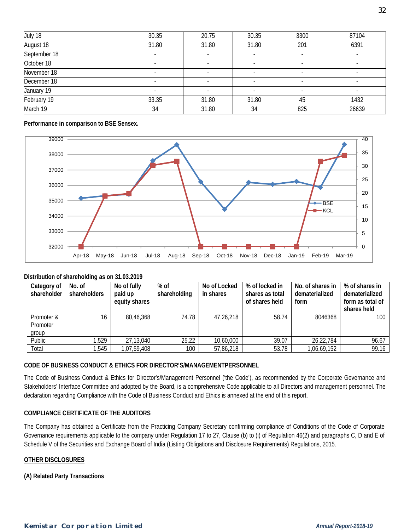| July 18      | 30.35                    | 20.75 | 30.35                    | 3300                     | 87104 |
|--------------|--------------------------|-------|--------------------------|--------------------------|-------|
| August 18    | 31.80                    | 31.80 | 31.80                    | 201                      | 6391  |
| September 18 |                          |       |                          |                          |       |
| October 18   |                          |       |                          |                          |       |
| November 18  | $\overline{\phantom{a}}$ |       | $\overline{\phantom{a}}$ | $\overline{\phantom{a}}$ |       |
| December 18  |                          |       |                          |                          |       |
| January 19   | $\overline{\phantom{a}}$ |       |                          |                          |       |
| February 19  | 33.35                    | 31.80 | 31.80                    | 45                       | 1432  |
| March 19     | 34                       | 31.80 | 34                       | 825                      | 26639 |

**Performance in comparison to BSE Sensex.** 



#### **Distribution of shareholding as on 31.03.2019**

| Category of<br>shareholder      | No. of<br>shareholders | No of fully<br>paid up<br>equity shares | $%$ of<br>shareholding | No of Locked<br>in shares | % of locked in<br>shares as total<br>of shares held | No. of shares in<br>dematerialized<br>form | % of shares in<br>dematerialized<br>form as total of<br>shares held |
|---------------------------------|------------------------|-----------------------------------------|------------------------|---------------------------|-----------------------------------------------------|--------------------------------------------|---------------------------------------------------------------------|
| Promoter &<br>Promoter<br>group | 16                     | 80,46,368                               | 74.78                  | 47,26,218                 | 58.74                                               | 8046368                                    | 100                                                                 |
| Public                          | 1,529                  | 27,13,040                               | 25.22                  | 10,60,000                 | 39.07                                               | 26,22,784                                  | 96.67                                                               |
| Total                           | 1,545                  | 1,07,59,408                             | 100                    | 57,86,218                 | 53.78                                               | 1,06,69,152                                | 99.16                                                               |

#### **CODE OF BUSINESS CONDUCT & ETHICS FOR DIRECTOR'S/MANAGEMENTPERSONNEL**

The Code of Business Conduct & Ethics for Director's/Management Personnel ('the Code'), as recommended by the Corporate Governance and Stakeholders' Interface Committee and adopted by the Board, is a comprehensive Code applicable to all Directors and management personnel. The declaration regarding Compliance with the Code of Business Conduct and Ethics is annexed at the end of this report.

#### **COMPLIANCE CERTIFICATE OF THE AUDITORS**

The Company has obtained a Certificate from the Practicing Company Secretary confirming compliance of Conditions of the Code of Corporate Governance requirements applicable to the company under Regulation 17 to 27, Clause (b) to (i) of Regulation 46(2) and paragraphs C, D and E of Schedule V of the Securities and Exchange Board of India (Listing Obligations and Disclosure Requirements) Regulations, 2015.

#### **OTHER DISCLOSURES**

#### **(A) Related Party Transactions**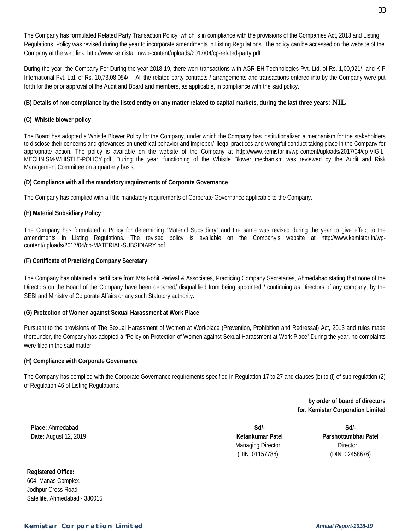The Company has formulated Related Party Transaction Policy, which is in compliance with the provisions of the Companies Act, 2013 and Listing Regulations. Policy was revised during the year to incorporate amendments in Listing Regulations. The policy can be accessed on the website of the Company at the web link: http://www.kemistar.in/wp-content/uploads/2017/04/cp-related-party.pdf

During the year, the Company For During the year 2018-19, there werr transactions with AGR-EH Technologies Pvt. Ltd. of Rs. 1,00,921/- and K P International Pvt. Ltd. of Rs. 10,73,08,054/- All the related party contracts / arrangements and transactions entered into by the Company were put forth for the prior approval of the Audit and Board and members, as applicable, in compliance with the said policy.

#### **(B) Details of non-compliance by the listed entity on any matter related to capital markets, during the last three years**: **NIL**

### **(C) Whistle blower policy**

The Board has adopted a Whistle Blower Policy for the Company, under which the Company has institutionalized a mechanism for the stakeholders to disclose their concerns and grievances on unethical behavior and improper/ illegal practices and wrongful conduct taking place in the Company for appropriate action. The policy is available on the website of the Company at http://www.kemistar.in/wp-content/uploads/2017/04/cp-VIGIL-MECHNISM-WHISTLE-POLICY.pdf. During the year, functioning of the Whistle Blower mechanism was reviewed by the Audit and Risk Management Committee on a quarterly basis.

#### **(D) Compliance with all the mandatory requirements of Corporate Governance**

The Company has complied with all the mandatory requirements of Corporate Governance applicable to the Company.

# **(E) Material Subsidiary Policy**

The Company has formulated a Policy for determining "Material Subsidiary" and the same was revised during the year to give effect to the amendments in Listing Regulations. The revised policy is available on the Company's website at http://www.kemistar.in/wpcontent/uploads/2017/04/cp-MATERIAL-SUBSIDIARY.pdf

# **(F) Certificate of Practicing Company Secretary**

The Company has obtained a certificate from M/s Rohit Periwal & Associates, Practicing Company Secretaries, Ahmedabad stating that none of the Directors on the Board of the Company have been debarred/ disqualified from being appointed / continuing as Directors of any company, by the SEBI and Ministry of Corporate Affairs or any such Statutory authority.

#### **(G) Protection of Women against Sexual Harassment at Work Place**

Pursuant to the provisions of The Sexual Harassment of Women at Workplace (Prevention, Prohibition and Redressal) Act, 2013 and rules made thereunder, the Company has adopted a "Policy on Protection of Women against Sexual Harassment at Work Place".During the year, no complaints were filed in the said matter.

#### **(H) Compliance with Corporate Governance**

The Company has complied with the Corporate Governance requirements specified in Regulation 17 to 27 and clauses (b) to (i) of sub-regulation (2) of Regulation 46 of Listing Regulations.

> **by order of board of directors for, Kemistar Corporation Limited**

**Place:** Ahmedabad **Date:** August 12, 2019

**Sd/- Ketankumar Patel**  Managing Director (DIN: 01157786)

**Sd/- Parshottambhai Patel Director** (DIN: 02458676)

33

#### **Registered Office:**

604, Manas Complex, Jodhpur Cross Road, Satellite, Ahmedabad - 380015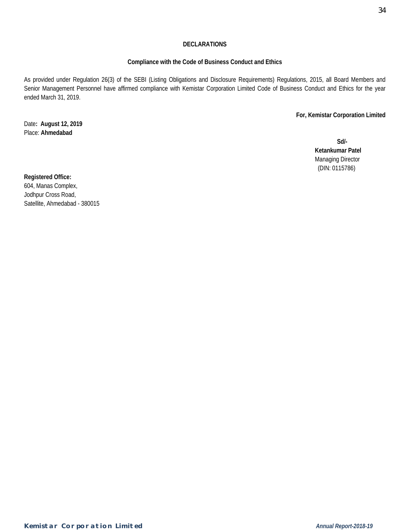# **DECLARATIONS**

# **Compliance with the Code of Business Conduct and Ethics**

As provided under Regulation 26(3) of the SEBI (Listing Obligations and Disclosure Requirements) Regulations, 2015, all Board Members and Senior Management Personnel have affirmed compliance with Kemistar Corporation Limited Code of Business Conduct and Ethics for the year ended March 31, 2019.

**For, Kemistar Corporation Limited** 

Date**: August 12, 2019**  Place: **Ahmedabad** 

> **Sd/- Ketankumar Patel**  Managing Director (DIN: 0115786)

**Registered Office:** 

604, Manas Complex, Jodhpur Cross Road, Satellite, Ahmedabad - 380015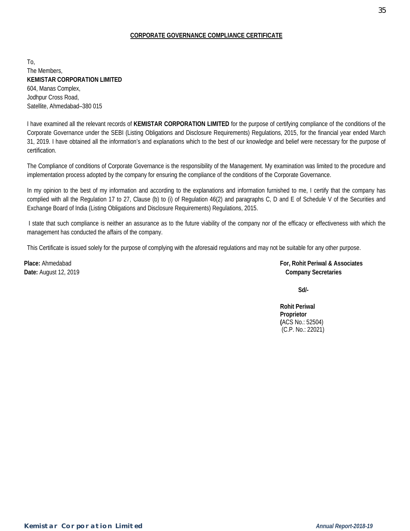## **CORPORATE GOVERNANCE COMPLIANCE CERTIFICATE**

To, The Members, **KEMISTAR CORPORATION LIMITED**  604, Manas Complex, Jodhpur Cross Road, Satellite, Ahmedabad–380 015

I have examined all the relevant records of **KEMISTAR CORPORATION LIMITED** for the purpose of certifying compliance of the conditions of the Corporate Governance under the SEBI (Listing Obligations and Disclosure Requirements) Regulations, 2015, for the financial year ended March 31, 2019. I have obtained all the information's and explanations which to the best of our knowledge and belief were necessary for the purpose of certification.

The Compliance of conditions of Corporate Governance is the responsibility of the Management. My examination was limited to the procedure and implementation process adopted by the company for ensuring the compliance of the conditions of the Corporate Governance.

In my opinion to the best of my information and according to the explanations and information furnished to me, I certify that the company has complied with all the Regulation 17 to 27, Clause (b) to (i) of Regulation 46(2) and paragraphs C, D and E of Schedule V of the Securities and Exchange Board of India (Listing Obligations and Disclosure Requirements) Regulations, 2015.

 I state that such compliance is neither an assurance as to the future viability of the company nor of the efficacy or effectiveness with which the management has conducted the affairs of the company.

This Certificate is issued solely for the purpose of complying with the aforesaid regulations and may not be suitable for any other purpose.

**Place:** Ahmedabad **For, Rohit Periwal & Associates Date:** August 12, 2019 **Company Secretaries Company Secretaries Company Secretaries Company Secretaries** 

**Sd/-** 

**Rohit Periwal Proprietor (**ACS No.: 52504) (C.P. No.: 22021)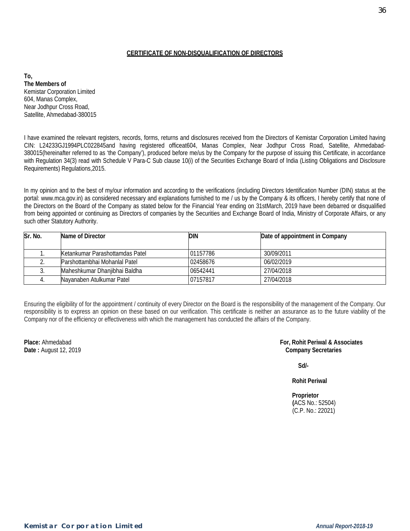# **CERTIFICATE OF NON-DISQUALIFICATION OF DIRECTORS**

**To, The Members of**  Kemistar Corporation Limited 604, Manas Complex, Near Jodhpur Cross Road, Satellite, Ahmedabad-380015

I have examined the relevant registers, records, forms, returns and disclosures received from the Directors of Kemistar Corporation Limited having CIN: L24233GJ1994PLC022845and having registered officeat604, Manas Complex, Near Jodhpur Cross Road, Satellite, Ahmedabad-380015(hereinafter referred to as 'the Company'), produced before me/us by the Company for the purpose of issuing this Certificate, in accordance with Regulation 34(3) read with Schedule V Para-C Sub clause 10(i) of the Securities Exchange Board of India (Listing Obligations and Disclosure Requirements) Regulations,2015.

In my opinion and to the best of my/our information and according to the verifications (including Directors Identification Number (DIN) status at the portal: www.mca.gov.in) as considered necessary and explanations furnished to me / us by the Company & its officers, I hereby certify that none of the Directors on the Board of the Company as stated below for the Financial Year ending on 31stMarch, 2019 have been debarred or disqualified from being appointed or continuing as Directors of companies by the Securities and Exchange Board of India, Ministry of Corporate Affairs, or any such other Statutory Authority.

| Sr. No. | Name of Director                | DIN      | Date of appointment in Company |
|---------|---------------------------------|----------|--------------------------------|
|         | Ketankumar Parashottamdas Patel | 01157786 | 30/09/2011                     |
|         | Parshottambhai Mohanlal Patel   | 02458676 | 06/02/2019                     |
|         | Maheshkumar Dhanjibhai Baldha   | 06542441 | 27/04/2018                     |
|         | Nayanaben Atulkumar Patel       | 07157817 | 27/04/2018                     |

Ensuring the eligibility of for the appointment / continuity of every Director on the Board is the responsibility of the management of the Company. Our responsibility is to express an opinion on these based on our verification. This certificate is neither an assurance as to the future viability of the Company nor of the efficiency or effectiveness with which the management has conducted the affairs of the Company.

## **Place:** Ahmedabad **For, Rohit Periwal & Associates Date : August 12, 2019** Company Secretaries **Company Secretaries Company Secretaries Company Secretaries Company Secretaries**

**Sd/-** 

## **Rohit Periwal**

**Proprietor (**ACS No.: 52504) (C.P. No.: 22021)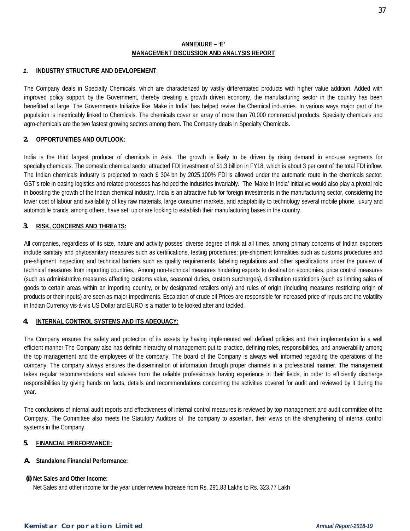# **ANNEXURE – 'E' MANAGEMENT DISCUSSION AND ANALYSIS REPORT**

## *1.* **INDUSTRY STRUCTURE AND DEVLOPEMENT**:

The Company deals in Specialty Chemicals, which are characterized by vastly differentiated products with higher value addition. Added with improved policy support by the Government, thereby creating a growth driven economy, the manufacturing sector in the country has been benefitted at large. The Governments Initiative like 'Make in India' has helped revive the Chemical industries. In various ways major part of the population is inextricably linked to Chemicals. The chemicals cover an array of more than 70,000 commercial products. Specialty chemicals and agro-chemicals are the two fastest growing sectors among them. The Company deals in Specialty Chemicals.

# **2. OPPORTUNITIES AND OUTLOOK:**

India is the third largest producer of chemicals in Asia. The growth is likely to be driven by rising demand in end-use segments for specialty chemicals. The domestic chemical sector attracted FDI investment of \$1.3 billion in FY18, which is about 3 per cent of the total FDI inflow. The Indian chemicals industry is projected to reach \$ 304 bn by 2025.100% FDI is allowed under the automatic route in the chemicals sector. GST's role in easing logistics and related processes has helped the industries invariably. The 'Make In India' initiative would also play a pivotal role in boosting the growth of the Indian chemical industry. India is an attractive hub for foreign investments in the manufacturing sector, considering the lower cost of labour and availability of key raw materials, large consumer markets, and adaptability to technology several mobile phone, luxury and automobile brands, among others, have set up or are looking to establish their manufacturing bases in the country.

# **3. RISK, CONCERNS AND THREATS:**

All companies, regardless of its size, nature and activity posses' diverse degree of risk at all times, among primary concerns of Indian exporters include sanitary and phytosanitary measures such as certifications, testing procedures; pre-shipment formalities such as customs procedures and pre-shipment inspection; and technical barriers such as quality requirements, labeling regulations and other specifications under the purview of technical measures from importing countries,. Among non-technical measures hindering exports to destination economies, price control measures (such as administrative measures affecting customs value, seasonal duties, custom surcharges), distribution restrictions (such as limiting sales of goods to certain areas within an importing country, or by designated retailers only) and rules of origin (including measures restricting origin of products or their inputs) are seen as major impediments. Escalation of crude oil Prices are responsible for increased price of inputs and the volatility in Indian Currency vis-à-vis US Dollar and EURO is a matter to be looked after and tackled.

## **4. INTERNAL CONTROL SYSTEMS AND ITS ADEQUACY:**

The Company ensures the safety and protection of its assets by having implemented well defined policies and their implementation in a well efficient manner The Company also has definite hierarchy of management put to practice, defining roles, responsibilities, and answerability among the top management and the employees of the company. The board of the Company is always well informed regarding the operations of the company. The company always ensures the dissemination of information through proper channels in a professional manner. The management takes regular recommendations and advises from the reliable professionals having experience in their fields, in order to efficiently discharge responsibilities by giving hands on facts, details and recommendations concerning the activities covered for audit and reviewed by it during the year.

The conclusions of internal audit reports and effectiveness of internal control measures is reviewed by top management and audit committee of the Company. The Committee also meets the Statutory Auditors of the company to ascertain, their views on the strengthening of internal control systems in the Company.

## **5. FINANCIAL PERFORMANCE:**

# **A. Standalone Financial Performance:**

## **(i) Net Sales and Other Income:**

Net Sales and other income for the year under review Increase from Rs. 291.83 Lakhs to Rs. 323.77 Lakh

# **Kemistar Corporation Limited** *Annual Report-2018-19*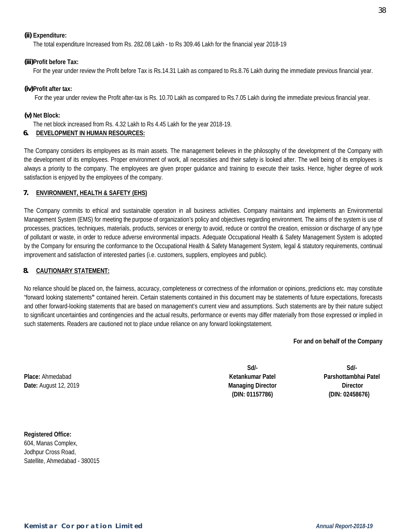## **(ii) Expenditure:**

The total expenditure Increased from Rs. 282.08 Lakh - to Rs 309.46 Lakh for the financial year 2018-19

## **(iii)Profit before Tax:**

For the year under review the Profit before Tax is Rs.14.31 Lakh as compared to Rs.8.76 Lakh during the immediate previous financial year.

## **(iv)Profit after tax:**

For the year under review the Profit after-tax is Rs. 10.70 Lakh as compared to Rs.7.05 Lakh during the immediate previous financial year.

## **(v) Net Block:**

The net block increased from Rs. 4.32 Lakh to Rs 4.45 Lakh for the year 2018-19.

## **6. DEVELOPMENT IN HUMAN RESOURCES:**

The Company considers its employees as its main assets. The management believes in the philosophy of the development of the Company with the development of its employees. Proper environment of work, all necessities and their safety is looked after. The well being of its employees is always a priority to the company. The employees are given proper guidance and training to execute their tasks. Hence, higher degree of work satisfaction is enjoyed by the employees of the company.

# **7. ENVIRONMENT, HEALTH & SAFETY (EHS)**

The Company commits to ethical and sustainable operation in all business activities. Company maintains and implements an Environmental Management System (EMS) for meeting the purpose of organization's policy and objectives regarding environment. The aims of the system is use of processes, practices, techniques, materials, products, services or energy to avoid, reduce or control the creation, emission or discharge of any type of pollutant or waste, in order to reduce adverse environmental impacts. Adequate Occupational Health & Safety Management System is adopted by the Company for ensuring the conformance to the Occupational Health & Safety Management System, legal & statutory requirements, continual improvement and satisfaction of interested parties (i.e. customers, suppliers, employees and public).

## **8. CAUTIONARY STATEMENT:**

No reliance should be placed on, the fairness, accuracy, completeness or correctness of the information or opinions, predictions etc. may constitute "forward looking statements**"** contained herein. Certain statements contained in this document may be statements of future expectations, forecasts and other forward-looking statements that are based on management's current view and assumptions. Such statements are by their nature subject to significant uncertainties and contingencies and the actual results, performance or events may differ materially from those expressed or implied in such statements. Readers are cautioned not to place undue reliance on any forward lookingstatement.

**For and on behalf of the Company**

**Place:** Ahmedabad **Date:** August 12, 2019

**Sd/- Ketankumar Patel Managing Director (DIN: 01157786)** 

**Sd/- Parshottambhai Patel Director (DIN: 02458676)** 

**Registered Office:**  604, Manas Complex, Jodhpur Cross Road, Satellite, Ahmedabad - 380015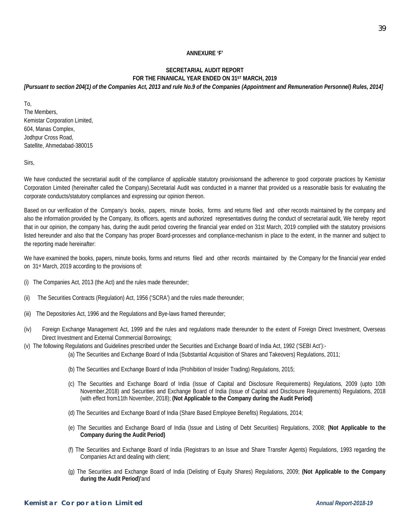## **ANNEXURE 'F'**

# **SECRETARIAL AUDIT REPORT FOR THE FINANICAL YEAR ENDED ON 31ST MARCH, 2019**  *[Pursuant to section 204(1) of the Companies Act, 2013 and rule No.9 of the Companies (Appointment and Remuneration Personnel) Rules, 2014]*

To, The Members, Kemistar Corporation Limited, 604, Manas Complex, Jodhpur Cross Road, Satellite, Ahmedabad-380015

Sirs,

We have conducted the secretarial audit of the compliance of applicable statutory provisionsand the adherence to good corporate practices by Kemistar Corporation Limited (hereinafter called the Company).Secretarial Audit was conducted in a manner that provided us a reasonable basis for evaluating the corporate conducts/statutory compliances and expressing our opinion thereon.

Based on our verification of the Company's books, papers, minute books, forms and returns filed and other records maintained by the company and also the information provided by the Company, its officers, agents and authorized representatives during the conduct of secretarial audit, We hereby report that in our opinion, the company has, during the audit period covering the financial year ended on 31st March, 2019 complied with the statutory provisions listed hereunder and also that the Company has proper Board-processes and compliance-mechanism in place to the extent, in the manner and subject to the reporting made hereinafter:

We have examined the books, papers, minute books, forms and returns filed and other records maintained by the Company for the financial year ended on 31st March, 2019 according to the provisions of:

- (i) The Companies Act, 2013 (the Act) and the rules made thereunder;
- (ii) The Securities Contracts (Regulation) Act, 1956 ('SCRA') and the rules made thereunder;
- (iii) The Depositories Act, 1996 and the Regulations and Bye-laws framed thereunder;
- (iv) Foreign Exchange Management Act, 1999 and the rules and regulations made thereunder to the extent of Foreign Direct Investment, Overseas Direct Investment and External Commercial Borrowings;
- (v) The following Regulations and Guidelines prescribed under the Securities and Exchange Board of India Act, 1992 ('SEBI Act'):-
	- (a) The Securities and Exchange Board of India (Substantial Acquisition of Shares and Takeovers) Regulations, 2011;
	- (b) The Securities and Exchange Board of India (Prohibition of Insider Trading) Regulations, 2015;
	- (c) The Securities and Exchange Board of India (Issue of Capital and Disclosure Requirements) Regulations, 2009 (upto 10th November,2018) and Securities and Exchange Board of India (Issue of Capital and Disclosure Requirements) Regulations, 2018 (with effect from11th November, 2018); **(Not Applicable to the Company during the Audit Period)**
	- (d) The Securities and Exchange Board of India (Share Based Employee Benefits) Regulations, 2014;
	- (e) The Securities and Exchange Board of India (Issue and Listing of Debt Securities) Regulations, 2008; **(Not Applicable to the Company during the Audit Period)**
	- (f) The Securities and Exchange Board of India (Registrars to an Issue and Share Transfer Agents) Regulations, 1993 regarding the Companies Act and dealing with client;
	- (g) The Securities and Exchange Board of India (Delisting of Equity Shares) Regulations, 2009; **(Not Applicable to the Company during the Audit Period)'**and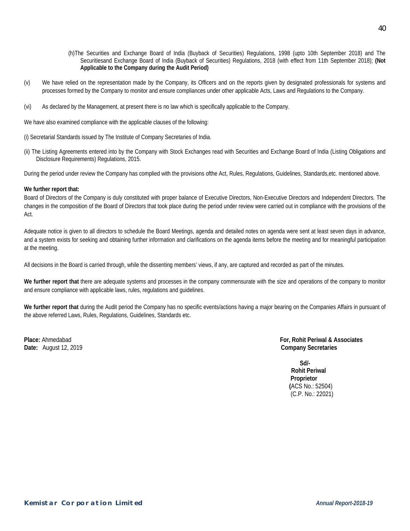- (h)The Securities and Exchange Board of India (Buyback of Securities) Regulations, 1998 (upto 10th September 2018) and The Securitiesand Exchange Board of India (Buyback of Securities) Regulations, 2018 (with effect from 11th September 2018); **(Not Applicable to the Company during the Audit Period)**
- (v) We have relied on the representation made by the Company, its Officers and on the reports given by designated professionals for systems and processes formed by the Company to monitor and ensure compliances under other applicable Acts, Laws and Regulations to the Company.
- (vi) As declared by the Management, at present there is no law which is specifically applicable to the Company.

We have also examined compliance with the applicable clauses of the following:

(i) Secretarial Standards issued by The Institute of Company Secretaries of India.

(ii) The Listing Agreements entered into by the Company with Stock Exchanges read with Securities and Exchange Board of India (Listing Obligations and Disclosure Requirements) Regulations, 2015.

During the period under review the Company has complied with the provisions ofthe Act, Rules, Regulations, Guidelines, Standards,etc. mentioned above.

## **We further report that:**

Board of Directors of the Company is duly constituted with proper balance of Executive Directors, Non-Executive Directors and Independent Directors. The changes in the composition of the Board of Directors that took place during the period under review were carried out in compliance with the provisions of the Act.

Adequate notice is given to all directors to schedule the Board Meetings, agenda and detailed notes on agenda were sent at least seven days in advance, and a system exists for seeking and obtaining further information and clarifications on the agenda items before the meeting and for meaningful participation at the meeting.

All decisions in the Board is carried through, while the dissenting members' views, if any, are captured and recorded as part of the minutes.

**We further report that** there are adequate systems and processes in the company commensurate with the size and operations of the company to monitor and ensure compliance with applicable laws, rules, regulations and guidelines.

**We further report that** during the Audit period the Company has no specific events/actions having a major bearing on the Companies Affairs in pursuant of the above referred Laws, Rules, Regulations, Guidelines, Standards etc.

**Date:** August 12, 2019 **Company Secretaries Company Secretaries Company Secretaries** 

**Place:** Ahmedabad **For, Rohit Periwal & Associates** 

**Sd/- Sd/- Sd/- Sd/- Sd/- Sd/- Sd/- Sd/- Sd/- Sd/- Sd/- Sd/- Sd/- Sd/- Sd/- Sd/- Sd/- Sd/- Sd/- Sd/- Sd/- Sd/- Sd/- Sd/- Sd/- Sd/- Sd/- Sd/- Sd/- Sd/- Sd/- Sd/- Rohit Periwal Albert Property Albert Periwal Albert Periwal Albert Periwal Albert Periwal Albert Periwal Albert Periwal Albert Periwal Albert Periwal Albert Periwal Albert Periwal Albert Periwal Albert Periwal Albert Per Proprietor (**ACS No.: 52504) (C.P. No.: 22021)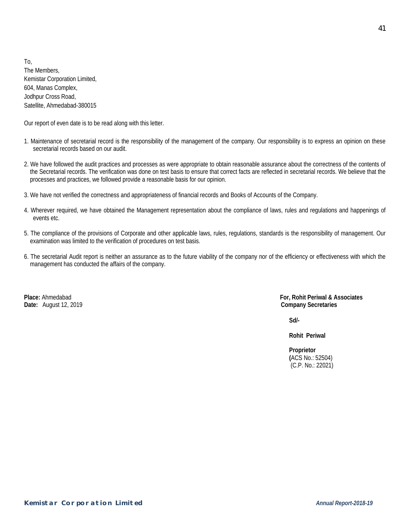To, The Members, Kemistar Corporation Limited, 604, Manas Complex, Jodhpur Cross Road, Satellite, Ahmedabad-380015

Our report of even date is to be read along with this letter.

- 1. Maintenance of secretarial record is the responsibility of the management of the company. Our responsibility is to express an opinion on these secretarial records based on our audit.
- 2. We have followed the audit practices and processes as were appropriate to obtain reasonable assurance about the correctness of the contents of the Secretarial records. The verification was done on test basis to ensure that correct facts are reflected in secretarial records. We believe that the processes and practices, we followed provide a reasonable basis for our opinion.
- 3. We have not verified the correctness and appropriateness of financial records and Books of Accounts of the Company.
- 4. Wherever required, we have obtained the Management representation about the compliance of laws, rules and regulations and happenings of events etc.
- 5. The compliance of the provisions of Corporate and other applicable laws, rules, regulations, standards is the responsibility of management. Our examination was limited to the verification of procedures on test basis.
- 6. The secretarial Audit report is neither an assurance as to the future viability of the company nor of the efficiency or effectiveness with which the management has conducted the affairs of the company.

**Place:** Ahmedabad **For, Rohit Periwal & Associates Date:** August 12, 2019 **Company Secretaries Company Secretaries Company Secretaries** 

 **Sd/-** 

**Rohit Periwal** 

**Proprietor (**ACS No.: 52504) (C.P. No.: 22021)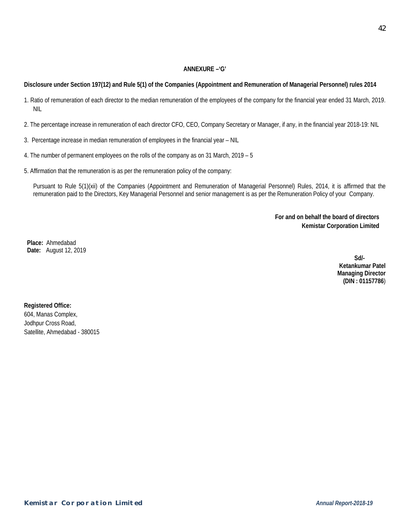## **ANNEXURE –'G'**

# **Disclosure under Section 197(12) and Rule 5(1) of the Companies (Appointment and Remuneration of Managerial Personnel) rules 2014**

- 1. Ratio of remuneration of each director to the median remuneration of the employees of the company for the financial year ended 31 March, 2019. NIL
- 2. The percentage increase in remuneration of each director CFO, CEO, Company Secretary or Manager, if any, in the financial year 2018-19: NIL
- 3. Percentage increase in median remuneration of employees in the financial year NIL
- 4. The number of permanent employees on the rolls of the company as on 31 March, 2019 5
- 5. Affirmation that the remuneration is as per the remuneration policy of the company:

 Pursuant to Rule 5(1)(xii) of the Companies (Appointment and Remuneration of Managerial Personnel) Rules, 2014, it is affirmed that the remuneration paid to the Directors, Key Managerial Personnel and senior management is as per the Remuneration Policy of your Company.

> **For and on behalf the board of directors Kemistar Corporation Limited**

**Place:** Ahmedabad  **Date:** August 12, 2019

> **Sd/- Ketankumar Patel Managing Director (DIN : 01157786**)

**Registered Office:**  604, Manas Complex, Jodhpur Cross Road, Satellite, Ahmedabad - 380015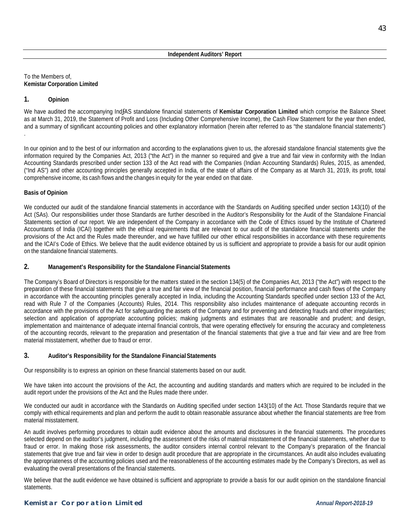**Independent Auditors' Report** 

## To the Members of, **Kemistar Corporation Limited**

# **1. Opinion**

We have audited the accompanying Ind AS standalone financial statements of **Kemistar Corporation Limited** which comprise the Balance Sheet as at March 31, 2019, the Statement of Profit and Loss (Including Other Comprehensive Income), the Cash Flow Statement for the year then ended, and a summary of significant accounting policies and other explanatory information (herein after referred to as "the standalone financial statements") .

In our opinion and to the best of our information and according to the explanations given to us, the aforesaid standalone financial statements give the information required by the Companies Act, 2013 ("the Act") in the manner so required and give a true and fair view in conformity with the Indian Accounting Standards prescribed under section 133 of the Act read with the Companies (Indian Accounting Standards) Rules, 2015, as amended, ("Ind AS") and other accounting principles generally accepted in India, of the state of affairs of the Company as at March 31, 2019, its profit, total comprehensive income, its cash flows and the changes in equity for the year ended on that date.

## **Basis of Opinion**

We conducted our audit of the standalone financial statements in accordance with the Standards on Auditing specified under section 143(10) of the Act (SAs). Our responsibilities under those Standards are further described in the Auditor's Responsibility for the Audit of the Standalone Financial Statements section of our report. We are independent of the Company in accordance with the Code of Ethics issued by the Institute of Chartered Accountants of India (ICAI) together with the ethical requirements that are relevant to our audit of the standalone financial statements under the provisions of the Act and the Rules made thereunder, and we have fulfilled our other ethical responsibilities in accordance with these requirements and the ICAI's Code of Ethics. We believe that the audit evidence obtained by us is sufficient and appropriate to provide a basis for our audit opinion on the standalone financial statements.

# **2. Management's Responsibility for the Standalone Financial Statements**

The Company's Board of Directors is responsible for the matters stated in the section 134(5) of the Companies Act, 2013 ("the Act") with respect to the preparation of these financial statements that give a true and fair view of the financial position, financial performance and cash flows of the Company in accordance with the accounting principles generally accepted in India, including the Accounting Standards specified under section 133 of the Act, read with Rule 7 of the Companies (Accounts) Rules, 2014. This responsibility also includes maintenance of adequate accounting records in accordance with the provisions of the Act for safeguarding the assets of the Company and for preventing and detecting frauds and other irregularities; selection and application of appropriate accounting policies; making judgments and estimates that are reasonable and prudent; and design, implementation and maintenance of adequate internal financial controls, that were operating effectively for ensuring the accuracy and completeness of the accounting records, relevant to the preparation and presentation of the financial statements that give a true and fair view and are free from material misstatement, whether due to fraud or error.

## **3. Auditor's Responsibility for the Standalone Financial Statements**

Our responsibility is to express an opinion on these financial statements based on our audit.

We have taken into account the provisions of the Act, the accounting and auditing standards and matters which are required to be included in the audit report under the provisions of the Act and the Rules made there under.

We conducted our audit in accordance with the Standards on Auditing specified under section 143(10) of the Act. Those Standards require that we comply with ethical requirements and plan and perform the audit to obtain reasonable assurance about whether the financial statements are free from material misstatement.

An audit involves performing procedures to obtain audit evidence about the amounts and disclosures in the financial statements. The procedures selected depend on the auditor's judgment, including the assessment of the risks of material misstatement of the financial statements, whether due to fraud or error. In making those risk assessments, the auditor considers internal control relevant to the Company's preparation of the financial statements that give true and fair view in order to design audit procedure that are appropriate in the circumstances. An audit also includes evaluating the appropriateness of the accounting policies used and the reasonableness of the accounting estimates made by the Company's Directors, as well as evaluating the overall presentations of the financial statements.

We believe that the audit evidence we have obtained is sufficient and appropriate to provide a basis for our audit opinion on the standalone financial statements.

# **Kemistar Corporation Limited**  *Annual Report-2018-19 Annual Report-2018-19*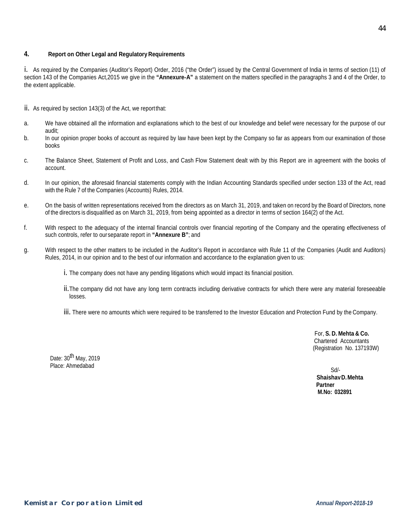## **4. Report on Other Legal and Regulatory Requirements**

i. As required by the Companies (Auditor's Report) Order, 2016 ("the Order") issued by the Central Government of India in terms of section (11) of section 143 of the Companies Act,2015 we give in the "Annexure-A" a statement on the matters specified in the paragraphs 3 and 4 of the Order, to the extent applicable.

- ii. As required by section 143(3) of the Act, we report that:
- a. We have obtained all the information and explanations which to the best of our knowledge and belief were necessary for the purpose of our audit;
- b. In our opinion proper books of account as required by law have been kept by the Company so far as appears from our examination of those books
- c. The Balance Sheet, Statement of Profit and Loss, and Cash Flow Statement dealt with by this Report are in agreement with the books of account.
- d. In our opinion, the aforesaid financial statements comply with the Indian Accounting Standards specified under section 133 of the Act, read with the Rule 7 of the Companies (Accounts) Rules, 2014.
- e. On the basis of written representations received from the directors as on March 31, 2019, and taken on record by the Board of Directors, none of the directors is disqualified as on March 31, 2019, from being appointed as a director in terms of section 164(2) of the Act.
- f. With respect to the adequacy of the internal financial controls over financial reporting of the Company and the operating effectiveness of such controls, refer to our separate report in **"Annexure B"**; and
- g. With respect to the other matters to be included in the Auditor's Report in accordance with Rule 11 of the Companies (Audit and Auditors) Rules, 2014, in our opinion and to the best of our information and accordance to the explanation given to us:
	- i. The company does not have any pending litigations which would impact its financial position.
	- ii.The company did not have any long term contracts including derivative contracts for which there were any material foreseeable losses.
	- iii. There were no amounts which were required to be transferred to the Investor Education and Protection Fund by the Company.

 For, **S. D. Mehta & Co.** Chartered Accountants (Registration No. 137193W)

Date: 30<sup>th</sup> May, 2019 Place: Ahmedabad

 Sd/-  **Shaishav D. Mehta Partner M.No: 032891**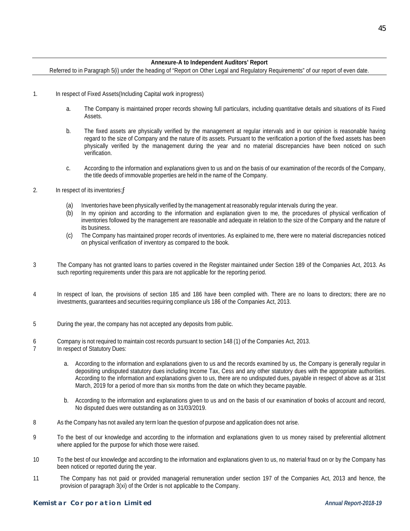## **Annexure‐A to Independent Auditors' Report**

Referred to in Paragraph 5(i) under the heading of "Report on Other Legal and Regulatory Requirements" of our report of even date.

- 1. In respect of Fixed Assets(Including Capital work in progress)
	- a. The Company is maintained proper records showing full particulars, including quantitative details and situations of its Fixed Assets.
	- b. The fixed assets are physically verified by the management at regular intervals and in our opinion is reasonable having regard to the size of Company and the nature of its assets. Pursuant to the verification a portion of the fixed assets has been physically verified by the management during the year and no material discrepancies have been noticed on such verification.
	- c. According to the information and explanations given to us and on the basis of our examination of the records of the Company, the title deeds of immovable properties are held in the name of the Company.
- 2. In respect of its inventories:
	- (a) Inventories have been physically verified by the management at reasonably regular intervals during the year.
	- (b) In my opinion and according to the information and explanation given to me, the procedures of physical verification of inventories followed by the management are reasonable and adequate in relation to the size of the Company and the nature of its business.
	- (c) The Company has maintained proper records of inventories. As explained to me, there were no material discrepancies noticed on physical verification of inventory as compared to the book.
- 3 The Company has not granted loans to parties covered in the Register maintained under Section 189 of the Companies Act, 2013. As such reporting requirements under this para are not applicable for the reporting period.
- 4 In respect of loan, the provisions of section 185 and 186 have been complied with. There are no loans to directors; there are no investments, guarantees and securities requiring compliance u/s 186 of the Companies Act, 2013.
- 5 During the year, the company has not accepted any deposits from public.
- 6 Company is not required to maintain cost records pursuant to section 148 (1) of the Companies Act, 2013.
- 7 In respect of Statutory Dues:
	- a. According to the information and explanations given to us and the records examined by us, the Company is generally regular in depositing undisputed statutory dues including Income Tax, Cess and any other statutory dues with the appropriate authorities. According to the information and explanations given to us, there are no undisputed dues, payable in respect of above as at 31st March, 2019 for a period of more than six months from the date on which they became payable.
	- b. According to the information and explanations given to us and on the basis of our examination of books of account and record, No disputed dues were outstanding as on 31/03/2019.
- 8 As the Company has not availed any term loan the question of purpose and application does not arise.
- 9 To the best of our knowledge and according to the information and explanations given to us money raised by preferential allotment where applied for the purpose for which those were raised.
- 10 To the best of our knowledge and according to the information and explanations given to us, no material fraud on or by the Company has been noticed or reported during the year.
- 11 The Company has not paid or provided managerial remuneration under section 197 of the Companies Act, 2013 and hence, the provision of paragraph 3(xi) of the Order is not applicable to the Company.

## **Kemistar Corporation Limited** *Annual Report-2018-19*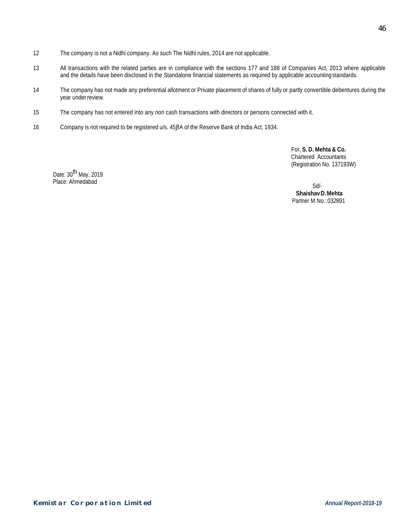- 12 The company is not a Nidhi company. As such The Nidhi rules, 2014 are not applicable.
- 13 All transactions with the related parties are in compliance with the sections 177 and 188 of Companies Act, 2013 where applicable and the details have been disclosed in the Standalone financial statements as required by applicable accounting standards.
- 14 The company has not made any preferential allotment or Private placement of shares of fully or partly convertible debentures during the year under review.
- 15 The company has not entered into any non cash transactions with directors or persons connected with it.
- 16 Company is not required to be registered u/s. 45 IA of the Reserve Bank of India Act, 1934.

 For, **S. D. Mehta & Co.**  Chartered Accountants (Registration No. 137193W)

Date: 30<sup>th</sup> May, 2019 Place: Ahmedabad

 Sd/-  **Shaishav D. Mehta** Partner M.No.: 032891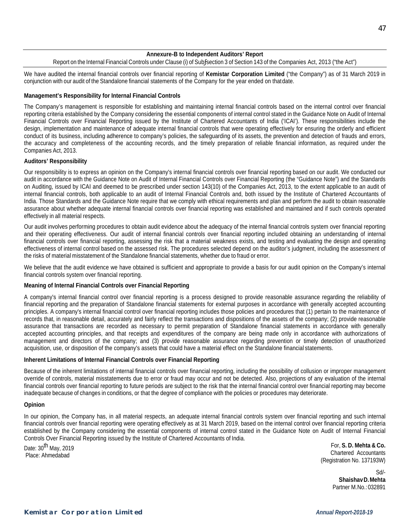## **Annexure‐B to Independent Auditors' Report**

## Report on the Internal Financial Controls under Clause (i) of Sub section 3 of Section 143 of the Companies Act, 2013 ("the Act")

We have audited the internal financial controls over financial reporting of **Kemistar Corporation Limited** ("the Company") as of 31 March 2019 in conjunction with our audit of the Standalone financial statements of the Company for the year ended on that date.

## **Management's Responsibility for Internal Financial Controls**

The Company's management is responsible for establishing and maintaining internal financial controls based on the internal control over financial reporting criteria established by the Company considering the essential components of internal control stated in the Guidance Note on Audit of Internal Financial Controls over Financial Reporting issued by the Institute of Chartered Accountants of India ('ICAI'). These responsibilities include the design, implementation and maintenance of adequate internal financial controls that were operating effectively for ensuring the orderly and efficient conduct of its business, including adherence to company's policies, the safeguarding of its assets, the prevention and detection of frauds and errors, the accuracy and completeness of the accounting records, and the timely preparation of reliable financial information, as required under the Companies Act, 2013.

## **Auditors' Responsibility**

Our responsibility is to express an opinion on the Company's internal financial controls over financial reporting based on our audit. We conducted our audit in accordance with the Guidance Note on Audit of Internal Financial Controls over Financial Reporting (the "Guidance Note") and the Standards on Auditing, issued by ICAI and deemed to be prescribed under section 143(10) of the Companies Act, 2013, to the extent applicable to an audit of internal financial controls, both applicable to an audit of Internal Financial Controls and, both issued by the Institute of Chartered Accountants of India. Those Standards and the Guidance Note require that we comply with ethical requirements and plan and perform the audit to obtain reasonable assurance about whether adequate internal financial controls over financial reporting was established and maintained and if such controls operated effectively in all material respects.

Our audit involves performing procedures to obtain audit evidence about the adequacy of the internal financial controls system over financial reporting and their operating effectiveness. Our audit of internal financial controls over financial reporting included obtaining an understanding of internal financial controls over financial reporting, assessing the risk that a material weakness exists, and testing and evaluating the design and operating effectiveness of internal control based on the assessed risk. The procedures selected depend on the auditor's judgment, including the assessment of the risks of material misstatement of the Standalone financial statements, whether due to fraud or error.

We believe that the audit evidence we have obtained is sufficient and appropriate to provide a basis for our audit opinion on the Company's internal financial controls system over financial reporting.

## **Meaning of Internal Financial Controls over Financial Reporting**

A company's internal financial control over financial reporting is a process designed to provide reasonable assurance regarding the reliability of financial reporting and the preparation of Standalone financial statements for external purposes in accordance with generally accepted accounting principles. A company's internal financial control over financial reporting includes those policies and procedures that (1) pertain to the maintenance of records that, in reasonable detail, accurately and fairly reflect the transactions and dispositions of the assets of the company; (2) provide reasonable assurance that transactions are recorded as necessary to permit preparation of Standalone financial statements in accordance with generally accepted accounting principles, and that receipts and expenditures of the company are being made only in accordance with authorizations of management and directors of the company; and (3) provide reasonable assurance regarding prevention or timely detection of unauthorized acquisition, use, or disposition of the company's assets that could have a material effect on the Standalone financial statements.

## **Inherent Limitations of Internal Financial Controls over Financial Reporting**

Because of the inherent limitations of internal financial controls over financial reporting, including the possibility of collusion or improper management override of controls, material misstatements due to error or fraud may occur and not be detected. Also, projections of any evaluation of the internal financial controls over financial reporting to future periods are subject to the risk that the internal financial control over financial reporting may become inadequate because of changes in conditions, or that the degree of compliance with the policies or procedures may deteriorate.

## **Opinion**

In our opinion, the Company has, in all material respects, an adequate internal financial controls system over financial reporting and such internal financial controls over financial reporting were operating effectively as at 31 March 2019, based on the internal control over financial reporting criteria established by the Company considering the essential components of internal control stated in the Guidance Note on Audit of Internal Financial Controls Over Financial Reporting issued by the Institute of Chartered Accountants of India.

Date: 30<sup>th</sup> May, 2019 Place: Ahmedabad

For, **S. D. Mehta & Co.** Chartered Accountants (Registration No. 137193W)

 Sd/-  **Shaishav D. Mehta** Partner M.No.: 032891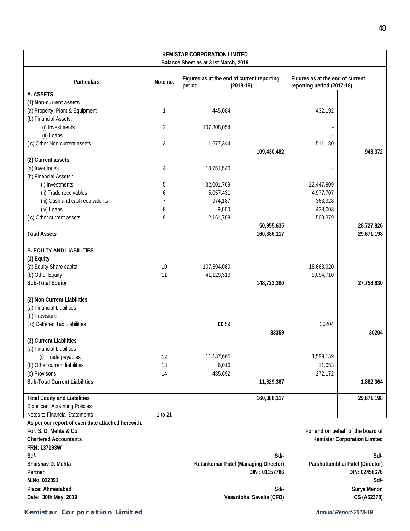| <b>KEMISTAR CORPORATION LIMITED</b>   |          |                                                                     |             |                                                                |            |  |  |
|---------------------------------------|----------|---------------------------------------------------------------------|-------------|----------------------------------------------------------------|------------|--|--|
| Balance Sheet as at 31st March, 2019  |          |                                                                     |             |                                                                |            |  |  |
|                                       |          |                                                                     |             |                                                                |            |  |  |
| <b>Particulars</b>                    | Note no. | Figures as at the end of current reporting<br>period<br>$(2018-19)$ |             | Figures as at the end of current<br>reporting period (2017-18) |            |  |  |
| A. ASSETS                             |          |                                                                     |             |                                                                |            |  |  |
| (1) Non-current assets                |          |                                                                     |             |                                                                |            |  |  |
| (a) Property, Plant & Equipment       | 1        | 445,084                                                             |             | 432,192                                                        |            |  |  |
| (b) Financial Assets:                 |          |                                                                     |             |                                                                |            |  |  |
| (i) Investments                       | 2        | 107,308,054                                                         |             |                                                                |            |  |  |
| (ii) Loans                            |          |                                                                     |             |                                                                |            |  |  |
| (c) Other Non-current assets          | 3        | 1,677,344                                                           |             | 511,180                                                        |            |  |  |
|                                       |          |                                                                     | 109,430,482 |                                                                | 943,372    |  |  |
| (2) Current assets                    |          |                                                                     |             |                                                                |            |  |  |
| (a) Inventories                       | 4        | 10,751,540                                                          |             |                                                                |            |  |  |
| (b) Financial Assets :                |          |                                                                     |             |                                                                |            |  |  |
| (i) Investments                       | 5        | 32,001,769                                                          |             | 22,447,809                                                     |            |  |  |
| (ii) Trade receivables                | 6        | 5,057,431                                                           |             | 4,977,707                                                      |            |  |  |
| (iii) Cash and cash equivalents       | 7        | 974,187                                                             |             | 363,928                                                        |            |  |  |
| (iv) Loans                            | 8        | 9,000                                                               |             | 438,003                                                        |            |  |  |
| (c) Other current assets              | 9        | 2,161,708                                                           |             | 500,379                                                        |            |  |  |
|                                       |          |                                                                     | 50,955,635  |                                                                | 28,727,826 |  |  |
| <b>Total Assets</b>                   |          |                                                                     | 160,386,117 |                                                                | 29,671,198 |  |  |
|                                       |          |                                                                     |             |                                                                |            |  |  |
| <b>B. EQUITY AND LIABILITIES</b>      |          |                                                                     |             |                                                                |            |  |  |
| (1) Equity                            |          |                                                                     |             |                                                                |            |  |  |
| (a) Equity Share capital              | 10       | 107,594,080                                                         |             | 18,663,920                                                     |            |  |  |
| (b) Other Equity                      | 11       | 41,129,310                                                          |             | 9,094,710                                                      |            |  |  |
| Sub-Total Equity                      |          |                                                                     | 148,723,390 |                                                                | 27,758,630 |  |  |
|                                       |          |                                                                     |             |                                                                |            |  |  |
| (2) Non Current Liabilities           |          |                                                                     |             |                                                                |            |  |  |
| (a) Financial Liabilities             |          |                                                                     |             |                                                                |            |  |  |
| (b) Provisions                        |          |                                                                     |             |                                                                |            |  |  |
| (c) Deffered Tax Liabilities          |          | 33359                                                               |             | 30204                                                          |            |  |  |
|                                       |          |                                                                     | 33359       |                                                                | 30204      |  |  |
| (3) Current Liabilities               |          |                                                                     |             |                                                                |            |  |  |
| (a) Financial Liabilities :           |          |                                                                     |             |                                                                |            |  |  |
| (i) Trade payables                    | 12       | 11,137,665                                                          |             | 1,599,139                                                      |            |  |  |
| (b) Other current liabilities         | 13       | 6,010                                                               |             | 11,053                                                         |            |  |  |
| (c) Provisons                         | 14       | 485,692                                                             |             | 272,172                                                        |            |  |  |
| <b>Sub-Total Current Liabilities</b>  |          |                                                                     | 11,629,367  |                                                                | 1,882,364  |  |  |
|                                       |          |                                                                     |             |                                                                |            |  |  |
| <b>Total Equity and Liabilities</b>   |          |                                                                     | 160,386,117 |                                                                | 29,671,198 |  |  |
| <b>Significant Acounting Policies</b> |          |                                                                     |             |                                                                |            |  |  |
| Notes to Financial Statements         | 1 to 21  |                                                                     |             |                                                                |            |  |  |

**As per our report of even date attached herewith.** 

**FRN: 137193W** 

**Sd/- Sd/- Sd/-**  Shaishav D. Mehta **Ketankumar Patel (Managing Director)** Parshottambhai Patel (Director) **Partner DIN : 01157786 DIN : 01157786 DIN : 02458676** 

For, S. D. Mehta & Co. **For and on behalf of the board of For and on behalf of the board of Chartered Accountants Kemistar Corporation Limited** 

**M.No. 032891 Sd/-** Place: Ahmedabad Surya Menon **Sd/-** Surya Menon **Sd/-** Surya Menon **Sd/-** Surya Menon **Surya Menon Date: 30th May, 2019 Vasantbhai Savalia (CFO) CS (A52378)** 

# **Kemistar Corporation Limited** *Annual Report-2018-19**Annual Report-2018-19*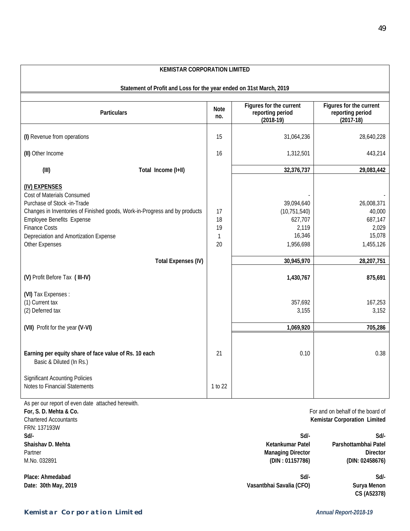| <b>KEMISTAR CORPORATION LIMITED</b><br>Statement of Profit and Loss for the year ended on 31st March, 2019                                                                                                                                                                             |                                      |                                                                         |                                                                 |  |  |
|----------------------------------------------------------------------------------------------------------------------------------------------------------------------------------------------------------------------------------------------------------------------------------------|--------------------------------------|-------------------------------------------------------------------------|-----------------------------------------------------------------|--|--|
|                                                                                                                                                                                                                                                                                        |                                      |                                                                         |                                                                 |  |  |
| Particulars                                                                                                                                                                                                                                                                            | <b>Note</b><br>no.                   | Figures for the current<br>reporting period<br>$(2018-19)$              | Figures for the current<br>reporting period<br>$(2017-18)$      |  |  |
| (I) Revenue from operations                                                                                                                                                                                                                                                            | 15                                   | 31,064,236                                                              | 28,640,228                                                      |  |  |
| (II) Other Income                                                                                                                                                                                                                                                                      | 16                                   | 1,312,501                                                               | 443,214                                                         |  |  |
| (III)<br>Total Income (I+II)                                                                                                                                                                                                                                                           |                                      | 32,376,737                                                              | 29,083,442                                                      |  |  |
| (IV) EXPENSES<br>Cost of Materials Consumed<br>Purchase of Stock -in-Trade<br>Changes in Inventories of Finished goods, Work-in-Progress and by products<br><b>Employee Benefits Expense</b><br><b>Finance Costs</b><br>Depreciation and Amortization Expense<br><b>Other Expenses</b> | 17<br>18<br>19<br>$\mathbf{1}$<br>20 | 39,094,640<br>(10, 751, 540)<br>627,707<br>2,119<br>16,346<br>1,956,698 | 26,008,371<br>40,000<br>687,147<br>2,029<br>15,078<br>1,455,126 |  |  |
| <b>Total Expenses (IV)</b>                                                                                                                                                                                                                                                             |                                      | 30,945,970                                                              | 28,207,751                                                      |  |  |
| (V) Profit Before Tax ( III-IV)                                                                                                                                                                                                                                                        |                                      | 1,430,767                                                               | 875,691                                                         |  |  |
| (VI) Tax Expenses :<br>(1) Current tax<br>(2) Deferred tax                                                                                                                                                                                                                             |                                      | 357,692<br>3,155                                                        | 167,253<br>3,152                                                |  |  |
| (VII) Profit for the year (V-VI)                                                                                                                                                                                                                                                       |                                      | 1,069,920                                                               | 705,286                                                         |  |  |
| Earning per equity share of face value of Rs. 10 each<br>Basic & Diluted (In Rs.)<br><b>Significant Acounting Policies</b>                                                                                                                                                             | 21                                   | 0.10                                                                    | 0.38                                                            |  |  |
| Notes to Financial Statements                                                                                                                                                                                                                                                          | 1 to 22                              |                                                                         |                                                                 |  |  |

As per our report of even date attached herewith.

FRN: 137193W **Shaishav D. Mehta** 

**For, S. D. Mehta & Co.** For and on behalf of the board of Chartered Accountants **Kemistar Corporation Limited** 

| Sd/-                 | Sd/-                     | Sd/-                 |
|----------------------|--------------------------|----------------------|
| Shaishav D. Mehta    | Ketankumar Patel         | Parshottambhai Patel |
| Partner              | <b>Managing Director</b> | <b>Director</b>      |
| M.No. 032891         | (DIN: 01157786)          | (DIN: 02458676)      |
| Place: Ahmedabad     | Sd/-                     | Sd                   |
| Date: 30th May, 2019 | Vasantbhai Savalia (CFO) | Surya Menon          |
|                      |                          | CS (A52378)          |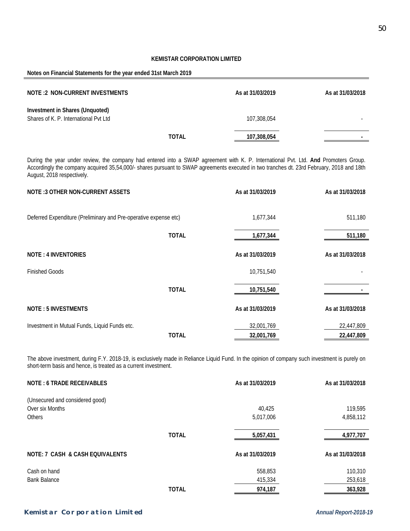# **KEMISTAR CORPORATION LIMITED**

## **Notes on Financial Statements for the year ended 31st March 2019**

| NOTE :2 NON-CURRENT INVESTMENTS                                          |              | As at 31/03/2019 | As at 31/03/2018 |
|--------------------------------------------------------------------------|--------------|------------------|------------------|
| Investment in Shares (Unquoted)<br>Shares of K. P. International Pvt Ltd |              | 107,308,054      |                  |
|                                                                          | <b>TOTAL</b> | 107,308,054      |                  |

During the year under review, the company had entered into a SWAP agreement with K. P. International Pvt. Ltd. **And** Promoters Group. Accordingly the company acquired 35,54,000/- shares pursuant to SWAP agreements executed in two tranches dt. 23rd February, 2018 and 18th August, 2018 respectively.

| <b>NOTE: 3 OTHER NON-CURRENT ASSETS</b>                          |              | As at 31/03/2019 | As at 31/03/2018 |
|------------------------------------------------------------------|--------------|------------------|------------------|
| Deferred Expenditure (Preliminary and Pre-operative expense etc) |              | 1,677,344        | 511,180          |
|                                                                  | <b>TOTAL</b> | 1,677,344        | 511,180          |
| <b>NOTE: 4 INVENTORIES</b>                                       |              | As at 31/03/2019 | As at 31/03/2018 |
| <b>Finished Goods</b>                                            |              | 10,751,540       |                  |
|                                                                  | <b>TOTAL</b> | 10,751,540       |                  |
| <b>NOTE: 5 INVESTMENTS</b>                                       |              | As at 31/03/2019 | As at 31/03/2018 |
| Investment in Mutual Funds, Liquid Funds etc.                    |              | 32,001,769       | 22,447,809       |
|                                                                  | <b>TOTAL</b> | 32,001,769       | 22,447,809       |

The above investment, during F.Y. 2018-19, is exclusively made in Reliance Liquid Fund. In the opinion of company such investment is purely on short-term basis and hence, is treated as a current investment.

| <b>NOTE: 6 TRADE RECEIVABLES</b>           |              | As at 31/03/2019 | As at 31/03/2018 |
|--------------------------------------------|--------------|------------------|------------------|
| (Unsecured and considered good)            |              |                  |                  |
| Over six Months                            |              | 40.425           | 119.595          |
| <b>Others</b>                              |              | 5,017,006        | 4,858,112        |
|                                            | <b>TOTAL</b> | 5,057,431        | 4,977,707        |
| <b>NOTE: 7 CASH &amp; CASH EQUIVALENTS</b> |              | As at 31/03/2019 | As at 31/03/2018 |
| Cash on hand                               |              | 558,853          | 110,310          |
| <b>Bank Balance</b>                        |              | 415,334          | 253,618          |
|                                            | <b>TOTAL</b> | 974,187          | 363,928          |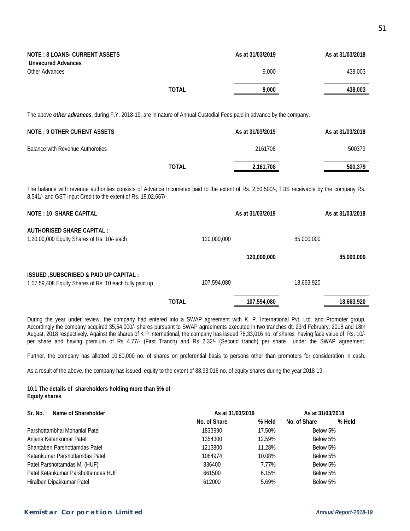| NOTE: 8 LOANS- CURRENT ASSETS<br><b>Unsecured Advances</b> | As at 31/03/2019      | As at 31/03/2018 |
|------------------------------------------------------------|-----------------------|------------------|
| Other Advances                                             | 9.000                 | 438,003          |
|                                                            | <b>TOTAL</b><br>9,000 | 438.003          |

The above *other advances*, during F.Y. 2018-19, are in nature of Annual Custodial Fees paid in advance by the company.

| NOTE: 9 OTHER CURENT ASSETS      | As at 31/03/2019 | As at 31/03/2018 |
|----------------------------------|------------------|------------------|
| Balance with Revenue Authoroties | 2161708          | 500379           |
| <b>TOTAL</b>                     | 2,161,708        | 500.379          |

The balance with revenue authorities consists of Advance Incometax paid to the extent of Rs. 2,50,500/-, TDS receivable by the company Rs. 8,541/- and GST Input Credit to the extent of Rs. 19,02,667/-.

| NOTE: 10 SHARE CAPITAL                                                                           |              |             | As at 31/03/2019 |            | As at 31/03/2018 |
|--------------------------------------------------------------------------------------------------|--------------|-------------|------------------|------------|------------------|
| AUTHORISED SHARE CAPITAL :<br>1,20,00,000 Equity Shares of Rs. 10/- each                         |              | 120,000,000 |                  | 85,000,000 |                  |
|                                                                                                  |              |             | 120,000,000      |            | 85,000,000       |
| ISSUED, SUBSCRIBED & PAID UP CAPITAL :<br>1,07,59,408 Equity Shares of Rs. 10 each fully paid up |              | 107,594,080 |                  | 18,663,920 |                  |
|                                                                                                  | <b>TOTAL</b> |             | 107.594.080      |            | 18,663,920       |

During the year under review, the company had entered into a SWAP agreement with K. P. International Pvt. Ltd. and Promoter group. Accordingly the company acquired 35,54,000/- shares pursuant to SWAP agreements executed in two tranches dt. 23rd February, 2018 and 18th August, 2018 respectively. Against the shares of K P International, the company has issued 78,33,016 no. of shares having face value of Rs. 10/ per share and having premium of Rs 4.77/- (First Tranch) and Rs 2.32/- (Second tranch) per share under the SWAP agreement.

Further, the company has allotted 10,60,000 no. of shares on preferential basis to persons other than promoters for consideration in cash.

As a result of the above, the company has issued equity to the extent of 88,93,016 no. of equity shares during the year 2018-19.

### **10.1 The details of shareholders holding more than 5% of Equity shares**

| Name of Shareholder<br>Sr. No.     | As at 31/03/2019 | As at 31/03/2018 |              |        |
|------------------------------------|------------------|------------------|--------------|--------|
|                                    | No. of Share     | % Held           | No. of Share | % Held |
| Parshottambhai Mohanlal Patel      | 1833990          | 17.50%           | Below 5%     |        |
| Anjana Ketankumar Patel            | 1354300          | 12.59%           | Below 5%     |        |
| Shantaben Parshottamdas Patel      | 1213800          | 11.28%           | Below 5%     |        |
| Ketankumar Parshottamdas Patel     | 1084974          | 10.08%           | Below 5%     |        |
| Patel Parshottamdas M. (HUF)       | 836400           | 7.77%            | Below 5%     |        |
| Patel Ketankumar Parshottamdas HUF | 661500           | 6.15%            | Below 5%     |        |
| Hiralben Dipakkumar Patel          | 612000           | 5.69%            | Below 5%     |        |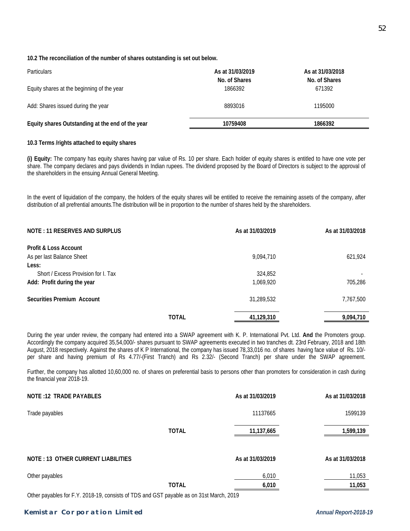### **10.2 The reconciliation of the number of shares outstanding is set out below.**

| <b>Particulars</b>                               | As at 31/03/2019<br>No. of Shares | As at 31/03/2018<br>No. of Shares |
|--------------------------------------------------|-----------------------------------|-----------------------------------|
| Equity shares at the beginning of the year       | 1866392                           | 671392                            |
| Add: Shares issued during the year               | 8893016                           | 1195000                           |
| Equity shares Outstanding at the end of the year | 10759408                          | 1866392                           |

### **10.3 Terms /rights attached to equity shares**

**(i) Equity:** The company has equity shares having par value of Rs. 10 per share. Each holder of equity shares is entitled to have one vote per share. The company declares and pays dividends in Indian rupees. The dividend proposed by the Board of Directors is subject to the approval of the shareholders in the ensuing Annual General Meeting.

In the event of liquidation of the company, the holders of the equity shares will be entitled to receive the remaining assets of the company, after distribution of all prefrential amounts.The distribution will be in proportion to the number of shares held by the shareholders.

| NOTE: 11 RESERVES AND SURPLUS       | As at 31/03/2019 | As at 31/03/2018 |
|-------------------------------------|------------------|------------------|
| <b>Profit &amp; Loss Account</b>    |                  |                  |
| As per last Balance Sheet           | 9,094,710        | 621,924          |
| Less:                               |                  |                  |
| Short / Excess Provision for I. Tax | 324,852          |                  |
| Add: Profit during the year         | 1,069,920        | 705,286          |
| <b>Securities Premium Account</b>   | 31,289,532       | 7,767,500        |
| <b>TOTAL</b>                        | 41,129,310       | 9,094,710        |

During the year under review, the company had entered into a SWAP agreement with K. P. International Pvt. Ltd. **And** the Promoters group. Accordingly the company acquired 35,54,000/- shares pursuant to SWAP agreements executed in two tranches dt. 23rd February, 2018 and 18th August, 2018 respectively. Against the shares of K P International, the company has issued 78,33,016 no. of shares having face value of Rs. 10/ per share and having premium of Rs 4.77/-(First Tranch) and Rs 2.32/- (Second Tranch) per share under the SWAP agreement.

Further, the company has allotted 10,60,000 no. of shares on preferential basis to persons other than promoters for consideration in cash during the financial year 2018-19.

| <b>NOTE:12 TRADE PAYABLES</b>      |              | As at 31/03/2019 | As at 31/03/2018 |
|------------------------------------|--------------|------------------|------------------|
| Trade payables                     |              | 11137665         | 1599139          |
|                                    | <b>TOTAL</b> | 11,137,665       | 1,599,139        |
| NOTE: 13 OTHER CURRENT LIABILITIES |              | As at 31/03/2019 | As at 31/03/2018 |
| Other payables                     |              | 6,010            | 11,053           |
|                                    | <b>TOTAL</b> | 6,010            | 11,053           |

Other payables for F.Y. 2018-19, consists of TDS and GST payable as on 31st March, 2019

## **Kemistar Corporation Limited**  *Annual Report-2018-19 Annual Report-2018-19 Annual Report-2018-19*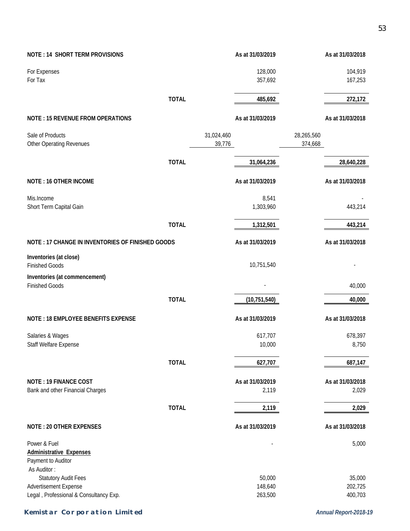| NOTE: 14 SHORT TERM PROVISIONS                                                                                       |              |                      | As at 31/03/2019             |                       | As at 31/03/2018             |
|----------------------------------------------------------------------------------------------------------------------|--------------|----------------------|------------------------------|-----------------------|------------------------------|
| For Expenses<br>For Tax                                                                                              |              |                      | 128,000<br>357,692           |                       | 104,919<br>167,253           |
|                                                                                                                      | <b>TOTAL</b> |                      | 485,692                      |                       | 272,172                      |
| <b>NOTE: 15 REVENUE FROM OPERATIONS</b>                                                                              |              |                      | As at 31/03/2019             |                       | As at 31/03/2018             |
| Sale of Products<br><b>Other Operating Revenues</b>                                                                  |              | 31,024,460<br>39,776 |                              | 28,265,560<br>374,668 |                              |
|                                                                                                                      | <b>TOTAL</b> |                      | 31,064,236                   |                       | 28,640,228                   |
| <b>NOTE: 16 OTHER INCOME</b>                                                                                         |              |                      | As at 31/03/2019             |                       | As at 31/03/2018             |
| Mis.Income<br>Short Term Capital Gain                                                                                |              |                      | 8,541<br>1,303,960           |                       | 443,214                      |
|                                                                                                                      | <b>TOTAL</b> |                      | 1,312,501                    |                       | 443,214                      |
| NOTE: 17 CHANGE IN INVENTORIES OF FINISHED GOODS                                                                     |              |                      | As at 31/03/2019             |                       | As at 31/03/2018             |
| Inventories (at close)<br><b>Finished Goods</b>                                                                      |              |                      | 10,751,540                   |                       |                              |
| Inventories (at commencement)<br><b>Finished Goods</b>                                                               |              |                      |                              |                       | 40,000                       |
|                                                                                                                      | <b>TOTAL</b> |                      | (10, 751, 540)               |                       | 40,000                       |
| NOTE: 18 EMPLOYEE BENEFITS EXPENSE                                                                                   |              |                      | As at 31/03/2019             |                       | As at 31/03/2018             |
| Salaries & Wages<br>Staff Welfare Expense                                                                            |              |                      | 617,707<br>10,000            |                       | 678,397<br>8,750             |
|                                                                                                                      | <b>TOTAL</b> |                      | 627,707                      |                       | 687,147                      |
| <b>NOTE: 19 FINANCE COST</b><br>Bank and other Financial Charges                                                     |              |                      | As at 31/03/2019<br>2,119    |                       | As at 31/03/2018<br>2,029    |
|                                                                                                                      | <b>TOTAL</b> |                      | 2,119                        |                       | 2,029                        |
| <b>NOTE: 20 OTHER EXPENSES</b>                                                                                       |              |                      | As at 31/03/2019             |                       | As at 31/03/2018             |
| Power & Fuel<br><b>Administrative Expenses</b><br>Payment to Auditor                                                 |              |                      |                              |                       | 5,000                        |
| As Auditor:<br><b>Statutory Audit Fees</b><br><b>Advertisement Expense</b><br>Legal, Professional & Consultancy Exp. |              |                      | 50,000<br>148,640<br>263,500 |                       | 35,000<br>202,725<br>400,703 |

# **Kemistar Corporation Limited** *Annual Report-2018-19*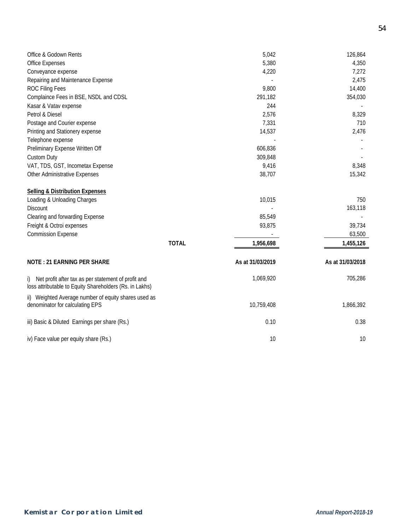| Office & Godown Rents                                                                                             |              | 5,042            | 126,864          |
|-------------------------------------------------------------------------------------------------------------------|--------------|------------------|------------------|
| <b>Office Expenses</b>                                                                                            |              | 5,380            | 4,350            |
| Conveyance expense                                                                                                |              | 4,220            | 7,272            |
| Repairing and Maintenance Expense                                                                                 |              |                  | 2,475            |
| <b>ROC Filing Fees</b>                                                                                            |              | 9,800            | 14,400           |
| Complaince Fees in BSE, NSDL and CDSL                                                                             |              | 291,182          | 354,030          |
| Kasar & Vatav expense                                                                                             |              | 244              |                  |
| Petrol & Diesel                                                                                                   |              | 2,576            | 8,329            |
| Postage and Courier expense                                                                                       |              | 7,331            | 710              |
| Printing and Stationery expense                                                                                   |              | 14,537           | 2,476            |
| Telephone expense                                                                                                 |              |                  |                  |
| Preliminary Expense Written Off                                                                                   |              | 606,836          |                  |
| Custom Duty                                                                                                       |              | 309,848          |                  |
| VAT, TDS, GST, Incometax Expense                                                                                  |              | 9,416            | 8,348            |
| <b>Other Administrative Expenses</b>                                                                              |              | 38,707           | 15,342           |
|                                                                                                                   |              |                  |                  |
| <b>Selling &amp; Distribution Expenses</b>                                                                        |              |                  |                  |
| Loading & Unloading Charges                                                                                       |              | 10,015           | 750              |
| <b>Discount</b>                                                                                                   |              |                  | 163,118          |
| Clearing and forwarding Expense                                                                                   |              | 85,549           |                  |
| Freight & Octroi expenses                                                                                         |              | 93,875           | 39,734           |
| <b>Commission Expense</b>                                                                                         |              |                  | 63,500           |
|                                                                                                                   | <b>TOTAL</b> | 1,956,698        | 1,455,126        |
| <b>NOTE: 21 EARNING PER SHARE</b>                                                                                 |              | As at 31/03/2019 | As at 31/03/2018 |
| i) Net profit after tax as per statement of profit and<br>loss attributable to Equity Shareholders (Rs. in Lakhs) |              | 1,069,920        | 705,286          |
| ii) Weighted Average number of equity shares used as<br>denominator for calculating EPS                           |              | 10,759,408       | 1,866,392        |
| iii) Basic & Diluted Earnings per share (Rs.)                                                                     |              | 0.10             | 0.38             |
| iv) Face value per equity share (Rs.)                                                                             |              | 10               | 10               |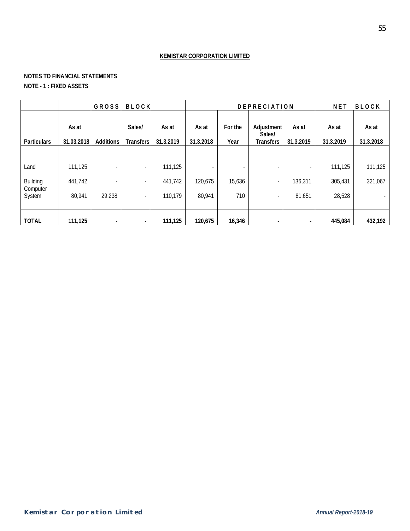# **KEMISTAR CORPORATION LIMITED**

# **NOTES TO FINANCIAL STATEMENTS NOTE - 1 : FIXED ASSETS**

|                    |                     | GROSS                    | <b>BLOCK</b>               |                    |                    | <b>DEPRECIATION</b> |                                          |                    | <b>NET</b>         | <b>BLOCK</b>       |
|--------------------|---------------------|--------------------------|----------------------------|--------------------|--------------------|---------------------|------------------------------------------|--------------------|--------------------|--------------------|
| <b>Particulars</b> | As at<br>31.03.2018 | <b>Additions</b>         | Sales/<br><b>Transfers</b> | As at<br>31.3.2019 | As at<br>31.3.2018 | For the<br>Year     | Adjustment<br>Sales/<br><b>Transfers</b> | As at<br>31.3.2019 | As at<br>31.3.2019 | As at<br>31.3.2018 |
|                    |                     |                          |                            |                    |                    |                     |                                          |                    |                    |                    |
| Land               | 111,125             |                          | $\overline{\phantom{a}}$   | 111,125            |                    |                     |                                          |                    | 111,125            | 111,125            |
| Building           | 441,742             | $\overline{\phantom{a}}$ | $\overline{\phantom{a}}$   | 441,742            | 120,675            | 15,636              | $\overline{\phantom{a}}$                 | 136,311            | 305,431            | 321,067            |
| Computer<br>System | 80,941              | 29,238                   | ٠                          | 110,179            | 80,941             | 710                 | $\sim$                                   | 81,651             | 28,528             |                    |
| <b>TOTAL</b>       | 111,125             | ۰                        | $\overline{\phantom{0}}$   | 111,125            | 120,675            | 16,346              | $\overline{\phantom{a}}$                 |                    | 445,084            | 432,192            |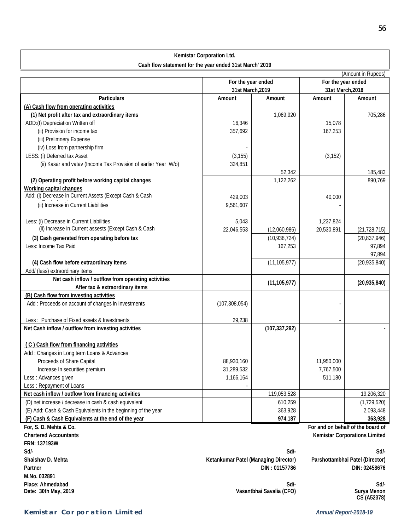| Cash flow statement for the year ended 31st March' 2019                                |                                      |                          |                    |                                   |
|----------------------------------------------------------------------------------------|--------------------------------------|--------------------------|--------------------|-----------------------------------|
|                                                                                        |                                      |                          |                    | (Amount in Rupees)                |
|                                                                                        | For the year ended                   |                          | For the year ended |                                   |
|                                                                                        | 31st March, 2019                     |                          | 31st March, 2018   |                                   |
| Particulars                                                                            | Amount                               | Amount                   | Amount             | Amount                            |
| (A) Cash flow from operating activities                                                |                                      |                          |                    |                                   |
| (1) Net profit after tax and extraordinary items                                       |                                      | 1,069,920                |                    | 705,286                           |
| ADD:(I) Depreciation Written off                                                       | 16,346                               |                          | 15,078             |                                   |
| (ii) Provision for income tax                                                          | 357,692                              |                          | 167,253            |                                   |
| (iii) Prelimnery Expense                                                               |                                      |                          |                    |                                   |
| (iv) Loss from partnership firm                                                        |                                      |                          |                    |                                   |
| LESS: (i) Deferred tax Asset                                                           | (3, 155)                             |                          | (3, 152)           |                                   |
| (ii) Kasar and vatav (Income Tax Provision of earlier Year W/o)                        | 324,851                              |                          |                    |                                   |
|                                                                                        |                                      | 52,342                   |                    | 185,483                           |
| (2) Operating profit before working capital changes                                    |                                      | 1,122,262                |                    | 890,769                           |
| <b>Working capital changes</b>                                                         |                                      |                          |                    |                                   |
| Add: (i) Decrease in Current Assets (Except Cash & Cash                                | 429,003                              |                          | 40,000             |                                   |
| (ii) Increase in Current Liabilities                                                   | 9,561,607                            |                          |                    |                                   |
|                                                                                        |                                      |                          |                    |                                   |
| Less: (i) Decrease in Current Liabilities                                              | 5,043                                |                          | 1,237,824          |                                   |
| (ii) Increase in Current assests (Except Cash & Cash                                   | 22,046,553                           | (12,060,986)             | 20,530,891         | (21, 728, 715)                    |
|                                                                                        |                                      |                          |                    |                                   |
| (3) Cash generated from operating before tax                                           |                                      | (10,938,724)             |                    | (20, 837, 946)                    |
| Less: Income Tax Paid                                                                  |                                      | 167,253                  |                    | 97,894                            |
|                                                                                        |                                      |                          |                    | 97,894                            |
| (4) Cash flow before extraordinary items                                               |                                      | (11, 105, 977)           |                    | (20, 935, 840)                    |
| Add/ (less) extraordinary items<br>Net cash inflow / outflow from operating activities |                                      |                          |                    |                                   |
| After tax & extraordinary items                                                        |                                      | (11, 105, 977)           |                    | (20, 935, 840)                    |
| (B) Cash flow from investing activities                                                |                                      |                          |                    |                                   |
| Add : Proceeds on account of changes in Investments                                    | (107, 308, 054)                      |                          |                    |                                   |
|                                                                                        |                                      |                          |                    |                                   |
| Less: Purchase of Fixed assets & Investments                                           | 29,238                               |                          |                    |                                   |
| Net Cash inflow / outflow from investing activities                                    |                                      | (107, 337, 292)          |                    |                                   |
|                                                                                        |                                      |                          |                    |                                   |
| (C) Cash flow from financing activities                                                |                                      |                          |                    |                                   |
| Add: Changes in Long term Loans & Advances                                             |                                      |                          |                    |                                   |
| Proceeds of Share Capital                                                              | 88,930,160                           |                          | 11,950,000         |                                   |
| Increase In securities premium                                                         | 31,289,532                           |                          | 7,767,500          |                                   |
| Less : Advances given                                                                  | 1,166,164                            |                          | 511,180            |                                   |
| Less: Repayment of Loans                                                               |                                      |                          |                    |                                   |
| Net cash inflow / outflow from financing activities                                    |                                      | 119,053,528              |                    | 19,206,320                        |
| (D) net increase / decrease in cash & cash equivalent                                  |                                      | 610,259                  |                    | (1,729,520)                       |
| (E) Add: Cash & Cash Equivalents in the beginning of the year                          |                                      | 363,928                  |                    | 2,093,448                         |
| (F) Cash & Cash Equivalents at the end of the year                                     |                                      | 974,187                  |                    | 363,928                           |
| For, S. D. Mehta & Co.                                                                 |                                      |                          |                    | For and on behalf of the board of |
| <b>Chartered Accountants</b>                                                           |                                      |                          |                    | Kemistar Corporations Limited     |
| FRN: 137193W                                                                           |                                      |                          |                    |                                   |
| Sd/-                                                                                   |                                      | Sd/-                     |                    | Sd/-                              |
| Shaishav D. Mehta                                                                      | Ketankumar Patel (Managing Director) |                          |                    | Parshottambhai Patel (Director)   |
| Partner                                                                                |                                      | DIN: 01157786            |                    | DIN: 02458676                     |
| M.No. 032891                                                                           |                                      |                          |                    |                                   |
| Place: Ahmedabad                                                                       |                                      | Sd/-                     |                    | Sd                                |
| Date: 30th May, 2019                                                                   |                                      | Vasantbhai Savalia (CFO) |                    | Surya Menon                       |

**Kemistar Corporation Ltd.** 

**Vasantbhai Savalia (CFO)** 

**CS (A52378)** 

# **Kemistar Corporation Limited** *Annual Report-2018-19*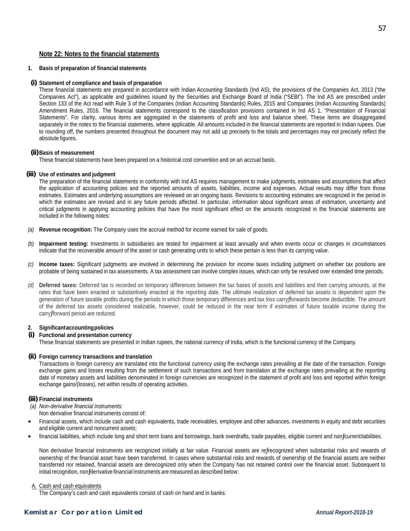## **Note 22: Notes to the financial statements**

**1. Basis of preparation of financial statements**

### **(i) Statement of compliance and basis of preparation**

These financial statements are prepared in accordance with Indian Accounting Standards (Ind AS), the provisions of the Companies Act, 2013 ("the Companies Act"), as applicable and guidelines issued by the Securities and Exchange Board of India ("SEBI"). The Ind AS are prescribed under Section 133 of the Act read with Rule 3 of the Companies (Indian Accounting Standards) Rules, 2015 and Companies (Indian Accounting Standards) Amendment Rules, 2016. The financial statements correspond to the classification provisions contained in Ind AS 1, "Presentation of Financial Statements". For clarity, various items are aggregated in the statements of profit and loss and balance sheet. These items are disaggregated separately in the notes to the financial statements, where applicable. All amounts included in the financial statements are reported in Indian rupees. Due to rounding off, the numbers presented throughout the document may not add up precisely to the totals and percentages may not precisely reflect the absolute figures.

### **(ii) Basis of measurement**

These financial statements have been prepared on a historical cost convention and on an accrual basis.

### **(iii) Use of estimates and judgment**

The preparation of the financial statements in conformity with Ind AS requires management to make judgments, estimates and assumptions that affect the application of accounting policies and the reported amounts of assets, liabilities, income and expenses. Actual results may differ from those estimates. Estimates and underlying assumptions are reviewed on an ongoing basis. Revisions to accounting estimates are recognized in the period in which the estimates are revised and in any future periods affected. In particular, information about significant areas of estimation, uncertainty and critical judgments in applying accounting policies that have the most significant effect on the amounts recognized in the financial statements are included in the following notes:

- *(a)* **Revenue recognition:** The Company uses the accrual method for income earned for sale of goods.
- *(b)* **Impairment testing:** Investments in subsidiaries are tested for impairment at least annually and when events occur or changes in circumstances indicate that the recoverable amount of the asset or cash generating units to which these pertain is less than its carrying value.
- *(c)* **Income taxes:** Significant judgments are involved in determining the provision for income taxes including judgment on whether tax positions are probable of being sustained in tax assessments. A tax assessment can involve complex issues, which can only be resolved over extended time periods.
- *(d)* **Deferred taxes:** Deferred tax is recorded on temporary differences between the tax bases of assets and liabilities and their carrying amounts, at the rates that have been enacted or substantively enacted at the reporting date. The ultimate realization of deferred tax assets is dependent upon the generation of future taxable profits during the periods in which those temporary differences and tax loss carry forwards become deductible. The amount of the deferred tax assets considered realizable, however, could be reduced in the near term if estimates of future taxable income during the carry forward period are reduced.

## **2. Significant accounting policies**

## **(i) Functional and presentation currency**

These financial statements are presented in Indian rupees, the national currency of India, which is the functional currency of the Company.

### **(ii) Foreign currency transactions and translation**

Transactions in foreign currency are translated into the functional currency using the exchange rates prevailing at the date of the transaction. Foreign exchange gains and losses resulting from the settlement of such transactions and from translation at the exchange rates prevailing at the reporting date of monetary assets and liabilities denominated in foreign currencies are recognized in the statement of profit and loss and reported within foreign exchange gains/(losses), net within results of operating activities.

## **(iii) Financial instruments**

*(a) Non‐derivative financial instruments:* Non derivative financial instruments consist of:

- Financial assets, which include cash and cash equivalents, trade receivables, employee and other advances, investments in equity and debt securities and eligible current and noncurrent assets;
- financial liabilities, which include long and short term loans and borrowings, bank overdrafts, trade payables, eligible current and non current liabilities.

Non derivative financial instruments are recognized initially at fair value. Financial assets are re recognized when substantial risks and rewards of ownership of the financial asset have been transferred. In cases where substantial risks and rewards of ownership of the financial assets are neither transferred nor retained, financial assets are derecognized only when the Company has not retained control over the financial asset. Subsequent to initial recognition, non derivative financial instruments are measured as described below:

### Cash and cash equivalents

The Company's cash and cash equivalents consist of cash on hand and in banks.

# **Kemistar Corporation Limited**  *Annual Report-2018-19 Annual Report-2018-19*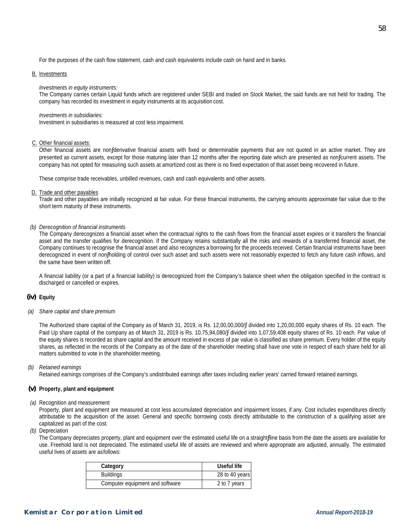# For the purposes of the cash flow statement, cash and cash equivalents include cash on hand and in banks.

# B. Investments

# *Investments in equity instruments:*

The Company carries certain Liquid funds which are registered under SEBI and traded on Stock Market, the said funds are not held for trading. The company has recorded its investment in equity instruments at its acquisition cost.

# *Investments in subsidiaries:*

Investment in subsidiaries is measured at cost less impairment.

# C. Other financial assets:

Other financial assets are non derivative financial assets with fixed or determinable payments that are not quoted in an active market. They are presented as current assets, except for those maturing later than 12 months after the reporting date which are presented as non current assets. The company has not opted for measuring such assets at amortized cost as there is no fixed expectation of that asset being recovered in future.

These comprise trade receivables, unbilled revenues, cash and cash equivalents and other assets.

# D. Trade and other payables

Trade and other payables are initially recognized at fair value. For these financial instruments, the carrying amounts approximate fair value due to the short term maturity of these instruments.

# *(b) Derecognition of financial instruments*

The Company derecognizes a financial asset when the contractual rights to the cash flows from the financial asset expires or it transfers the financial asset and the transfer qualifies for derecognition. If the Company retains substantially all the risks and rewards of a transferred financial asset, the Company continues to recognise the financial asset and also recognizes a borrowing for the proceeds received. Certain financial instruments have been derecognized in event of non holding of control over such asset and such assets were not reasonably expected to fetch any future cash inflows, and the same have been written off.

A financial liability (or a part of a financial liability) is derecognized from the Company's balance sheet when the obligation specified in the contract is discharged or cancelled or expires.

# **(iv) Equity**

## *(a) Share capital and share premium*

The Authorized share capital of the Company as of March 31, 2019, is Rs. 12,00,00,000/ divided into 1,20,00,000 equity shares of Rs. 10 each. The Paid Up share capital of the company as of March 31, 2019 is Rs. 10,75,94,080/ divided into 1,07,59,408 equity shares of Rs. 10 each. Par value of the equity shares is recorded as share capital and the amount received in excess of par value is classified as share premium. Every holder of the equity shares, as reflected in the records of the Company as of the date of the shareholder meeting shall have one vote in respect of each share held for all matters submitted to vote in the shareholder meeting.

## *(b) Retained earnings*

Retained earnings comprises of the Company's undistributed earnings after taxes including earlier years' carried forward retained earnings.

# **(v) Property, plant and equipment**

# *(a)* Recognition and measurement

Property, plant and equipment are measured at cost less accumulated depreciation and impairment losses, if any. Cost includes expenditures directly attributable to the acquisition of the asset. General and specific borrowing costs directly attributable to the construction of a qualifying asset are capitalized as part of the cost.

## *(b)* Depreciation

The Company depreciates property, plant and equipment over the estimated useful life on a straight line basis from the date the assets are available for use. Freehold land is not depreciated. The estimated useful life of assets are reviewed and where appropriate are adjusted, annually. The estimated useful lives of assets are as follows:

| Category                        | Useful life    |
|---------------------------------|----------------|
| <b>Buildings</b>                | 28 to 40 years |
| Computer equipment and software | 2 to 7 years   |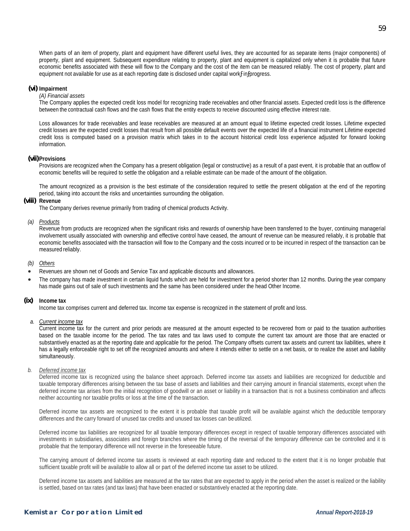When parts of an item of property, plant and equipment have different useful lives, they are accounted for as separate items (major components) of property, plant and equipment. Subsequent expenditure relating to property, plant and equipment is capitalized only when it is probable that future economic benefits associated with these will flow to the Company and the cost of the item can be measured reliably. The cost of property, plant and equipment not available for use as at each reporting date is disclosed under capital work in progress.

#### **(vi) Impairment**

### *(A) Financial assets*

The Company applies the expected credit loss model for recognizing trade receivables and other financial assets. Expected credit loss is the difference between the contractual cash flows and the cash flows that the entity expects to receive discounted using effective interest rate.

Loss allowances for trade receivables and lease receivables are measured at an amount equal to lifetime expected credit losses. Lifetime expected credit losses are the expected credit losses that result from all possible default events over the expected life of a financial instrument Lifetime expected credit loss is computed based on a provision matrix which takes in to the account historical credit loss experience adjusted for forward looking information.

#### **(vii)Provisions**

Provisions are recognized when the Company has a present obligation (legal or constructive) as a result of a past event, it is probable that an outflow of economic benefits will be required to settle the obligation and a reliable estimate can be made of the amount of the obligation.

The amount recognized as a provision is the best estimate of the consideration required to settle the present obligation at the end of the reporting period, taking into account the risks and uncertainties surrounding the obligation.

#### **(viii) Revenue**

The Company derives revenue primarily from trading of chemical products Activity.

#### *(a) Products*

Revenue from products are recognized when the significant risks and rewards of ownership have been transferred to the buyer, continuing managerial involvement usually associated with ownership and effective control have ceased, the amount of revenue can be measured reliably, it is probable that economic benefits associated with the transaction will flow to the Company and the costs incurred or to be incurred in respect of the transaction can be measured reliably.

#### *(b) Others*

- Revenues are shown net of Goods and Service Tax and applicable discounts and allowances.
- The company has made investment in certain liquid funds which are held for investment for a period shorter than 12 months. During the year company has made gains out of sale of such investments and the same has been considered under the head Other Income.

#### **(ix) Income tax**

Income tax comprises current and deferred tax. Income tax expense is recognized in the statement of profit and loss.

#### *a. Current income tax*

Current income tax for the current and prior periods are measured at the amount expected to be recovered from or paid to the taxation authorities based on the taxable income for the period. The tax rates and tax laws used to compute the current tax amount are those that are enacted or substantively enacted as at the reporting date and applicable for the period. The Company offsets current tax assets and current tax liabilities, where it has a legally enforceable right to set off the recognized amounts and where it intends either to settle on a net basis, or to realize the asset and liability simultaneously.

#### *b. Deferred income tax*

Deferred income tax is recognized using the balance sheet approach. Deferred income tax assets and liabilities are recognized for deductible and taxable temporary differences arising between the tax base of assets and liabilities and their carrying amount in financial statements, except when the deferred income tax arises from the initial recognition of goodwill or an asset or liability in a transaction that is not a business combination and affects neither accounting nor taxable profits or loss at the time of the transaction.

Deferred income tax assets are recognized to the extent it is probable that taxable profit will be available against which the deductible temporary differences and the carry forward of unused tax credits and unused tax losses can be utilized.

Deferred income tax liabilities are recognized for all taxable temporary differences except in respect of taxable temporary differences associated with investments in subsidiaries, associates and foreign branches where the timing of the reversal of the temporary difference can be controlled and it is probable that the temporary difference will not reverse in the foreseeable future.

The carrying amount of deferred income tax assets is reviewed at each reporting date and reduced to the extent that it is no longer probable that sufficient taxable profit will be available to allow all or part of the deferred income tax asset to be utilized.

Deferred income tax assets and liabilities are measured at the tax rates that are expected to apply in the period when the asset is realized or the liability is settled, based on tax rates (and tax laws) that have been enacted or substantively enacted at the reporting date.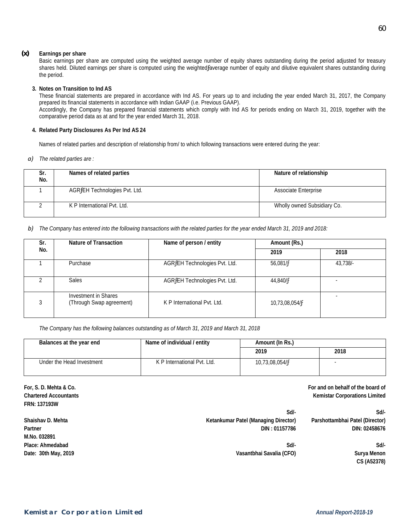## **(x) Earnings per share**

Basic earnings per share are computed using the weighted average number of equity shares outstanding during the period adjusted for treasury shares held. Diluted earnings per share is computed using the weighted average number of equity and dilutive equivalent shares outstanding during the period.

### **3. Notes on Transition to Ind AS**

These financial statements are prepared in accordance with Ind AS. For years up to and including the year ended March 31, 2017, the Company prepared its financial statements in accordance with Indian GAAP (i.e. Previous GAAP). Accordingly, the Company has prepared financial statements which comply with Ind AS for periods ending on March 31, 2019, together with the comparative period data as at and for the year ended March 31, 2018.

### **4. Related Party Disclosures As Per Ind AS 24**

Names of related parties and description of relationship from/ to which following transactions were entered during the year:

### *a) The related parties are :*

| Sr.<br>No. | Names of related parties      | Nature of relationship      |
|------------|-------------------------------|-----------------------------|
|            | AGR EH Technologies Pvt. Ltd. | Associate Enterprise        |
|            | K P International Pvt. Ltd.   | Wholly owned Subsidiary Co. |

## *b) The Company has entered into the following transactions with the related parties for the year ended March 31, 2019 and 2018:*

| Sr. | Nature of Transaction                            | Name of person / entity       | Amount (Rs.)  |          |  |
|-----|--------------------------------------------------|-------------------------------|---------------|----------|--|
| No. |                                                  |                               | 2019          | 2018     |  |
|     | Purchase                                         | AGR EH Technologies Pvt. Ltd. | 56,081/       | 43.738/- |  |
|     | <b>Sales</b>                                     | AGR EH Technologies Pvt. Ltd. | 44,840/       |          |  |
| 3   | Investment in Shares<br>(Through Swap agreement) | K P International Pvt. Ltd.   | 10,73,08,054/ |          |  |

*The Company has the following balances outstanding as of March 31, 2019 and March 31, 2018*

| Balances at the year end  | Name of individual / entity | Amount (In Rs.) |      |
|---------------------------|-----------------------------|-----------------|------|
|                           |                             | 2019            | 2018 |
| Under the Head Investment | K P International Pvt. Ltd. | 10,73,08,054/   |      |

For, S. D. Mehta & Co. **Formula** Co. **For and on behalf of the board of Formula** Co. **Chartered Accountants Corporations Limited Corporations Limited Kemistar Corporations Limited FRN: 137193W Sd/- Sd/-**  Shaishav D. Mehta **Ketankumar Patel (Managing Director)** Parshottambhai Patel (Director) **Partner DIN : 01157786 DIN: 02458676 M.No. 032891 Place: Ahmedabad Sd/- Sd/- Date: 30th May, 2019 Vasantbhai Savalia (CFO) Surya Menon CS (A52378)**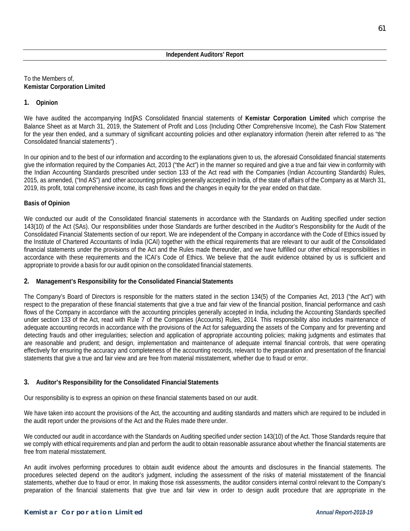## **Independent Auditors' Report**

## To the Members of, **Kemistar Corporation Limited**

## **1. Opinion**

We have audited the accompanying Ind AS Consolidated financial statements of **Kemistar Corporation Limited** which comprise the Balance Sheet as at March 31, 2019, the Statement of Profit and Loss (Including Other Comprehensive Income), the Cash Flow Statement for the year then ended, and a summary of significant accounting policies and other explanatory information (herein after referred to as "the Consolidated financial statements") .

In our opinion and to the best of our information and according to the explanations given to us, the aforesaid Consolidated financial statements give the information required by the Companies Act, 2013 ("the Act") in the manner so required and give a true and fair view in conformity with the Indian Accounting Standards prescribed under section 133 of the Act read with the Companies (Indian Accounting Standards) Rules, 2015, as amended, ("Ind AS") and other accounting principles generally accepted in India, of the state of affairs of the Company as at March 31, 2019, its profit, total comprehensive income, its cash flows and the changes in equity for the year ended on that date.

## **Basis of Opinion**

We conducted our audit of the Consolidated financial statements in accordance with the Standards on Auditing specified under section 143(10) of the Act (SAs). Our responsibilities under those Standards are further described in the Auditor's Responsibility for the Audit of the Consolidated Financial Statements section of our report. We are independent of the Company in accordance with the Code of Ethics issued by the Institute of Chartered Accountants of India (ICAI) together with the ethical requirements that are relevant to our audit of the Consolidated financial statements under the provisions of the Act and the Rules made thereunder, and we have fulfilled our other ethical responsibilities in accordance with these requirements and the ICAI's Code of Ethics. We believe that the audit evidence obtained by us is sufficient and appropriate to provide a basis for our audit opinion on the consolidated financial statements.

## **2. Management's Responsibility for the Consolidated Financial Statements**

The Company's Board of Directors is responsible for the matters stated in the section 134(5) of the Companies Act, 2013 ("the Act") with respect to the preparation of these financial statements that give a true and fair view of the financial position, financial performance and cash flows of the Company in accordance with the accounting principles generally accepted in India, including the Accounting Standards specified under section 133 of the Act, read with Rule 7 of the Companies (Accounts) Rules, 2014. This responsibility also includes maintenance of adequate accounting records in accordance with the provisions of the Act for safeguarding the assets of the Company and for preventing and detecting frauds and other irregularities; selection and application of appropriate accounting policies; making judgments and estimates that are reasonable and prudent; and design, implementation and maintenance of adequate internal financial controls, that were operating effectively for ensuring the accuracy and completeness of the accounting records, relevant to the preparation and presentation of the financial statements that give a true and fair view and are free from material misstatement, whether due to fraud or error.

## **3. Auditor's Responsibility for the Consolidated Financial Statements**

Our responsibility is to express an opinion on these financial statements based on our audit.

We have taken into account the provisions of the Act, the accounting and auditing standards and matters which are required to be included in the audit report under the provisions of the Act and the Rules made there under.

We conducted our audit in accordance with the Standards on Auditing specified under section 143(10) of the Act. Those Standards require that we comply with ethical requirements and plan and perform the audit to obtain reasonable assurance about whether the financial statements are free from material misstatement.

An audit involves performing procedures to obtain audit evidence about the amounts and disclosures in the financial statements. The procedures selected depend on the auditor's judgment, including the assessment of the risks of material misstatement of the financial statements, whether due to fraud or error. In making those risk assessments, the auditor considers internal control relevant to the Company's preparation of the financial statements that give true and fair view in order to design audit procedure that are appropriate in the

61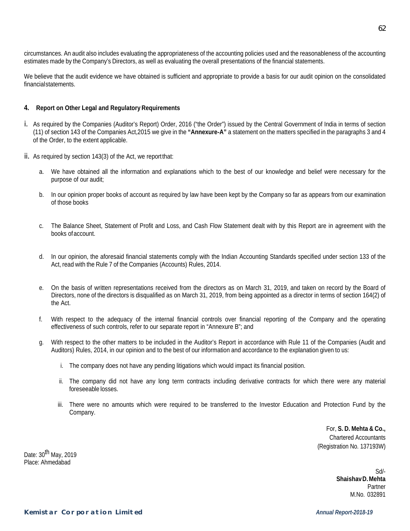circumstances. An audit also includes evaluating the appropriateness of the accounting policies used and the reasonableness of the accounting estimates made by the Company's Directors, as well as evaluating the overall presentations of the financial statements.

We believe that the audit evidence we have obtained is sufficient and appropriate to provide a basis for our audit opinion on the consolidated financial statements.

## **4. Report on Other Legal and Regulatory Requirements**

- i. As required by the Companies (Auditor's Report) Order, 2016 ("the Order") issued by the Central Government of India in terms of section (11) of section 143 of the Companies Act,2015 we give in the **"Annexure‐A"** a statement on the matters specified in the paragraphs 3 and 4 of the Order, to the extent applicable.
- ii. As required by section 143(3) of the Act, we report that:
	- a. We have obtained all the information and explanations which to the best of our knowledge and belief were necessary for the purpose of our audit;
	- b. In our opinion proper books of account as required by law have been kept by the Company so far as appears from our examination of those books
	- c. The Balance Sheet, Statement of Profit and Loss, and Cash Flow Statement dealt with by this Report are in agreement with the books of account.
	- d. In our opinion, the aforesaid financial statements comply with the Indian Accounting Standards specified under section 133 of the Act, read with the Rule 7 of the Companies (Accounts) Rules, 2014.
	- e. On the basis of written representations received from the directors as on March 31, 2019, and taken on record by the Board of Directors, none of the directors is disqualified as on March 31, 2019, from being appointed as a director in terms of section 164(2) of the Act.
	- f. With respect to the adequacy of the internal financial controls over financial reporting of the Company and the operating effectiveness of such controls, refer to our separate report in "Annexure B"; and
	- g. With respect to the other matters to be included in the Auditor's Report in accordance with Rule 11 of the Companies (Audit and Auditors) Rules, 2014, in our opinion and to the best of our information and accordance to the explanation given to us:
		- i. The company does not have any pending litigations which would impact its financial position.
		- ii. The company did not have any long term contracts including derivative contracts for which there were any material foreseeable losses.
		- iii. There were no amounts which were required to be transferred to the Investor Education and Protection Fund by the Company.

For, **S. D. Mehta & Co.,**  Chartered Accountants (Registration No. 137193W)

Date: 30<sup>th</sup> May, 2019 Place: Ahmedabad

> Sd/- **Shaishav D. Mehta** Partner M.No. 032891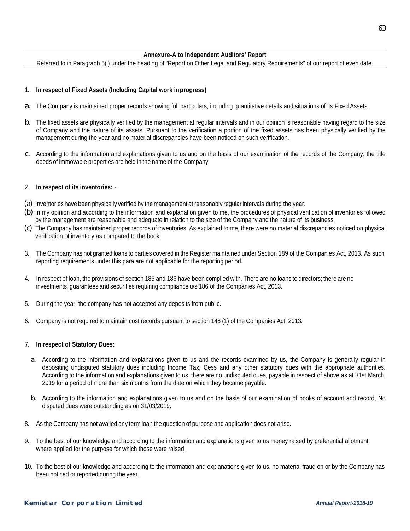# **Annexure‐A to Independent Auditors' Report**

Referred to in Paragraph 5(i) under the heading of "Report on Other Legal and Regulatory Requirements" of our report of even date.

## 1. **In respect of Fixed Assets (Including Capital work in progress)**

- a. The Company is maintained proper records showing full particulars, including quantitative details and situations of its Fixed Assets.
- b. The fixed assets are physically verified by the management at regular intervals and in our opinion is reasonable having regard to the size of Company and the nature of its assets. Pursuant to the verification a portion of the fixed assets has been physically verified by the management during the year and no material discrepancies have been noticed on such verification.
- c. According to the information and explanations given to us and on the basis of our examination of the records of the Company, the title deeds of immovable properties are held in the name of the Company.

## 2. **In respect of its inventories: ‐**

- (a) Inventories have been physically verified by the management at reasonably regular intervals during the year.
- (b) In my opinion and according to the information and explanation given to me, the procedures of physical verification of inventories followed by the management are reasonable and adequate in relation to the size of the Company and the nature of its business.
- (c) The Company has maintained proper records of inventories. As explained to me, there were no material discrepancies noticed on physical verification of inventory as compared to the book.
- 3. The Company has not granted loans to parties covered in the Register maintained under Section 189 of the Companies Act, 2013. As such reporting requirements under this para are not applicable for the reporting period.
- 4. In respect of loan, the provisions of section 185 and 186 have been complied with. There are no loans to directors; there are no investments, guarantees and securities requiring compliance u/s 186 of the Companies Act, 2013.
- 5. During the year, the company has not accepted any deposits from public.
- 6. Company is not required to maintain cost records pursuant to section 148 (1) of the Companies Act, 2013.

## 7. **In respect of Statutory Dues:**

- a. According to the information and explanations given to us and the records examined by us, the Company is generally regular in depositing undisputed statutory dues including Income Tax, Cess and any other statutory dues with the appropriate authorities. According to the information and explanations given to us, there are no undisputed dues, payable in respect of above as at 31st March, 2019 for a period of more than six months from the date on which they became payable.
- b. According to the information and explanations given to us and on the basis of our examination of books of account and record, No disputed dues were outstanding as on 31/03/2019.
- 8. As the Company has not availed any term loan the question of purpose and application does not arise.
- 9. To the best of our knowledge and according to the information and explanations given to us money raised by preferential allotment where applied for the purpose for which those were raised.
- 10. To the best of our knowledge and according to the information and explanations given to us, no material fraud on or by the Company has been noticed or reported during the year.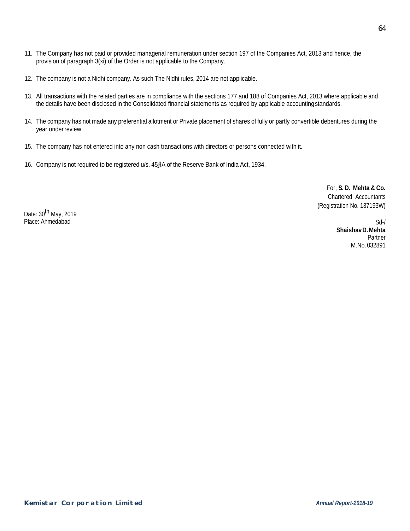- 11. The Company has not paid or provided managerial remuneration under section 197 of the Companies Act, 2013 and hence, the provision of paragraph 3(xi) of the Order is not applicable to the Company.
- 12. The company is not a Nidhi company. As such The Nidhi rules, 2014 are not applicable.
- 13. All transactions with the related parties are in compliance with the sections 177 and 188 of Companies Act, 2013 where applicable and the details have been disclosed in the Consolidated financial statements as required by applicable accounting standards.
- 14. The company has not made any preferential allotment or Private placement of shares of fully or partly convertible debentures during the year under review.
- 15. The company has not entered into any non cash transactions with directors or persons connected with it.
- 16. Company is not required to be registered u/s. 45 IA of the Reserve Bank of India Act, 1934.

For, **S. D. Mehta & Co.**  Chartered Accountants (Registration No. 137193W)

Date: 30<sup>th</sup> May, 2019 Place: Ahmedabad

 Sd-/ **Shaishav D. Mehta** Partner M.No. 032891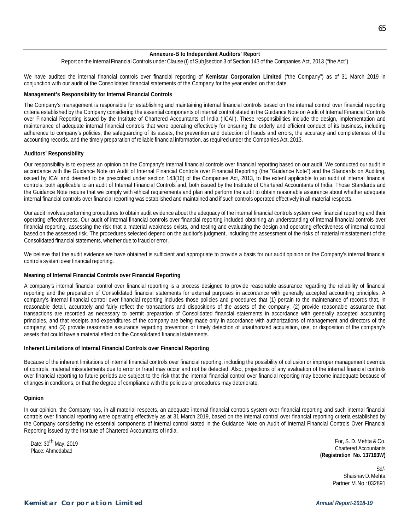### **Annexure‐B to Independent Auditors' Report**

## Report on the Internal Financial Controls under Clause (i) of Sub section 3 of Section 143 of the Companies Act, 2013 ("the Act")

We have audited the internal financial controls over financial reporting of **Kemistar Corporation Limited** ("the Company") as of 31 March 2019 in conjunction with our audit of the Consolidated financial statements of the Company for the year ended on that date.

#### **Management's Responsibility for Internal Financial Controls**

The Company's management is responsible for establishing and maintaining internal financial controls based on the internal control over financial reporting criteria established by the Company considering the essential components of internal control stated in the Guidance Note on Audit of Internal Financial Controls over Financial Reporting issued by the Institute of Chartered Accountants of India ('ICAI'). These responsibilities include the design, implementation and maintenance of adequate internal financial controls that were operating effectively for ensuring the orderly and efficient conduct of its business, including adherence to company's policies, the safeguarding of its assets, the prevention and detection of frauds and errors, the accuracy and completeness of the accounting records, and the timely preparation of reliable financial information, as required under the Companies Act, 2013.

### **Auditors' Responsibility**

Our responsibility is to express an opinion on the Company's internal financial controls over financial reporting based on our audit. We conducted our audit in accordance with the Guidance Note on Audit of Internal Financial Controls over Financial Reporting (the "Guidance Note") and the Standards on Auditing, issued by ICAI and deemed to be prescribed under section 143(10) of the Companies Act, 2013, to the extent applicable to an audit of internal financial controls, both applicable to an audit of Internal Financial Controls and, both issued by the Institute of Chartered Accountants of India. Those Standards and the Guidance Note require that we comply with ethical requirements and plan and perform the audit to obtain reasonable assurance about whether adequate internal financial controls over financial reporting was established and maintained and if such controls operated effectively in all material respects.

Our audit involves performing procedures to obtain audit evidence about the adequacy of the internal financial controls system over financial reporting and their operating effectiveness. Our audit of internal financial controls over financial reporting included obtaining an understanding of internal financial controls over financial reporting, assessing the risk that a material weakness exists, and testing and evaluating the design and operating effectiveness of internal control based on the assessed risk. The procedures selected depend on the auditor's judgment, including the assessment of the risks of material misstatement of the Consolidated financial statements, whether due to fraud or error.

We believe that the audit evidence we have obtained is sufficient and appropriate to provide a basis for our audit opinion on the Company's internal financial controls system over financial reporting.

### **Meaning of Internal Financial Controls over Financial Reporting**

A company's internal financial control over financial reporting is a process designed to provide reasonable assurance regarding the reliability of financial reporting and the preparation of Consolidated financial statements for external purposes in accordance with generally accepted accounting principles. A company's internal financial control over financial reporting includes those policies and procedures that (1) pertain to the maintenance of records that, in reasonable detail, accurately and fairly reflect the transactions and dispositions of the assets of the company; (2) provide reasonable assurance that transactions are recorded as necessary to permit preparation of Consolidated financial statements in accordance with generally accepted accounting principles, and that receipts and expenditures of the company are being made only in accordance with authorizations of management and directors of the company; and (3) provide reasonable assurance regarding prevention or timely detection of unauthorized acquisition, use, or disposition of the company's assets that could have a material effect on the Consolidated financial statements.

### **Inherent Limitations of Internal Financial Controls over Financial Reporting**

Because of the inherent limitations of internal financial controls over financial reporting, including the possibility of collusion or improper management override of controls, material misstatements due to error or fraud may occur and not be detected. Also, projections of any evaluation of the internal financial controls over financial reporting to future periods are subject to the risk that the internal financial control over financial reporting may become inadequate because of changes in conditions, or that the degree of compliance with the policies or procedures may deteriorate.

#### **Opinion**

In our opinion, the Company has, in all material respects, an adequate internal financial controls system over financial reporting and such internal financial controls over financial reporting were operating effectively as at 31 March 2019, based on the internal control over financial reporting criteria established by the Company considering the essential components of internal control stated in the Guidance Note on Audit of Internal Financial Controls Over Financial Reporting issued by the Institute of Chartered Accountants of India.

Date: 30<sup>th</sup> May, 2019 Place: Ahmedabad

For, S. D. Mehta & Co. Chartered Accountants **(Registration No. 137193W)** 

> Sd/- Shaishav D. Mehta Partner M.No.: 032891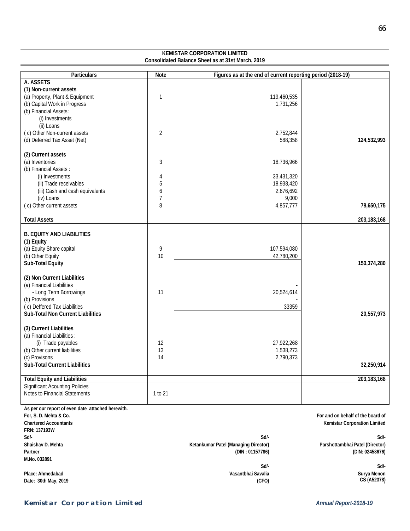### **KEMISTAR CORPORATION LIMITED Consolidated Balance Sheet as at 31st March, 2019**

| Particulars                                                                                                                                                               | <b>Note</b>    | Figures as at the end of current reporting period (2018-19) |               |
|---------------------------------------------------------------------------------------------------------------------------------------------------------------------------|----------------|-------------------------------------------------------------|---------------|
| A. ASSETS<br>(1) Non-current assets<br>(a) Property, Plant & Equipment<br>(b) Capital Work in Progress<br>(b) Financial Assets:<br>(i) Investments<br>(ii) Loans          | $\mathbf{1}$   | 119,460,535<br>1,731,256                                    |               |
| (c) Other Non-current assets<br>(d) Deferred Tax Asset (Net)                                                                                                              | $\overline{2}$ | 2,752,844<br>588,358                                        | 124,532,993   |
| (2) Current assets<br>(a) Inventories<br>(b) Financial Assets :                                                                                                           | 3              | 18,736,966                                                  |               |
| (i) Investments<br>(ii) Trade receivables<br>(iii) Cash and cash equivalents                                                                                              | 4<br>5<br>6    | 33,431,320<br>18,938,420<br>2,676,692                       |               |
| (iv) Loans<br>(c) Other current assets                                                                                                                                    | 7<br>8         | 9,000<br>4,857,777                                          | 78,650,175    |
| <b>Total Assets</b>                                                                                                                                                       |                |                                                             | 203, 183, 168 |
| <b>B. EQUITY AND LIABILITIES</b><br>(1) Equity<br>(a) Equity Share capital<br>(b) Other Equity<br>Sub-Total Equity                                                        | 9<br>10        | 107,594,080<br>42,780,200                                   | 150,374,280   |
| (2) Non Current Liabilities<br>(a) Financial Liabilities<br>- Long Term Borrowings<br>(b) Provisions<br>(c) Deffered Tax Liabilities<br>Sub-Total Non Current Liabilities | 11             | 20,524,614<br>33359                                         | 20,557,973    |
| (3) Current Liabilities<br>(a) Financial Liabilities :<br>(i) Trade payables<br>(b) Other current liabilities<br>(c) Provisons<br><b>Sub-Total Current Liabilities</b>    | 12<br>13<br>14 | 27,922,268<br>1,538,273<br>2,790,373                        | 32,250,914    |
| <b>Total Equity and Liabilities</b>                                                                                                                                       |                |                                                             | 203, 183, 168 |
| <b>Significant Acounting Policies</b><br>Notes to Financial Statements                                                                                                    | 1 to 21        |                                                             |               |

**As per our report of even date attached herewith.** 

**FRN: 137193W M.No. 032891** 

**Place: Ahmedabad Vasantbhai Savalia Surya Menon Date: 30th May, 2019 CFO) CGFO** 

**Sd/- Sd/- Sd/-**  Shaishav D. Mehta **Managing Director Chankumar Patel (Managing Director) Parshottambhai Patel (Director) Parshottambhai Patel (Director)** 

For, S. D. Mehta & Co. **For and on behalf of the board of For and on behalf of the board of Chartered Accountants Kemistar Corporation Limited Kemistar Corporation Limited Kemistar Corporation Limited** 

**Partner (DIN : 01157786) (DIN: 02458676)** 

**Sd/- Sd/-** 

**)**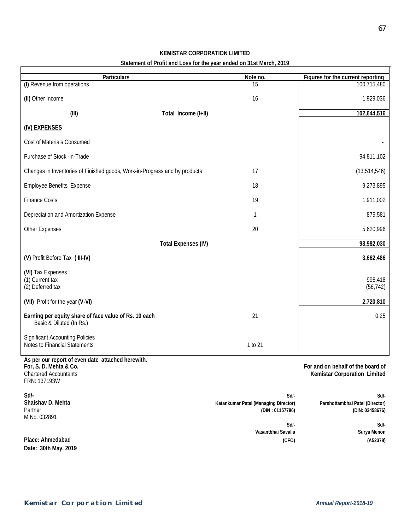| Particulars                                                                                                                                                                  |                            | Note no. | Figures for the current reporting |
|------------------------------------------------------------------------------------------------------------------------------------------------------------------------------|----------------------------|----------|-----------------------------------|
| (I) Revenue from operations                                                                                                                                                  |                            | 15       | 100,715,480                       |
| (II) Other Income                                                                                                                                                            |                            | 16       | 1,929,036                         |
| (III)                                                                                                                                                                        | Total Income (I+II)        |          | 102,644,516                       |
| (IV) EXPENSES                                                                                                                                                                |                            |          |                                   |
| Cost of Materials Consumed                                                                                                                                                   |                            |          |                                   |
| Purchase of Stock -in-Trade                                                                                                                                                  |                            |          | 94,811,102                        |
| Changes in Inventories of Finished goods, Work-in-Progress and by products                                                                                                   |                            | 17       | (13,514,546)                      |
| <b>Employee Benefits Expense</b>                                                                                                                                             |                            | 18       | 9,273,895                         |
| <b>Finance Costs</b>                                                                                                                                                         |                            | 19       | 1,911,002                         |
| Depreciation and Amortization Expense                                                                                                                                        |                            | 1        | 879,581                           |
| Other Expenses                                                                                                                                                               |                            | 20       | 5,620,996                         |
|                                                                                                                                                                              | <b>Total Expenses (IV)</b> |          | 98,982,030                        |
| (V) Profit Before Tax ( III-IV)                                                                                                                                              |                            |          | 3,662,486                         |
| (VI) Tax Expenses :<br>(1) Current tax<br>(2) Deferred tax                                                                                                                   |                            |          | 998,418<br>(56, 742)              |
| (VII) Profit for the year (V-VI)                                                                                                                                             |                            |          | 2,720,810                         |
| Earning per equity share of face value of Rs. 10 each<br>Basic & Diluted (In Rs.)                                                                                            |                            | 21       | 0.25                              |
| <b>Significant Accounting Policies</b><br>Notes to Financial Statements<br>$\sim$ $\sim$ $\sim$ $\sim$ $\sim$<br>states where all the<br>2.11<br>$\mathbf{r}$ . $\mathbf{r}$ |                            | 1 to 21  |                                   |

## **KEMISTAR CORPORATION LIMITED**

**Statement of Profit and Loss for the year ended on 31st March, 2019** 

**As per our report of even date attached herewith.**  FRN: 137193W

M.No. 032891

**Date: 30th May, 2019** 

For and on behalf of the board of Chartered Accountants **Kemistar Corporation Limited**

**Sd/- Sd/- Sd/- Shaishav D. Mehta Christian Actual Christian Christian Action Ketankumar Patel (Managing Director) Parshottambhai Patel (Director) Partner Christian Christian Christian (Director) Partner Christian Christian** Partner **(DIN : 01157786) (DIN: 02458676)** 

**Sd/- Sd/-**  Vasantbhai Savalia **Nasantbhai Savalia Surya Menon** Place: Ahmedabad (A52378)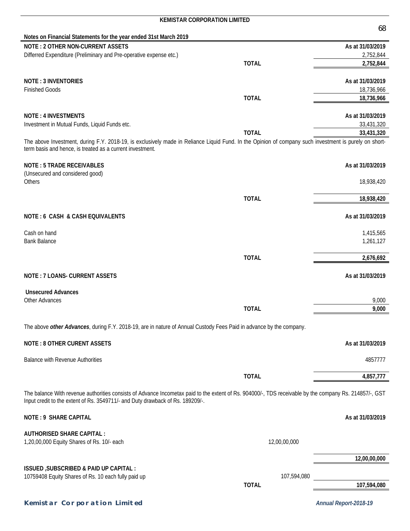| <b>KEMISTAR CORPORATION LIMITED</b>                                                                                                                                                                                                      |                             |                                |  |  |
|------------------------------------------------------------------------------------------------------------------------------------------------------------------------------------------------------------------------------------------|-----------------------------|--------------------------------|--|--|
| Notes on Financial Statements for the year ended 31st March 2019                                                                                                                                                                         |                             | 68                             |  |  |
| <b>NOTE: 2 OTHER NON-CURRENT ASSETS</b>                                                                                                                                                                                                  |                             | As at 31/03/2019               |  |  |
| Differred Expenditure (Preliminary and Pre-operative expense etc.)                                                                                                                                                                       |                             | 2,752,844                      |  |  |
|                                                                                                                                                                                                                                          | <b>TOTAL</b>                | 2,752,844                      |  |  |
| <b>NOTE: 3 INVENTORIES</b>                                                                                                                                                                                                               |                             |                                |  |  |
| <b>Finished Goods</b>                                                                                                                                                                                                                    |                             | As at 31/03/2019<br>18,736,966 |  |  |
|                                                                                                                                                                                                                                          | <b>TOTAL</b>                | 18,736,966                     |  |  |
|                                                                                                                                                                                                                                          |                             |                                |  |  |
| <b>NOTE: 4 INVESTMENTS</b>                                                                                                                                                                                                               |                             | As at 31/03/2019               |  |  |
| Investment in Mutual Funds, Liquid Funds etc.                                                                                                                                                                                            | <b>TOTAL</b>                | 33,431,320<br>33,431,320       |  |  |
| The above Investment, during F.Y. 2018-19, is exclusively made in Reliance Liquid Fund. In the Opinion of company such investment is purely on short-<br>term basis and hence, is treated as a current investment.                       |                             |                                |  |  |
| <b>NOTE: 5 TRADE RECEIVABLES</b><br>(Unsecured and considered good)                                                                                                                                                                      |                             | As at 31/03/2019               |  |  |
| Others                                                                                                                                                                                                                                   |                             | 18,938,420                     |  |  |
|                                                                                                                                                                                                                                          | <b>TOTAL</b>                | 18,938,420                     |  |  |
| <b>NOTE: 6 CASH &amp; CASH EQUIVALENTS</b>                                                                                                                                                                                               |                             | As at 31/03/2019               |  |  |
| Cash on hand                                                                                                                                                                                                                             |                             | 1,415,565                      |  |  |
| <b>Bank Balance</b>                                                                                                                                                                                                                      |                             | 1,261,127                      |  |  |
|                                                                                                                                                                                                                                          |                             |                                |  |  |
|                                                                                                                                                                                                                                          | <b>TOTAL</b>                | 2,676,692                      |  |  |
| <b>NOTE: 7 LOANS- CURRENT ASSETS</b>                                                                                                                                                                                                     |                             | As at 31/03/2019               |  |  |
| <b>Unsecured Advances</b>                                                                                                                                                                                                                |                             |                                |  |  |
| <b>Other Advances</b>                                                                                                                                                                                                                    | <b>TOTAL</b>                | 9,000                          |  |  |
|                                                                                                                                                                                                                                          |                             | 9,000                          |  |  |
| The above other Advances, during F.Y. 2018-19, are in nature of Annual Custody Fees Paid in advance by the company.                                                                                                                      |                             |                                |  |  |
| <b>NOTE: 8 OTHER CURENT ASSETS</b>                                                                                                                                                                                                       |                             | As at 31/03/2019               |  |  |
| <b>Balance with Revenue Authorities</b>                                                                                                                                                                                                  |                             | 4857777                        |  |  |
|                                                                                                                                                                                                                                          | <b>TOTAL</b>                | 4,857,777                      |  |  |
| The balance With revenue authorities consists of Advance Incometax paid to the extent of Rs. 904000/-, TDS receivable by the company Rs. 214857/-, GST<br>Input credit to the extent of Rs. 3549711/- and Duty drawback of Rs. 189209/-. |                             |                                |  |  |
| NOTE: 9 SHARE CAPITAL                                                                                                                                                                                                                    |                             | As at 31/03/2019               |  |  |
| <b>AUTHORISED SHARE CAPITAL:</b>                                                                                                                                                                                                         |                             |                                |  |  |
| 1,20,00,000 Equity Shares of Rs. 10/- each                                                                                                                                                                                               | 12,00,00,000                |                                |  |  |
|                                                                                                                                                                                                                                          |                             | 12,00,00,000                   |  |  |
| ISSUED, SUBSCRIBED & PAID UP CAPITAL :                                                                                                                                                                                                   |                             |                                |  |  |
| 10759408 Equity Shares of Rs. 10 each fully paid up                                                                                                                                                                                      | 107,594,080<br><b>TOTAL</b> | 107,594,080                    |  |  |
|                                                                                                                                                                                                                                          |                             |                                |  |  |
| <b>Kemistar Corporation Limited</b>                                                                                                                                                                                                      |                             | Annual Report-2018-19          |  |  |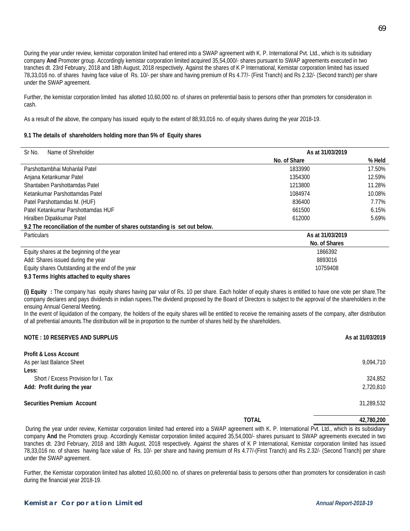During the year under review, kemistar corporation limited had entered into a SWAP agreement with K. P. International Pvt. Ltd., which is its subsidiary company **And** Promoter group. Accordingly kemistar corporation limited acquired 35,54,000/- shares pursuant to SWAP agreements executed in two tranches dt. 23rd February, 2018 and 18th August, 2018 respectively. Against the shares of K P International, Kemistar corporation limited has issued 78,33,016 no. of shares having face value of Rs. 10/- per share and having premium of Rs 4.77/- (First Tranch) and Rs 2.32/- (Second tranch) per share under the SWAP agreement.

Further, the kemistar corporation limited has allotted 10,60,000 no. of shares on preferential basis to persons other than promoters for consideration in cash.

As a result of the above, the company has issued equity to the extent of 88,93,016 no. of equity shares during the year 2018-19.

#### **9.1 The details of shareholders holding more than 5% of Equity shares**

| Name of Shreholder<br>Sr No.                                                 | As at 31/03/2019 |        |
|------------------------------------------------------------------------------|------------------|--------|
|                                                                              | No. of Share     | % Held |
| Parshottambhai Mohanlal Patel                                                | 1833990          | 17.50% |
| Anjana Ketankumar Patel                                                      | 1354300          | 12.59% |
| Shantaben Parshottamdas Patel                                                | 1213800          | 11.28% |
| Ketankumar Parshottamdas Patel                                               | 1084974          | 10.08% |
| Patel Parshottamdas M. (HUF)                                                 | 836400           | 7.77%  |
| Patel Ketankumar Parshottamdas HUF                                           | 661500           | 6.15%  |
| Hiralben Dipakkumar Patel                                                    | 612000           | 5.69%  |
| 9.2 The reconciliation of the number of shares outstanding is set out below. |                  |        |
| <b>Particulars</b>                                                           | As at 31/03/2019 |        |
|                                                                              | No. of Shares    |        |
| Equity shares at the beginning of the year                                   | 1866392          |        |
| Add: Shares issued during the year                                           | 8893016          |        |
| Equity shares Outstanding at the end of the year                             | 10759408         |        |

### **9.3 Terms /rights attached to equity shares**

**(i) Equity :** The company has equity shares having par valur of Rs. 10 per share. Each holder of equity shares is entitled to have one vote per share.The company declares and pays dividends in indian rupees.The dividend proposed by the Board of Directors is subject to the approval of the shareholders in the ensuing Annual General Meeting.

In the event of liquidation of the company, the holders of the equity shares will be entitled to receive the remaining assets of the company, after distribution of all prefrential amounts.The distribution will be in proportion to the number of shares held by the shareholders.

| NOTE: 10 RESERVES AND SURPLUS       |       | As at 31/03/2019 |
|-------------------------------------|-------|------------------|
| <b>Profit &amp; Loss Account</b>    |       |                  |
| As per last Balance Sheet           |       | 9,094,710        |
| Less:                               |       |                  |
| Short / Excess Provision for I. Tax |       | 324,852          |
| Add: Profit during the year         |       | 2,720,810        |
| <b>Securities Premium Account</b>   |       | 31,289,532       |
|                                     | TOTAL | 42,780,200       |

 During the year under review, Kemistar corporation limited had entered into a SWAP agreement with K. P. International Pvt. Ltd., which is its subsidiary company **And** the Promoters group. Accordingly Kemistar corporation limited acquired 35,54,000/- shares pursuant to SWAP agreements executed in two tranches dt. 23rd February, 2018 and 18th August, 2018 respectively. Against the shares of K P International, Kemistar corporation limited has issued 78,33,016 no. of shares having face value of Rs. 10/- per share and having premium of Rs 4.77/-(First Tranch) and Rs 2.32/- (Second Tranch) per share under the SWAP agreement.

Further, the Kemistar corporation limited has allotted 10,60,000 no. of shares on preferential basis to persons other than promoters for consideration in cash during the financial year 2018-19.

# **Kemistar Corporation Limited**  *Annual Report-2018-19 Annual Report-2018-19*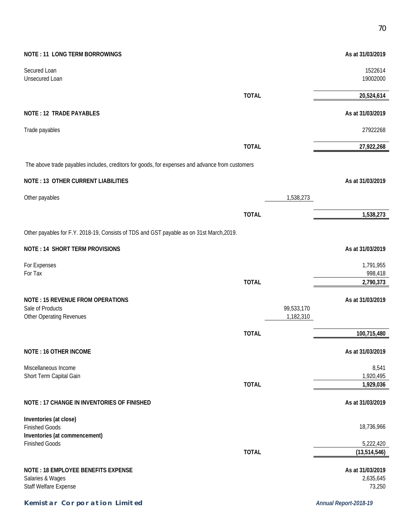| NOTE: 11 LONG TERM BORROWINGS                                                                   |              |                         | As at 31/03/2019                        |
|-------------------------------------------------------------------------------------------------|--------------|-------------------------|-----------------------------------------|
| Secured Loan<br><b>Unsecured Loan</b>                                                           |              |                         | 1522614<br>19002000                     |
|                                                                                                 | <b>TOTAL</b> |                         | 20,524,614                              |
| NOTE: 12 TRADE PAYABLES                                                                         |              |                         | As at 31/03/2019                        |
| Trade payables                                                                                  |              |                         | 27922268                                |
|                                                                                                 | <b>TOTAL</b> |                         | 27,922,268                              |
| The above trade payables includes, creditors for goods, for expenses and advance from customers |              |                         |                                         |
| NOTE: 13 OTHER CURRENT LIABILITIES                                                              |              |                         | As at 31/03/2019                        |
| Other payables                                                                                  |              | 1,538,273               |                                         |
|                                                                                                 | <b>TOTAL</b> |                         | 1,538,273                               |
| Other payables for F.Y. 2018-19, Consists of TDS and GST payable as on 31st March, 2019.        |              |                         |                                         |
| NOTE: 14 SHORT TERM PROVISIONS                                                                  |              |                         | As at 31/03/2019                        |
| For Expenses<br>For Tax                                                                         |              |                         | 1,791,955<br>998,418                    |
|                                                                                                 | <b>TOTAL</b> |                         | 2,790,373                               |
| <b>NOTE: 15 REVENUE FROM OPERATIONS</b><br>Sale of Products<br><b>Other Operating Revenues</b>  |              | 99,533,170<br>1,182,310 | As at 31/03/2019                        |
|                                                                                                 | <b>TOTAL</b> |                         | 100,715,480                             |
| <b>NOTE: 16 OTHER INCOME</b>                                                                    |              |                         | As at 31/03/2019                        |
| Miscellaneous Income<br>Short Term Capital Gain                                                 |              |                         | 8,541<br>1,920,495                      |
|                                                                                                 | <b>TOTAL</b> |                         | 1,929,036                               |
| NOTE: 17 CHANGE IN INVENTORIES OF FINISHED                                                      |              |                         | As at 31/03/2019                        |
| Inventories (at close)<br><b>Finished Goods</b><br>Inventories (at commencement)                |              |                         | 18,736,966                              |
| <b>Finished Goods</b>                                                                           | <b>TOTAL</b> |                         | 5,222,420<br>(13, 514, 546)             |
|                                                                                                 |              |                         |                                         |
| NOTE: 18 EMPLOYEE BENEFITS EXPENSE<br>Salaries & Wages<br>Staff Welfare Expense                 |              |                         | As at 31/03/2019<br>2,635,645<br>73,250 |

**Kemistar Corporation Limited** *Annual Report-2018-19* 

70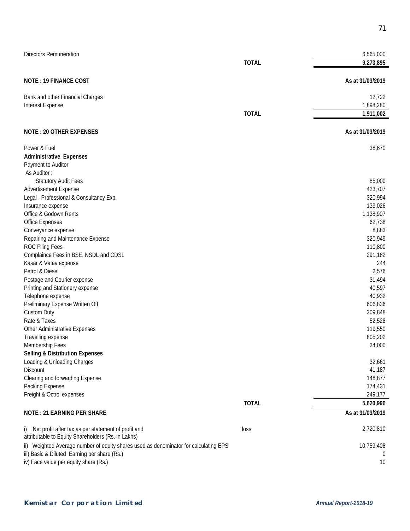| <b>Directors Remuneration</b>                                                                                |              | 6,565,000           |
|--------------------------------------------------------------------------------------------------------------|--------------|---------------------|
|                                                                                                              | <b>TOTAL</b> | 9,273,895           |
| <b>NOTE: 19 FINANCE COST</b>                                                                                 |              | As at 31/03/2019    |
|                                                                                                              |              |                     |
| Bank and other Financial Charges                                                                             |              | 12,722<br>1,898,280 |
| Interest Expense                                                                                             | <b>TOTAL</b> | 1,911,002           |
|                                                                                                              |              |                     |
| <b>NOTE: 20 OTHER EXPENSES</b>                                                                               |              | As at 31/03/2019    |
| Power & Fuel                                                                                                 |              | 38,670              |
| <b>Administrative Expenses</b>                                                                               |              |                     |
| Payment to Auditor                                                                                           |              |                     |
| As Auditor:                                                                                                  |              |                     |
| <b>Statutory Audit Fees</b>                                                                                  |              | 85,000              |
| <b>Advertisement Expense</b>                                                                                 |              | 423,707             |
| Legal, Professional & Consultancy Exp.                                                                       |              | 320,994             |
| Insurance expense                                                                                            |              | 139,026             |
| Office & Godown Rents                                                                                        |              | 1,138,907           |
| Office Expenses                                                                                              |              | 62,738              |
| Conveyance expense                                                                                           |              | 8,883               |
| Repairing and Maintenance Expense                                                                            |              | 320,949             |
| <b>ROC Filing Fees</b>                                                                                       |              | 110,800             |
| Complaince Fees in BSE, NSDL and CDSL                                                                        |              | 291,182             |
| Kasar & Vatav expense                                                                                        |              | 244                 |
| Petrol & Diesel                                                                                              |              | 2,576               |
| Postage and Courier expense                                                                                  |              | 31,494              |
| Printing and Stationery expense                                                                              |              | 40,597              |
| Telephone expense                                                                                            |              | 40,932              |
| Preliminary Expense Written Off                                                                              |              | 606,836             |
| <b>Custom Duty</b>                                                                                           |              | 309,848             |
| Rate & Taxes                                                                                                 |              | 52,528              |
| Other Administrative Expenses                                                                                |              | 119,550             |
| Travelling expense                                                                                           |              | 805,202             |
| Membership Fees                                                                                              |              | 24,000              |
| <b>Selling &amp; Distribution Expenses</b>                                                                   |              |                     |
| Loading & Unloading Charges                                                                                  |              | 32,661              |
| Discount                                                                                                     |              | 41,187              |
| Clearing and forwarding Expense                                                                              |              | 148,877             |
| Packing Expense                                                                                              |              | 174,431             |
| Freight & Octroi expenses                                                                                    |              | 249,177             |
|                                                                                                              | <b>TOTAL</b> | 5,620,996           |
| <b>NOTE: 21 EARNING PER SHARE</b>                                                                            |              | As at 31/03/2019    |
| i) Net profit after tax as per statement of profit and<br>attributable to Equity Shareholders (Rs. in Lakhs) | loss         | 2,720,810           |
| ii) Weighted Average number of equity shares used as denominator for calculating EPS                         |              | 10,759,408          |
| iii) Basic & Diluted Earning per share (Rs.)                                                                 |              | $\Omega$            |
| iv) Face value per equity share (Rs.)                                                                        |              | 10                  |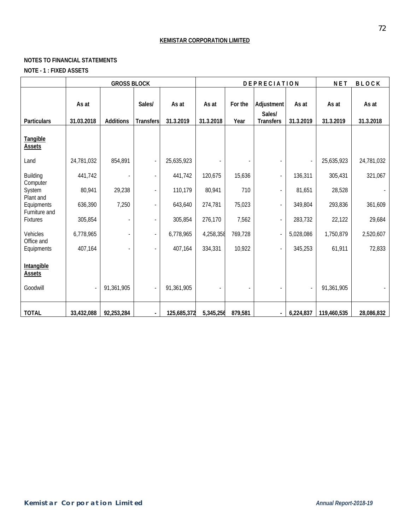## **KEMISTAR CORPORATION LIMITED**

## **NOTES TO FINANCIAL STATEMENTS**

**NOTE - 1 : FIXED ASSETS** 

|                                  |            | <b>GROSS BLOCK</b> |                  |             |           |         | <b>DEPRECIATION</b>        |           | <b>NET</b>  | <b>BLOCK</b> |
|----------------------------------|------------|--------------------|------------------|-------------|-----------|---------|----------------------------|-----------|-------------|--------------|
|                                  | As at      |                    | Sales/           | As at       | As at     | For the | Adjustment                 | As at     | As at       | As at        |
| <b>Particulars</b>               | 31.03.2018 | Additions          | <b>Transfers</b> | 31.3.2019   | 31.3.2018 | Year    | Sales/<br><b>Transfers</b> | 31.3.2019 | 31.3.2019   | 31.3.2018    |
| Tangible<br><b>Assets</b>        |            |                    |                  |             |           |         |                            |           |             |              |
| Land                             | 24,781,032 | 854,891            | $\omega$         | 25,635,923  |           |         |                            |           | 25,635,923  | 24,781,032   |
| Building                         | 441,742    |                    | $\omega$         | 441,742     | 120,675   | 15,636  |                            | 136,311   | 305,431     | 321,067      |
| Computer<br>System<br>Plant and  | 80,941     | 29,238             | ÷.               | 110,179     | 80,941    | 710     |                            | 81,651    | 28,528      |              |
| Equipments                       | 636,390    | 7,250              | ÷.               | 643,640     | 274,781   | 75,023  |                            | 349,804   | 293,836     | 361,609      |
| Furniture and<br><b>Fixtures</b> | 305,854    |                    | ÷,               | 305,854     | 276,170   | 7,562   |                            | 283,732   | 22,122      | 29,684       |
| Vehicles                         | 6,778,965  |                    | $\overline{a}$   | 6,778,965   | 4,258,358 | 769,728 |                            | 5,028,086 | 1,750,879   | 2,520,607    |
| Office and<br>Equipments         | 407,164    |                    | L,               | 407,164     | 334,331   | 10,922  |                            | 345,253   | 61,911      | 72,833       |
| Intangible<br>Assets             |            |                    |                  |             |           |         |                            |           |             |              |
| Goodwill                         |            | 91,361,905         | $\omega$         | 91,361,905  |           |         |                            |           | 91,361,905  |              |
| <b>TOTAL</b>                     | 33,432,088 | 92,253,284         | $\blacksquare$   | 125,685,372 | 5,345,256 | 879,581 |                            | 6,224,837 | 119,460,535 | 28,086,832   |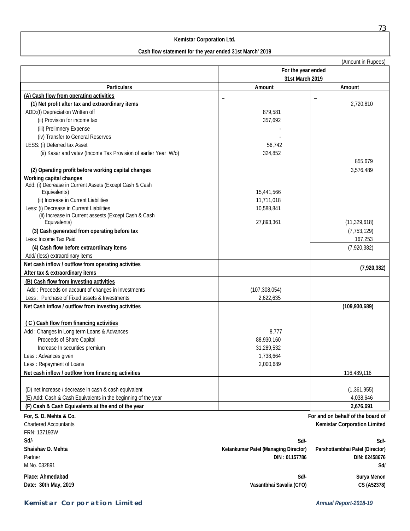## **Kemistar Corporation Ltd.**

## **Cash flow statement for the year ended 31st March' 2019**

|                                                                       |                    | (Amount in Rupees)                |
|-----------------------------------------------------------------------|--------------------|-----------------------------------|
|                                                                       | For the year ended |                                   |
|                                                                       | 31st March, 2019   |                                   |
| Particulars                                                           | Amount             | Amount                            |
| (A) Cash flow from operating activities                               |                    |                                   |
| (1) Net profit after tax and extraordinary items                      |                    | 2.720.810                         |
| ADD:(I) Depreciation Written off                                      | 879,581            |                                   |
| (ii) Provision for income tax                                         | 357,692            |                                   |
| (iii) Prelimnery Expense                                              |                    |                                   |
| (iv) Transfer to General Reserves                                     |                    |                                   |
| LESS: (i) Deferred tax Asset                                          | 56,742             |                                   |
| (ii) Kasar and vatav (Income Tax Provision of earlier Year W/o)       | 324,852            |                                   |
|                                                                       |                    | 855,679                           |
| (2) Operating profit before working capital changes                   |                    | 3,576,489                         |
| <b>Working capital changes</b>                                        |                    |                                   |
| Add: (i) Decrease in Current Assets (Except Cash & Cash               |                    |                                   |
| Equivalents)                                                          | 15,441,566         |                                   |
| (ii) Increase in Current Liabilities                                  | 11,711,018         |                                   |
| Less: (i) Decrease in Current Liabilities                             | 10,588,841         |                                   |
| (ii) Increase in Current assests (Except Cash & Cash<br>Equivalents)  | 27,893,361         | (11, 329, 618)                    |
|                                                                       |                    |                                   |
| (3) Cash generated from operating before tax<br>Less: Income Tax Paid |                    | (7, 753, 129)                     |
|                                                                       |                    | 167,253                           |
| (4) Cash flow before extraordinary items                              |                    | (7,920,382)                       |
| Add/ (less) extraordinary items                                       |                    |                                   |
| Net cash inflow / outflow from operating activities                   |                    | (7,920,382)                       |
| After tax & extraordinary items                                       |                    |                                   |
| (B) Cash flow from investing activities                               |                    |                                   |
| Add : Proceeds on account of changes in Investments                   | (107, 308, 054)    |                                   |
| Less: Purchase of Fixed assets & Investments                          | 2,622,635          |                                   |
| Net Cash inflow / outflow from investing activities                   |                    | (109, 930, 689)                   |
|                                                                       |                    |                                   |
| (C) Cash flow from financing activities                               |                    |                                   |
| Add: Changes in Long term Loans & Advances                            | 8,777              |                                   |
| Proceeds of Share Capital                                             | 88,930,160         |                                   |
| Increase In securities premium                                        | 31,289,532         |                                   |
| Less : Advances given                                                 | 1,738,664          |                                   |
| Less: Repayment of Loans                                              | 2,000,689          |                                   |
| Net cash inflow / outflow from financing activities                   |                    | 116,489,116                       |
|                                                                       |                    |                                   |
| (D) net increase / decrease in cash & cash equivalent                 |                    | (1,361,955)                       |
| (E) Add: Cash & Cash Equivalents in the beginning of the year         |                    | 4,038,646                         |
| (F) Cash & Cash Equivalents at the end of the year                    |                    | 2,676,691                         |
| For, S. D. Mehta & Co.                                                |                    | For and on behalf of the board of |
| <b>Chartered Accountants</b>                                          |                    | Kemistar Corporation Limited      |

**Kemistar Corporation Limited** *Annual Report-2018-19*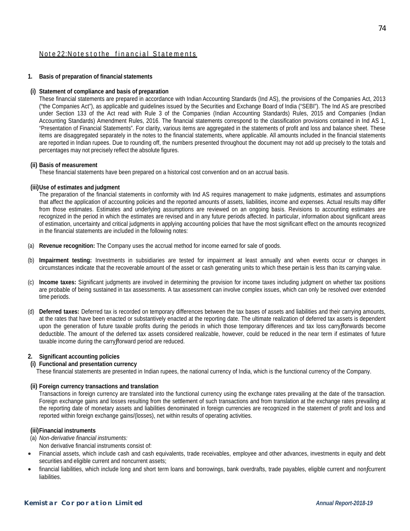## **1. Basis of preparation of financial statements**

## **(i) Statement of compliance and basis of preparation**

These financial statements are prepared in accordance with Indian Accounting Standards (Ind AS), the provisions of the Companies Act, 2013 ("the Companies Act"), as applicable and guidelines issued by the Securities and Exchange Board of India ("SEBI"). The Ind AS are prescribed under Section 133 of the Act read with Rule 3 of the Companies (Indian Accounting Standards) Rules, 2015 and Companies (Indian Accounting Standards) Amendment Rules, 2016. The financial statements correspond to the classification provisions contained in Ind AS 1, "Presentation of Financial Statements". For clarity, various items are aggregated in the statements of profit and loss and balance sheet. These items are disaggregated separately in the notes to the financial statements, where applicable. All amounts included in the financial statements are reported in Indian rupees. Due to rounding off, the numbers presented throughout the document may not add up precisely to the totals and percentages may not precisely reflect the absolute figures.

## **(ii) Basis of measurement**

These financial statements have been prepared on a historical cost convention and on an accrual basis.

## **(iii)Use of estimates and judgment**

The preparation of the financial statements in conformity with Ind AS requires management to make judgments, estimates and assumptions that affect the application of accounting policies and the reported amounts of assets, liabilities, income and expenses. Actual results may differ from those estimates. Estimates and underlying assumptions are reviewed on an ongoing basis. Revisions to accounting estimates are recognized in the period in which the estimates are revised and in any future periods affected. In particular, information about significant areas of estimation, uncertainty and critical judgments in applying accounting policies that have the most significant effect on the amounts recognized in the financial statements are included in the following notes:

- (a) **Revenue recognition:** The Company uses the accrual method for income earned for sale of goods.
- (b) **Impairment testing:** Investments in subsidiaries are tested for impairment at least annually and when events occur or changes in circumstances indicate that the recoverable amount of the asset or cash generating units to which these pertain is less than its carrying value.
- (c) **Income taxes:** Significant judgments are involved in determining the provision for income taxes including judgment on whether tax positions are probable of being sustained in tax assessments. A tax assessment can involve complex issues, which can only be resolved over extended time periods.
- (d) **Deferred taxes:** Deferred tax is recorded on temporary differences between the tax bases of assets and liabilities and their carrying amounts, at the rates that have been enacted or substantively enacted at the reporting date. The ultimate realization of deferred tax assets is dependent upon the generation of future taxable profits during the periods in which those temporary differences and tax loss carry forwards become deductible. The amount of the deferred tax assets considered realizable, however, could be reduced in the near term if estimates of future taxable income during the carry forward period are reduced.

## **2. Significant accounting policies**

## **(i) Functional and presentation currency**

These financial statements are presented in Indian rupees, the national currency of India, which is the functional currency of the Company.

## **(ii) Foreign currency transactions and translation**

Transactions in foreign currency are translated into the functional currency using the exchange rates prevailing at the date of the transaction. Foreign exchange gains and losses resulting from the settlement of such transactions and from translation at the exchange rates prevailing at the reporting date of monetary assets and liabilities denominated in foreign currencies are recognized in the statement of profit and loss and reported within foreign exchange gains/(losses), net within results of operating activities.

## **(iii)Financial instruments**

- (a) *Non‐derivative financial instruments:*
- Non derivative financial instruments consist of:
- Financial assets, which include cash and cash equivalents, trade receivables, employee and other advances, investments in equity and debt securities and eligible current and noncurrent assets;
- financial liabilities, which include long and short term loans and borrowings, bank overdrafts, trade payables, eligible current and non current liabilities.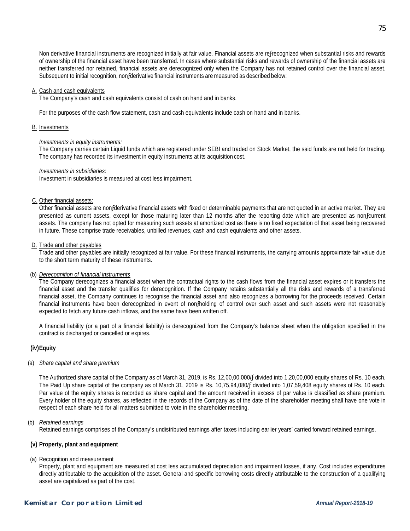Non derivative financial instruments are recognized initially at fair value. Financial assets are re recognized when substantial risks and rewards of ownership of the financial asset have been transferred. In cases where substantial risks and rewards of ownership of the financial assets are neither transferred nor retained, financial assets are derecognized only when the Company has not retained control over the financial asset. Subsequent to initial recognition, non derivative financial instruments are measured as described below:

#### A. Cash and cash equivalents

The Company's cash and cash equivalents consist of cash on hand and in banks.

For the purposes of the cash flow statement, cash and cash equivalents include cash on hand and in banks.

#### B. Investments

#### *Investments in equity instruments:*

The Company carries certain Liquid funds which are registered under SEBI and traded on Stock Market, the said funds are not held for trading. The company has recorded its investment in equity instruments at its acquisition cost.

#### *Investments in subsidiaries:*

Investment in subsidiaries is measured at cost less impairment.

#### C. Other financial assets:

Other financial assets are non derivative financial assets with fixed or determinable payments that are not quoted in an active market. They are presented as current assets, except for those maturing later than 12 months after the reporting date which are presented as non current assets. The company has not opted for measuring such assets at amortized cost as there is no fixed expectation of that asset being recovered in future. These comprise trade receivables, unbilled revenues, cash and cash equivalents and other assets.

#### D. Trade and other payables

Trade and other payables are initially recognized at fair value. For these financial instruments, the carrying amounts approximate fair value due to the short term maturity of these instruments.

## (b) *Derecognition of financial instruments*

The Company derecognizes a financial asset when the contractual rights to the cash flows from the financial asset expires or it transfers the financial asset and the transfer qualifies for derecognition. If the Company retains substantially all the risks and rewards of a transferred financial asset, the Company continues to recognise the financial asset and also recognizes a borrowing for the proceeds received. Certain financial instruments have been derecognized in event of non holding of control over such asset and such assets were not reasonably expected to fetch any future cash inflows, and the same have been written off.

A financial liability (or a part of a financial liability) is derecognized from the Company's balance sheet when the obligation specified in the contract is discharged or cancelled or expires.

## **(iv)Equity**

## (a) *Share capital and share premium*

The Authorized share capital of the Company as of March 31, 2019, is Rs. 12,00,00,000/ divided into 1,20,00,000 equity shares of Rs. 10 each. The Paid Up share capital of the company as of March 31, 2019 is Rs. 10,75,94,080/ divided into 1,07,59,408 equity shares of Rs. 10 each. Par value of the equity shares is recorded as share capital and the amount received in excess of par value is classified as share premium. Every holder of the equity shares, as reflected in the records of the Company as of the date of the shareholder meeting shall have one vote in respect of each share held for all matters submitted to vote in the shareholder meeting.

## (b) *Retained earnings*

Retained earnings comprises of the Company's undistributed earnings after taxes including earlier years' carried forward retained earnings.

#### **(v) Property, plant and equipment**

## (a) Recognition and measurement

Property, plant and equipment are measured at cost less accumulated depreciation and impairment losses, if any. Cost includes expenditures directly attributable to the acquisition of the asset. General and specific borrowing costs directly attributable to the construction of a qualifying asset are capitalized as part of the cost.

## **Kemistar Corporation Limited**  *Annual Report-2018-19 Annual Report-2018-19*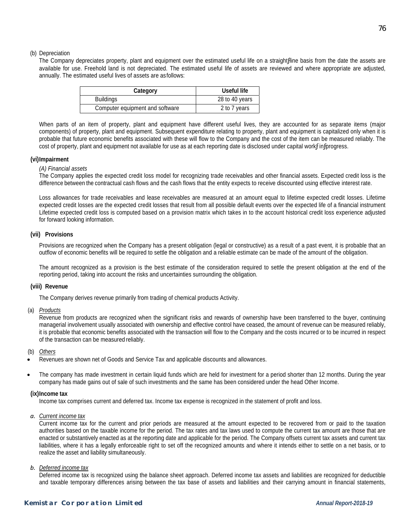## (b) Depreciation

The Company depreciates property, plant and equipment over the estimated useful life on a straight line basis from the date the assets are available for use. Freehold land is not depreciated. The estimated useful life of assets are reviewed and where appropriate are adjusted, annually. The estimated useful lives of assets are as follows:

| Category                        | Useful life    |
|---------------------------------|----------------|
| <b>Buildings</b>                | 28 to 40 years |
| Computer equipment and software | 2 to 7 years   |

When parts of an item of property, plant and equipment have different useful lives, they are accounted for as separate items (major components) of property, plant and equipment. Subsequent expenditure relating to property, plant and equipment is capitalized only when it is probable that future economic benefits associated with these will flow to the Company and the cost of the item can be measured reliably. The cost of property, plant and equipment not available for use as at each reporting date is disclosed under capital work in progress.

## **(vi)Impairment**

## *(A) Financial assets*

The Company applies the expected credit loss model for recognizing trade receivables and other financial assets. Expected credit loss is the difference between the contractual cash flows and the cash flows that the entity expects to receive discounted using effective interest rate.

Loss allowances for trade receivables and lease receivables are measured at an amount equal to lifetime expected credit losses. Lifetime expected credit losses are the expected credit losses that result from all possible default events over the expected life of a financial instrument Lifetime expected credit loss is computed based on a provision matrix which takes in to the account historical credit loss experience adjusted for forward looking information.

## **(vii) Provisions**

Provisions are recognized when the Company has a present obligation (legal or constructive) as a result of a past event, it is probable that an outflow of economic benefits will be required to settle the obligation and a reliable estimate can be made of the amount of the obligation.

The amount recognized as a provision is the best estimate of the consideration required to settle the present obligation at the end of the reporting period, taking into account the risks and uncertainties surrounding the obligation.

## **(viii) Revenue**

The Company derives revenue primarily from trading of chemical products Activity.

## (a) *Products*

Revenue from products are recognized when the significant risks and rewards of ownership have been transferred to the buyer, continuing managerial involvement usually associated with ownership and effective control have ceased, the amount of revenue can be measured reliably, it is probable that economic benefits associated with the transaction will flow to the Company and the costs incurred or to be incurred in respect of the transaction can be measured reliably.

## (b) *Others*

- Revenues are shown net of Goods and Service Tax and applicable discounts and allowances.
- The company has made investment in certain liquid funds which are held for investment for a period shorter than 12 months. During the year company has made gains out of sale of such investments and the same has been considered under the head Other Income.

## **(ix)Income tax**

Income tax comprises current and deferred tax. Income tax expense is recognized in the statement of profit and loss.

## *a. Current income tax*

Current income tax for the current and prior periods are measured at the amount expected to be recovered from or paid to the taxation authorities based on the taxable income for the period. The tax rates and tax laws used to compute the current tax amount are those that are enacted or substantively enacted as at the reporting date and applicable for the period. The Company offsets current tax assets and current tax liabilities, where it has a legally enforceable right to set off the recognized amounts and where it intends either to settle on a net basis, or to realize the asset and liability simultaneously.

## *b. Deferred income tax*

Deferred income tax is recognized using the balance sheet approach. Deferred income tax assets and liabilities are recognized for deductible and taxable temporary differences arising between the tax base of assets and liabilities and their carrying amount in financial statements,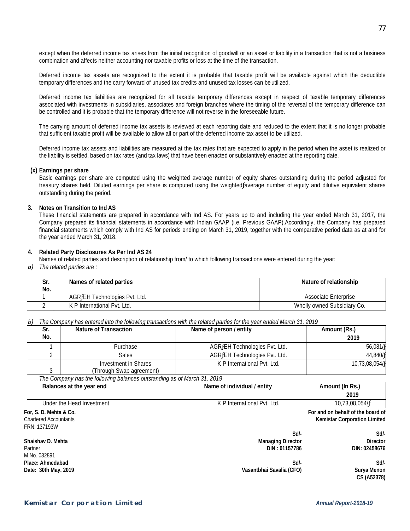except when the deferred income tax arises from the initial recognition of goodwill or an asset or liability in a transaction that is not a business combination and affects neither accounting nor taxable profits or loss at the time of the transaction.

Deferred income tax assets are recognized to the extent it is probable that taxable profit will be available against which the deductible temporary differences and the carry forward of unused tax credits and unused tax losses can be utilized.

Deferred income tax liabilities are recognized for all taxable temporary differences except in respect of taxable temporary differences associated with investments in subsidiaries, associates and foreign branches where the timing of the reversal of the temporary difference can be controlled and it is probable that the temporary difference will not reverse in the foreseeable future.

The carrying amount of deferred income tax assets is reviewed at each reporting date and reduced to the extent that it is no longer probable that sufficient taxable profit will be available to allow all or part of the deferred income tax asset to be utilized.

Deferred income tax assets and liabilities are measured at the tax rates that are expected to apply in the period when the asset is realized or the liability is settled, based on tax rates (and tax laws) that have been enacted or substantively enacted at the reporting date.

#### **(x) Earnings per share**

Basic earnings per share are computed using the weighted average number of equity shares outstanding during the period adjusted for treasury shares held. Diluted earnings per share is computed using the weighted average number of equity and dilutive equivalent shares outstanding during the period.

#### **3. Notes on Transition to Ind AS**

These financial statements are prepared in accordance with Ind AS. For years up to and including the year ended March 31, 2017, the Company prepared its financial statements in accordance with Indian GAAP (i.e. Previous GAAP).Accordingly, the Company has prepared financial statements which comply with Ind AS for periods ending on March 31, 2019, together with the comparative period data as at and for the year ended March 31, 2018.

## **4. Related Party Disclosures As Per Ind AS 24**

Names of related parties and description of relationship from/ to which following transactions were entered during the year:

*a) The related parties are :*

| Sr.<br>No. | Names of related parties      | Nature of relationship      |
|------------|-------------------------------|-----------------------------|
|            | AGR EH Technologies Pvt. Ltd. | Associate Enterprise        |
|            | K P International Pvt. Ltd.   | Wholly owned Subsidiary Co. |

*b) The Company has entered into the following transactions with the related parties for the year ended March 31, 2019* 

| Sr. | Nature of Transaction                                                   | Name of person / entity       | Amount (Rs.)  |
|-----|-------------------------------------------------------------------------|-------------------------------|---------------|
| No. |                                                                         |                               | 2019          |
|     | Purchase                                                                | AGR EH Technologies Pvt. Ltd. | 56,081/       |
|     | <b>Sales</b>                                                            | AGR EH Technologies Pvt. Ltd. | 44,840/       |
|     | Investment in Shares                                                    | K P International Pvt. Ltd.   | 10.73.08.054/ |
|     | (Through Swap agreement)                                                |                               |               |
|     | The Company best he following belances outstanding as of March 21, 2010 |                               |               |

*The Company has the following balances outstanding as of March 31, 2019* 

| Balances at the year end  | Name of individual / entity | Amount (In Rs.) |  |
|---------------------------|-----------------------------|-----------------|--|
|                           |                             | 2019            |  |
| Under the Head Investment | K P International Pvt. Ltd. | 10,73,08,054/   |  |

FRN: 137193W

M.No. 032891 **Place: Ahmedabad** 

For, S. D. Mehta & Co. **Formulated a Co.** For and on behalf of the board of **Formulated a Co.** For and on behalf of the board of Chartered Accountants **Kemistar Corporation Limited** 

|                   | Sd/-                     | $Sd$ .          |
|-------------------|--------------------------|-----------------|
| Shaishav D. Mehta | <b>Managing Director</b> | <b>Director</b> |
| Partner           | DIN : 01157786           | DIN: 02458676   |
| M.No. 032891      |                          |                 |
| Place: Ahmedabad  | Sd/-                     | Sd/-            |
|                   | .                        |                 |

**Date: 30th May, 2019 Vasantbhai Savalia (CFO) Surya Menon** 

 **CS (A52378)**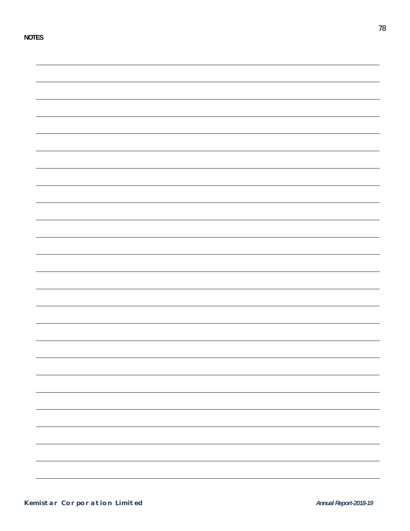78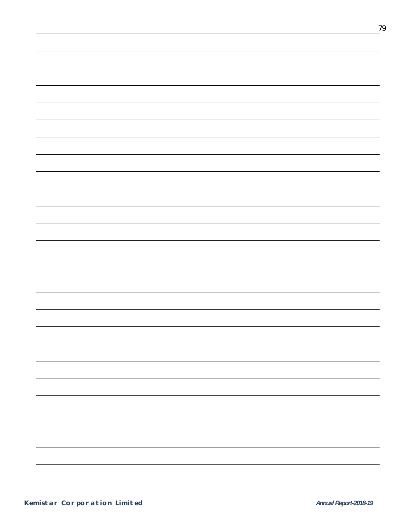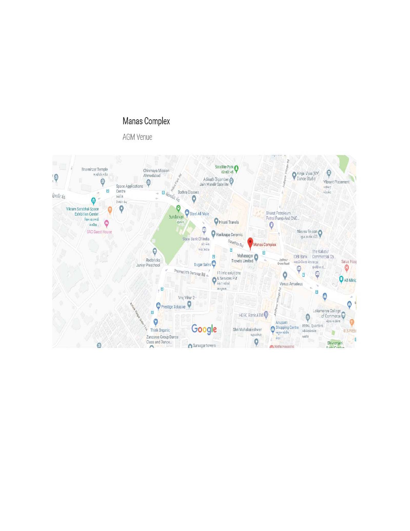# Manas Complex

**AGM Venue** 

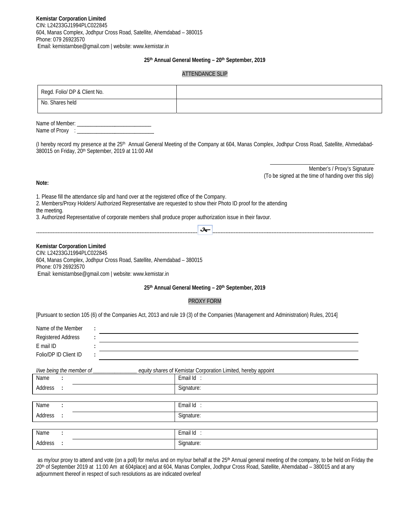**Kemistar Corporation Limited** C CIN: L24233GJ199 94PLC022845 6 604, Manas Comp lex, Jodhpur Cros ss Road, Satellite, Ahemdabad – 38 0015 P Phone: 079 26923 570 Email: kemistarnbse@gmail.com | website: www.kemistar.in

#### **25th Annual General Meeting – 20th Se eptember, 2019**

## ATT ENDANCE SLIP

| Regd. Folio/ DP & Client No. |  |
|------------------------------|--|
| No. Shares held              |  |

N Name of Member: \_\_\_\_\_\_\_\_\_\_\_\_\_\_ N Name of Proxy : \_\_\_\_\_\_\_\_\_\_\_\_\_\_ \_\_\_\_\_\_\_\_\_\_\_\_\_\_ \_\_\_\_\_\_\_\_\_\_\_\_\_\_\_

( I hereby record m my presence at the e 25th Annual Gen \_neral Meeting of th he Company at 60 04, Manas Compl ex, Jodhpur Cross s Road, Satellite, Ahmedabad-380015 on Friday, 20<sup>th</sup> September, 2019 at 11:00 AM

**N Note:** 

1. Please fill the attendance slip and hand over at the registered office of the Company.

2. Members/Proxy Holders/ Authorized Representative are requested to show their Photo ID proof for the attending th he meeting.

3. Authorized Representative of corporate members shall produce proper authorization issue in their favour.

-- ------------------------ ------------------------ ------------------------ ------------------------  $-$ ------------------------ ------------------------ ------------------------ ------------------

## **Kemistar Corporation Limited**

C CIN: L24233GJ199 94PLC022845 6 604, Manas Comp lex, Jodhpur Cros ss Road, Satellite, Ahemdabad – 38 0015 P Phone: 079 26923 570 Email: kemistarnbse@gmail.com | website: www.kemistar.in

#### **25th Annual General Meeting – 20th Se eptember, 2019**

## P ROXY FORM

[Pursuant to section 105 (6) of the Companies Act, 2013 and rule 19 (3) of the Companies (Management and Administration) Rules, 2014]

| Name of the Member        |  |
|---------------------------|--|
| <b>Registered Address</b> |  |
| E mail ID                 |  |
| Folio/DP ID Client ID     |  |

| I/we being the member of |                | equity shares of Kemistar Corporation Limited, hereby appoint |
|--------------------------|----------------|---------------------------------------------------------------|
| Name                     | $\mathbb{R}^2$ | Email Id:                                                     |
| Address                  | $\cdot$ :      | Signature:                                                    |
|                          |                |                                                               |
| Name                     | ÷              | Email Id:                                                     |
| Address                  | $\cdot$ :      | Signature:                                                    |
|                          |                |                                                               |
| Name                     | ÷              | Email Id:                                                     |
| Address                  |                | Signature:                                                    |

as my/our proxy to attend and vote (on a poll) for me/us and on my/our behalf at the 25<sup>th</sup> Annual general meeting of the company, to be held on Friday the 20<sup>th</sup> of September 2019 at 11:00 Am at 604place) and at 604, Manas Complex, Jodhpur Cross Road, Satellite, Ahemdabad – 380015 and at any adjournment thereof in respect of such resolutions as are indicated overleaf

(To be signed at the time of handing over this slip) Member's / Proxy's Signature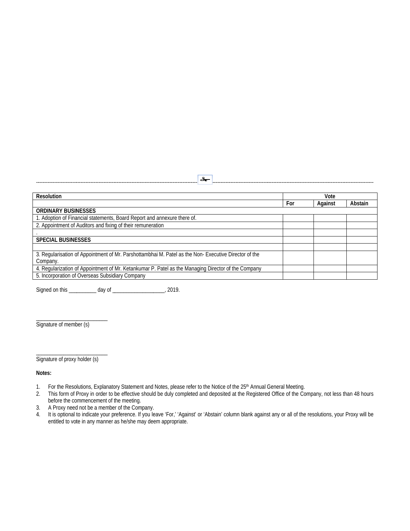|--|

------------------------

------------------------

------------------------

------------------

------------------------

| <b>Resolution</b>                                                                                    | Vote |         |         |  |  |  |
|------------------------------------------------------------------------------------------------------|------|---------|---------|--|--|--|
|                                                                                                      | For  | Against | Abstain |  |  |  |
| <b>ORDINARY BUSINESSES</b>                                                                           |      |         |         |  |  |  |
| 1. Adoption of Financial statements, Board Report and annexure there of.                             |      |         |         |  |  |  |
| 2. Appointment of Auditors and fixing of their remuneration                                          |      |         |         |  |  |  |
|                                                                                                      |      |         |         |  |  |  |
| <b>SPECIAL BUSINESSES</b>                                                                            |      |         |         |  |  |  |
|                                                                                                      |      |         |         |  |  |  |
| 3. Regularisation of Appointment of Mr. Parshottambhai M. Patel as the Non-Executive Director of the |      |         |         |  |  |  |
| Company.                                                                                             |      |         |         |  |  |  |
| 4. Regularization of Appointment of Mr. Ketankumar P. Patel as the Managing Director of the Company  |      |         |         |  |  |  |
| 5. Incorporation of Overseas Subsidiary Company                                                      |      |         |         |  |  |  |

Signed on this \_\_\_\_\_\_\_\_\_\_\_\_\_ day of \_\_\_\_\_\_\_\_\_\_\_\_\_\_\_\_\_\_\_\_\_\_\_\_\_, 2019.

------------------------

------------------------

\_ S Signature of memb ber (s) \_\_\_\_\_\_\_\_\_\_\_\_\_\_\_  $\overline{\phantom{a}}$ 

 $\overline{a}$ S \_\_\_\_\_\_\_\_\_\_\_\_\_\_\_ Signature of proxy \_\_\_\_\_\_\_\_\_\_\_\_ holder (s)

**N Notes:** 

--

------------------------

- 1. For the Resolutions, Explanatory Statement and Notes, please refer to the Notice of the 25<sup>th</sup> Annual General Meeting.
- 2 2. This form of Proxy in order to be effective should be duly completed and deposited at the Registered Office of the Company, not less than 48 hours before the commencement of the meeting.
- 3 3. A Proxy need not be a member of the Company.
- 4 4. It is optional t entitled to vot to indicate your pr te in any manner a reference. If you le as he/she may de eave 'For,' 'Agains eem appropriate. st' or 'Abstain' column blank against any or all of the resolutions, your Proxy will be